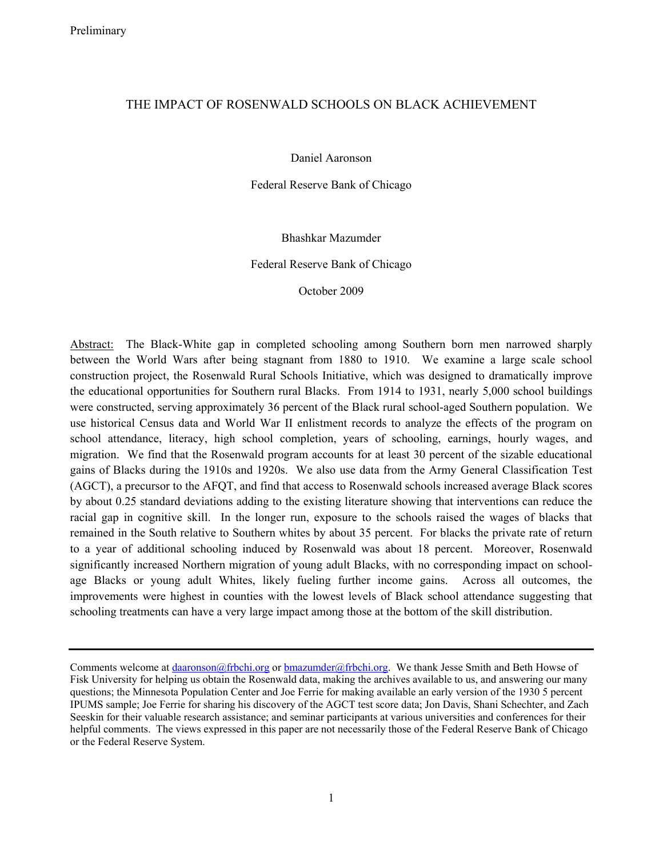# THE IMPACT OF ROSENWALD SCHOOLS ON BLACK ACHIEVEMENT

Daniel Aaronson

Federal Reserve Bank of Chicago

Bhashkar Mazumder

Federal Reserve Bank of Chicago

October 2009

Abstract: The Black-White gap in completed schooling among Southern born men narrowed sharply between the World Wars after being stagnant from 1880 to 1910. We examine a large scale school construction project, the Rosenwald Rural Schools Initiative, which was designed to dramatically improve the educational opportunities for Southern rural Blacks. From 1914 to 1931, nearly 5,000 school buildings were constructed, serving approximately 36 percent of the Black rural school-aged Southern population. We use historical Census data and World War II enlistment records to analyze the effects of the program on school attendance, literacy, high school completion, years of schooling, earnings, hourly wages, and migration. We find that the Rosenwald program accounts for at least 30 percent of the sizable educational gains of Blacks during the 1910s and 1920s. We also use data from the Army General Classification Test (AGCT), a precursor to the AFQT, and find that access to Rosenwald schools increased average Black scores by about 0.25 standard deviations adding to the existing literature showing that interventions can reduce the racial gap in cognitive skill. In the longer run, exposure to the schools raised the wages of blacks that remained in the South relative to Southern whites by about 35 percent. For blacks the private rate of return to a year of additional schooling induced by Rosenwald was about 18 percent. Moreover, Rosenwald significantly increased Northern migration of young adult Blacks, with no corresponding impact on schoolage Blacks or young adult Whites, likely fueling further income gains. Across all outcomes, the improvements were highest in counties with the lowest levels of Black school attendance suggesting that schooling treatments can have a very large impact among those at the bottom of the skill distribution.

Comments welcome at daaronson@frbchi.org or bmazumder@frbchi.org. We thank Jesse Smith and Beth Howse of Fisk University for helping us obtain the Rosenwald data, making the archives available to us, and answering our many questions; the Minnesota Population Center and Joe Ferrie for making available an early version of the 1930 5 percent IPUMS sample; Joe Ferrie for sharing his discovery of the AGCT test score data; Jon Davis, Shani Schechter, and Zach Seeskin for their valuable research assistance; and seminar participants at various universities and conferences for their helpful comments. The views expressed in this paper are not necessarily those of the Federal Reserve Bank of Chicago or the Federal Reserve System.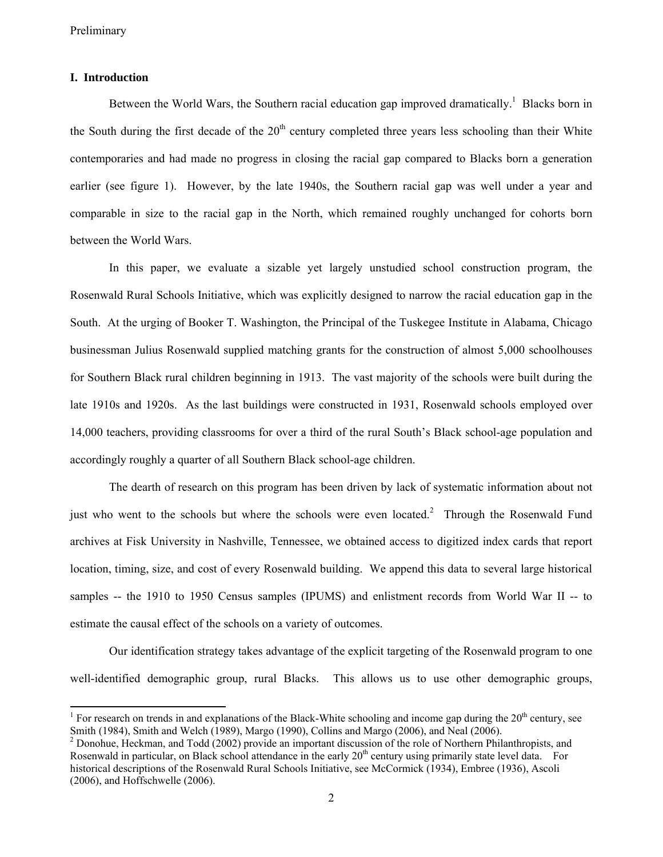$\overline{a}$ 

#### **I. Introduction**

Between the World Wars, the Southern racial education gap improved dramatically.<sup>1</sup> Blacks born in the South during the first decade of the  $20<sup>th</sup>$  century completed three years less schooling than their White contemporaries and had made no progress in closing the racial gap compared to Blacks born a generation earlier (see figure 1). However, by the late 1940s, the Southern racial gap was well under a year and comparable in size to the racial gap in the North, which remained roughly unchanged for cohorts born between the World Wars.

In this paper, we evaluate a sizable yet largely unstudied school construction program, the Rosenwald Rural Schools Initiative, which was explicitly designed to narrow the racial education gap in the South. At the urging of Booker T. Washington, the Principal of the Tuskegee Institute in Alabama, Chicago businessman Julius Rosenwald supplied matching grants for the construction of almost 5,000 schoolhouses for Southern Black rural children beginning in 1913. The vast majority of the schools were built during the late 1910s and 1920s. As the last buildings were constructed in 1931, Rosenwald schools employed over 14,000 teachers, providing classrooms for over a third of the rural South's Black school-age population and accordingly roughly a quarter of all Southern Black school-age children.

The dearth of research on this program has been driven by lack of systematic information about not just who went to the schools but where the schools were even located.<sup>2</sup> Through the Rosenwald Fund archives at Fisk University in Nashville, Tennessee, we obtained access to digitized index cards that report location, timing, size, and cost of every Rosenwald building. We append this data to several large historical samples -- the 1910 to 1950 Census samples (IPUMS) and enlistment records from World War II -- to estimate the causal effect of the schools on a variety of outcomes.

Our identification strategy takes advantage of the explicit targeting of the Rosenwald program to one well-identified demographic group, rural Blacks. This allows us to use other demographic groups,

<sup>&</sup>lt;sup>1</sup> For research on trends in and explanations of the Black-White schooling and income gap during the  $20<sup>th</sup>$  century, see Smith (1984), Smith and Welch (1989), Margo (1990), Collins and Margo (2006), and Neal (2006). 2

 $^2$  Donohue, Heckman, and Todd (2002) provide an important discussion of the role of Northern Philanthropists, and Rosenwald in particular, on Black school attendance in the early  $20<sup>th</sup>$  century using primarily state level data. For historical descriptions of the Rosenwald Rural Schools Initiative, see McCormick (1934), Embree (1936), Ascoli (2006), and Hoffschwelle (2006).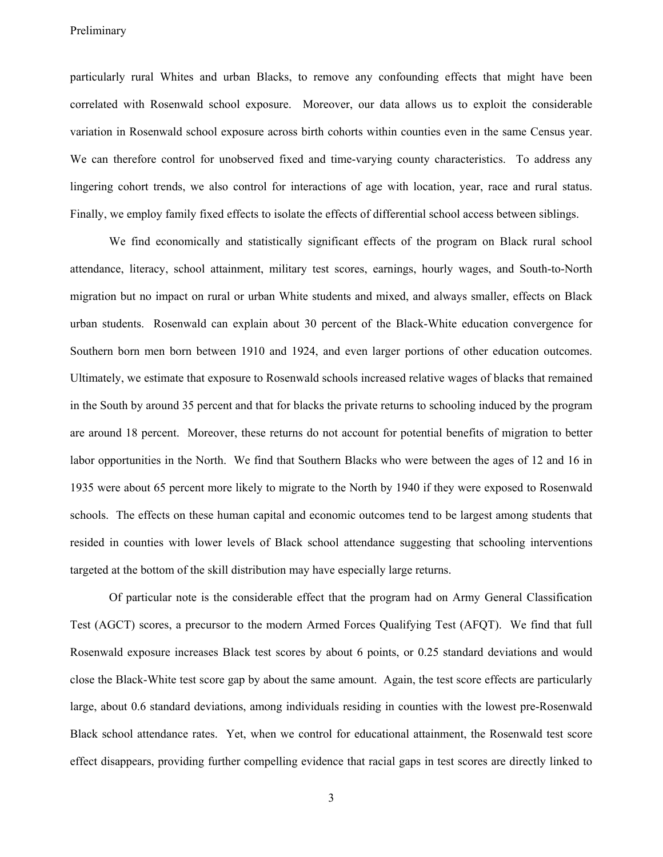particularly rural Whites and urban Blacks, to remove any confounding effects that might have been correlated with Rosenwald school exposure. Moreover, our data allows us to exploit the considerable variation in Rosenwald school exposure across birth cohorts within counties even in the same Census year. We can therefore control for unobserved fixed and time-varying county characteristics. To address any lingering cohort trends, we also control for interactions of age with location, year, race and rural status. Finally, we employ family fixed effects to isolate the effects of differential school access between siblings.

We find economically and statistically significant effects of the program on Black rural school attendance, literacy, school attainment, military test scores, earnings, hourly wages, and South-to-North migration but no impact on rural or urban White students and mixed, and always smaller, effects on Black urban students. Rosenwald can explain about 30 percent of the Black-White education convergence for Southern born men born between 1910 and 1924, and even larger portions of other education outcomes. Ultimately, we estimate that exposure to Rosenwald schools increased relative wages of blacks that remained in the South by around 35 percent and that for blacks the private returns to schooling induced by the program are around 18 percent. Moreover, these returns do not account for potential benefits of migration to better labor opportunities in the North. We find that Southern Blacks who were between the ages of 12 and 16 in 1935 were about 65 percent more likely to migrate to the North by 1940 if they were exposed to Rosenwald schools. The effects on these human capital and economic outcomes tend to be largest among students that resided in counties with lower levels of Black school attendance suggesting that schooling interventions targeted at the bottom of the skill distribution may have especially large returns.

Of particular note is the considerable effect that the program had on Army General Classification Test (AGCT) scores, a precursor to the modern Armed Forces Qualifying Test (AFQT). We find that full Rosenwald exposure increases Black test scores by about 6 points, or 0.25 standard deviations and would close the Black-White test score gap by about the same amount. Again, the test score effects are particularly large, about 0.6 standard deviations, among individuals residing in counties with the lowest pre-Rosenwald Black school attendance rates. Yet, when we control for educational attainment, the Rosenwald test score effect disappears, providing further compelling evidence that racial gaps in test scores are directly linked to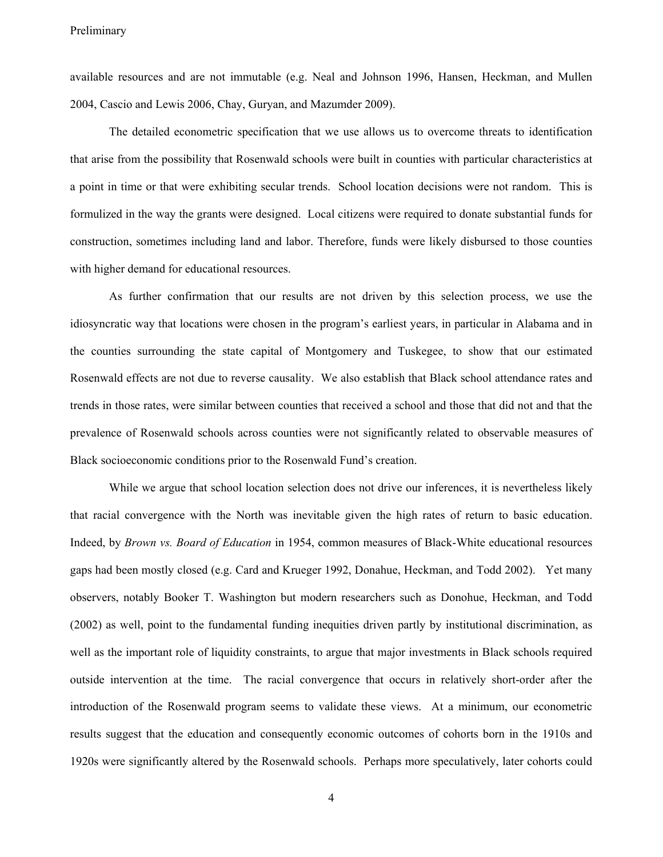available resources and are not immutable (e.g. Neal and Johnson 1996, Hansen, Heckman, and Mullen 2004, Cascio and Lewis 2006, Chay, Guryan, and Mazumder 2009).

The detailed econometric specification that we use allows us to overcome threats to identification that arise from the possibility that Rosenwald schools were built in counties with particular characteristics at a point in time or that were exhibiting secular trends. School location decisions were not random. This is formulized in the way the grants were designed. Local citizens were required to donate substantial funds for construction, sometimes including land and labor. Therefore, funds were likely disbursed to those counties with higher demand for educational resources.

As further confirmation that our results are not driven by this selection process, we use the idiosyncratic way that locations were chosen in the program's earliest years, in particular in Alabama and in the counties surrounding the state capital of Montgomery and Tuskegee, to show that our estimated Rosenwald effects are not due to reverse causality. We also establish that Black school attendance rates and trends in those rates, were similar between counties that received a school and those that did not and that the prevalence of Rosenwald schools across counties were not significantly related to observable measures of Black socioeconomic conditions prior to the Rosenwald Fund's creation.

While we argue that school location selection does not drive our inferences, it is nevertheless likely that racial convergence with the North was inevitable given the high rates of return to basic education. Indeed, by *Brown vs. Board of Education* in 1954, common measures of Black-White educational resources gaps had been mostly closed (e.g. Card and Krueger 1992, Donahue, Heckman, and Todd 2002). Yet many observers, notably Booker T. Washington but modern researchers such as Donohue, Heckman, and Todd (2002) as well, point to the fundamental funding inequities driven partly by institutional discrimination, as well as the important role of liquidity constraints, to argue that major investments in Black schools required outside intervention at the time. The racial convergence that occurs in relatively short-order after the introduction of the Rosenwald program seems to validate these views. At a minimum, our econometric results suggest that the education and consequently economic outcomes of cohorts born in the 1910s and 1920s were significantly altered by the Rosenwald schools. Perhaps more speculatively, later cohorts could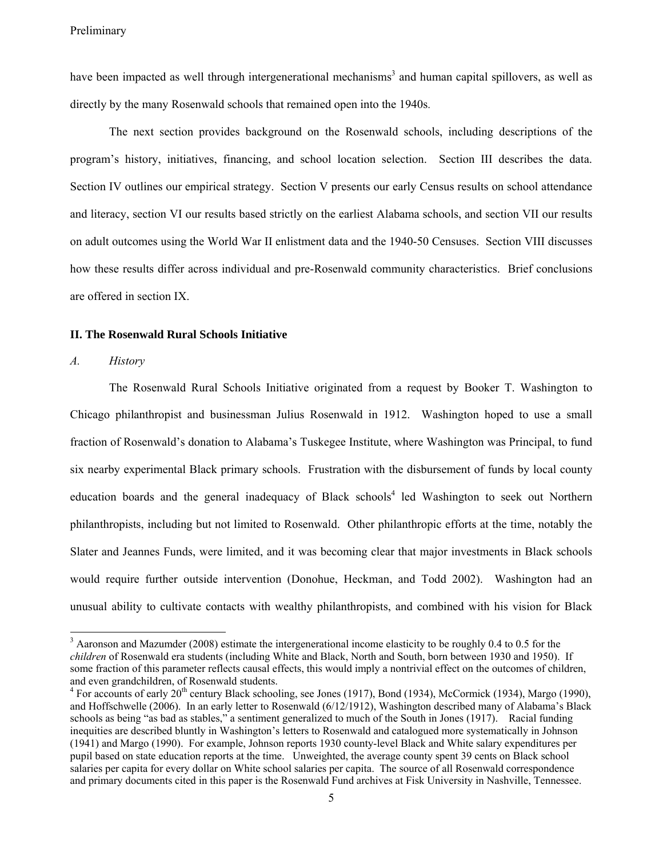have been impacted as well through intergenerational mechanisms<sup>3</sup> and human capital spillovers, as well as directly by the many Rosenwald schools that remained open into the 1940s.

The next section provides background on the Rosenwald schools, including descriptions of the program's history, initiatives, financing, and school location selection. Section III describes the data. Section IV outlines our empirical strategy. Section V presents our early Census results on school attendance and literacy, section VI our results based strictly on the earliest Alabama schools, and section VII our results on adult outcomes using the World War II enlistment data and the 1940-50 Censuses. Section VIII discusses how these results differ across individual and pre-Rosenwald community characteristics. Brief conclusions are offered in section IX.

#### **II. The Rosenwald Rural Schools Initiative**

#### *A. History*

 $\overline{a}$ 

The Rosenwald Rural Schools Initiative originated from a request by Booker T. Washington to Chicago philanthropist and businessman Julius Rosenwald in 1912. Washington hoped to use a small fraction of Rosenwald's donation to Alabama's Tuskegee Institute, where Washington was Principal, to fund six nearby experimental Black primary schools. Frustration with the disbursement of funds by local county education boards and the general inadequacy of Black schools<sup>4</sup> led Washington to seek out Northern philanthropists, including but not limited to Rosenwald. Other philanthropic efforts at the time, notably the Slater and Jeannes Funds, were limited, and it was becoming clear that major investments in Black schools would require further outside intervention (Donohue, Heckman, and Todd 2002). Washington had an unusual ability to cultivate contacts with wealthy philanthropists, and combined with his vision for Black

 $3$  Aaronson and Mazumder (2008) estimate the intergenerational income elasticity to be roughly 0.4 to 0.5 for the *children* of Rosenwald era students (including White and Black, North and South, born between 1930 and 1950). If some fraction of this parameter reflects causal effects, this would imply a nontrivial effect on the outcomes of children, and even grandchildren, of Rosenwald students.

 $4$  For accounts of early  $20^{th}$  century Black schooling, see Jones (1917), Bond (1934), McCormick (1934), Margo (1990), and Hoffschwelle (2006). In an early letter to Rosenwald (6/12/1912), Washington described many of Alabama's Black schools as being "as bad as stables," a sentiment generalized to much of the South in Jones (1917). Racial funding inequities are described bluntly in Washington's letters to Rosenwald and catalogued more systematically in Johnson (1941) and Margo (1990). For example, Johnson reports 1930 county-level Black and White salary expenditures per pupil based on state education reports at the time. Unweighted, the average county spent 39 cents on Black school salaries per capita for every dollar on White school salaries per capita. The source of all Rosenwald correspondence and primary documents cited in this paper is the Rosenwald Fund archives at Fisk University in Nashville, Tennessee.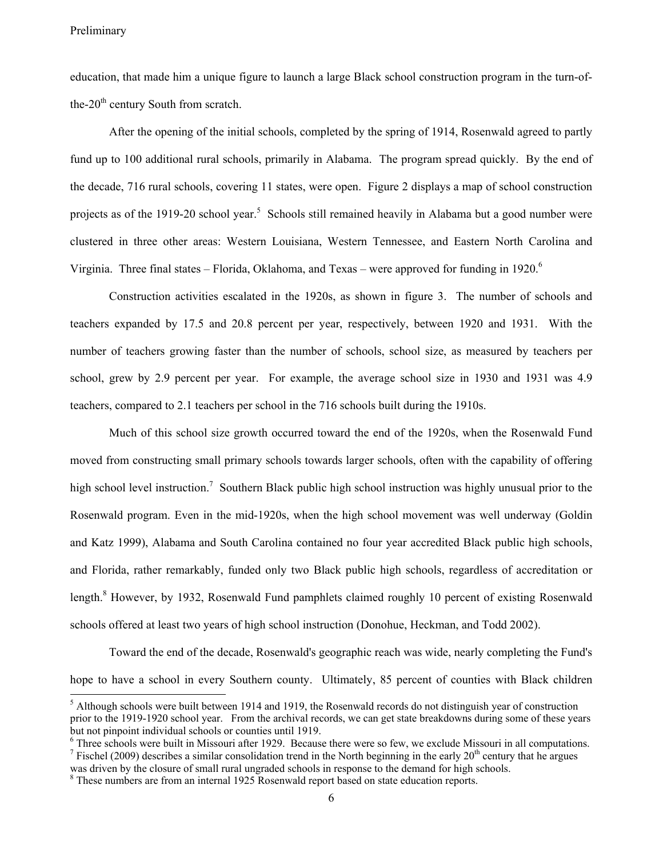education, that made him a unique figure to launch a large Black school construction program in the turn-ofthe- $20<sup>th</sup>$  century South from scratch.

After the opening of the initial schools, completed by the spring of 1914, Rosenwald agreed to partly fund up to 100 additional rural schools, primarily in Alabama. The program spread quickly. By the end of the decade, 716 rural schools, covering 11 states, were open. Figure 2 displays a map of school construction projects as of the 1919-20 school year.<sup>5</sup> Schools still remained heavily in Alabama but a good number were clustered in three other areas: Western Louisiana, Western Tennessee, and Eastern North Carolina and Virginia. Three final states – Florida, Oklahoma, and Texas – were approved for funding in 1920.<sup>6</sup>

Construction activities escalated in the 1920s, as shown in figure 3. The number of schools and teachers expanded by 17.5 and 20.8 percent per year, respectively, between 1920 and 1931. With the number of teachers growing faster than the number of schools, school size, as measured by teachers per school, grew by 2.9 percent per year. For example, the average school size in 1930 and 1931 was 4.9 teachers, compared to 2.1 teachers per school in the 716 schools built during the 1910s.

Much of this school size growth occurred toward the end of the 1920s, when the Rosenwald Fund moved from constructing small primary schools towards larger schools, often with the capability of offering high school level instruction.<sup>7</sup> Southern Black public high school instruction was highly unusual prior to the Rosenwald program. Even in the mid-1920s, when the high school movement was well underway (Goldin and Katz 1999), Alabama and South Carolina contained no four year accredited Black public high schools, and Florida, rather remarkably, funded only two Black public high schools, regardless of accreditation or length.<sup>8</sup> However, by 1932, Rosenwald Fund pamphlets claimed roughly 10 percent of existing Rosenwald schools offered at least two years of high school instruction (Donohue, Heckman, and Todd 2002).

Toward the end of the decade, Rosenwald's geographic reach was wide, nearly completing the Fund's hope to have a school in every Southern county. Ultimately, 85 percent of counties with Black children

<sup>&</sup>lt;sup>5</sup> Although schools were built between 1914 and 1919, the Rosenwald records do not distinguish year of construction prior to the 1919-1920 school year. From the archival records, we can get state breakdowns during some of these years but not pinpoint individual schools or counties until 1919.

<sup>&</sup>lt;sup>6</sup> Three schools were built in Missouri after 1929. Because there were so few, we exclude Missouri in all computations.<br><sup>7</sup> Eighel (2000) december a similar consolidation trond in the North becinning in the exclusion tha <sup>7</sup> Fischel (2009) describes a similar consolidation trend in the North beginning in the early 20<sup>th</sup> century that he argues

was driven by the closure of small rural ungraded schools in response to the demand for high schools.

<sup>&</sup>lt;sup>8</sup> These numbers are from an internal 1925 Rosenwald report based on state education reports.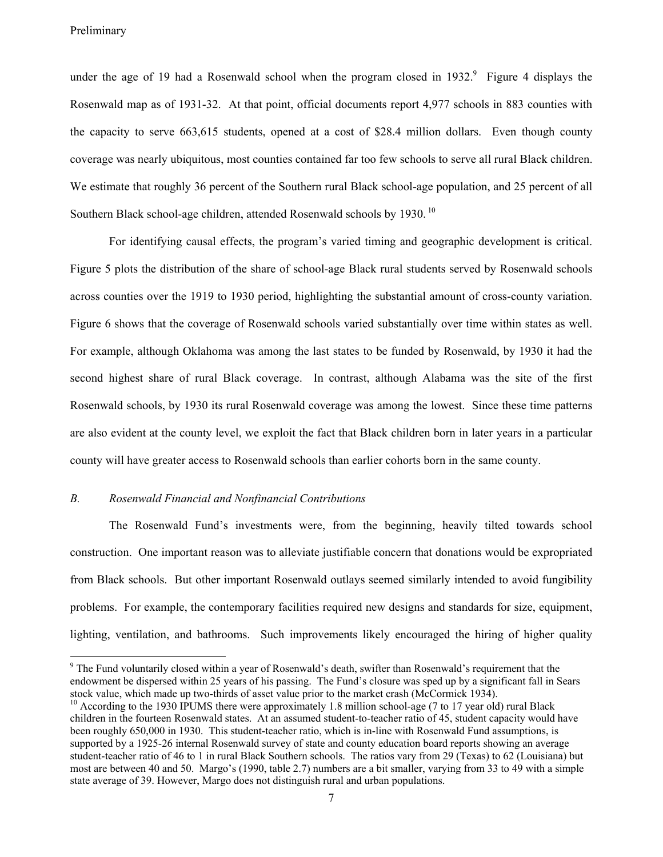under the age of 19 had a Rosenwald school when the program closed in  $1932$ .<sup>9</sup> Figure 4 displays the Rosenwald map as of 1931-32. At that point, official documents report 4,977 schools in 883 counties with the capacity to serve 663,615 students, opened at a cost of \$28.4 million dollars. Even though county coverage was nearly ubiquitous, most counties contained far too few schools to serve all rural Black children. We estimate that roughly 36 percent of the Southern rural Black school-age population, and 25 percent of all Southern Black school-age children, attended Rosenwald schools by 1930.<sup>10</sup>

For identifying causal effects, the program's varied timing and geographic development is critical. Figure 5 plots the distribution of the share of school-age Black rural students served by Rosenwald schools across counties over the 1919 to 1930 period, highlighting the substantial amount of cross-county variation. Figure 6 shows that the coverage of Rosenwald schools varied substantially over time within states as well. For example, although Oklahoma was among the last states to be funded by Rosenwald, by 1930 it had the second highest share of rural Black coverage. In contrast, although Alabama was the site of the first Rosenwald schools, by 1930 its rural Rosenwald coverage was among the lowest. Since these time patterns are also evident at the county level, we exploit the fact that Black children born in later years in a particular county will have greater access to Rosenwald schools than earlier cohorts born in the same county.

#### *B. Rosenwald Financial and Nonfinancial Contributions*

The Rosenwald Fund's investments were, from the beginning, heavily tilted towards school construction. One important reason was to alleviate justifiable concern that donations would be expropriated from Black schools. But other important Rosenwald outlays seemed similarly intended to avoid fungibility problems. For example, the contemporary facilities required new designs and standards for size, equipment, lighting, ventilation, and bathrooms. Such improvements likely encouraged the hiring of higher quality

<sup>&</sup>lt;sup>9</sup> The Fund voluntarily closed within a year of Rosenwald's death, swifter than Rosenwald's requirement that the endowment be dispersed within 25 years of his passing. The Fund's closure was sped up by a significant fall in Sears stock value, which made up two-thirds of asset value prior to the market crash (McCormick 1934).

 $10$  According to the 1930 IPUMS there were approximately 1.8 million school-age (7 to 17 year old) rural Black children in the fourteen Rosenwald states. At an assumed student-to-teacher ratio of 45, student capacity would have been roughly 650,000 in 1930. This student-teacher ratio, which is in-line with Rosenwald Fund assumptions, is supported by a 1925-26 internal Rosenwald survey of state and county education board reports showing an average student-teacher ratio of 46 to 1 in rural Black Southern schools. The ratios vary from 29 (Texas) to 62 (Louisiana) but most are between 40 and 50. Margo's (1990, table 2.7) numbers are a bit smaller, varying from 33 to 49 with a simple state average of 39. However, Margo does not distinguish rural and urban populations.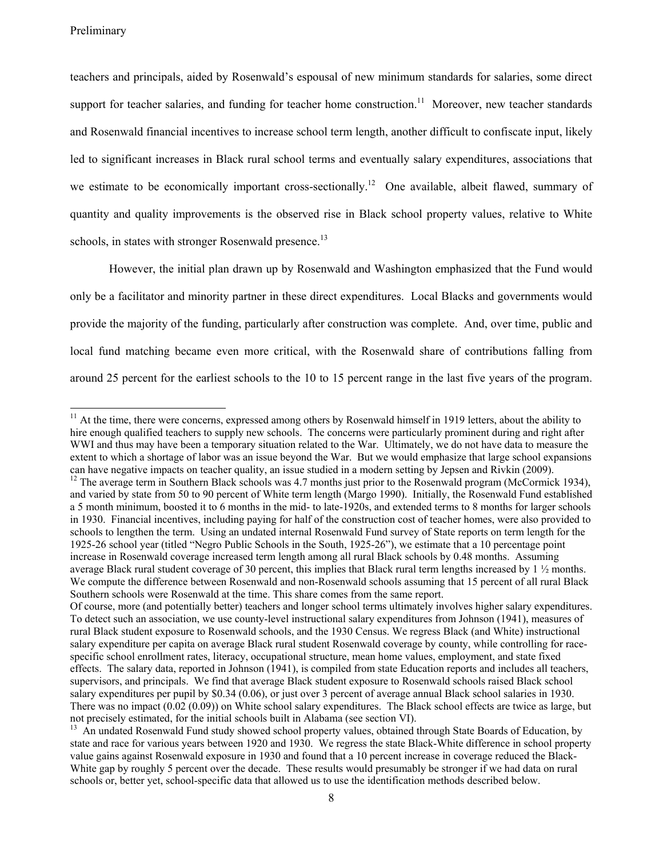teachers and principals, aided by Rosenwald's espousal of new minimum standards for salaries, some direct support for teacher salaries, and funding for teacher home construction.<sup>11</sup> Moreover, new teacher standards and Rosenwald financial incentives to increase school term length, another difficult to confiscate input, likely led to significant increases in Black rural school terms and eventually salary expenditures, associations that we estimate to be economically important cross-sectionally.<sup>12</sup> One available, albeit flawed, summary of quantity and quality improvements is the observed rise in Black school property values, relative to White schools, in states with stronger Rosenwald presence.<sup>13</sup>

However, the initial plan drawn up by Rosenwald and Washington emphasized that the Fund would only be a facilitator and minority partner in these direct expenditures. Local Blacks and governments would provide the majority of the funding, particularly after construction was complete. And, over time, public and local fund matching became even more critical, with the Rosenwald share of contributions falling from around 25 percent for the earliest schools to the 10 to 15 percent range in the last five years of the program.

 $11$  At the time, there were concerns, expressed among others by Rosenwald himself in 1919 letters, about the ability to hire enough qualified teachers to supply new schools. The concerns were particularly prominent during and right after WWI and thus may have been a temporary situation related to the War. Ultimately, we do not have data to measure the extent to which a shortage of labor was an issue beyond the War. But we would emphasize that large school expansions can have negative impacts on teacher quality, an issue studied in a modern setting by Jepsen and Rivkin (2009).<br><sup>12</sup> The average term in Southern Black schools was 4.7 months just prior to the Rosenwald program (McCormick

and varied by state from 50 to 90 percent of White term length (Margo 1990). Initially, the Rosenwald Fund established a 5 month minimum, boosted it to 6 months in the mid- to late-1920s, and extended terms to 8 months for larger schools in 1930. Financial incentives, including paying for half of the construction cost of teacher homes, were also provided to schools to lengthen the term. Using an undated internal Rosenwald Fund survey of State reports on term length for the 1925-26 school year (titled "Negro Public Schools in the South, 1925-26"), we estimate that a 10 percentage point increase in Rosenwald coverage increased term length among all rural Black schools by 0.48 months. Assuming average Black rural student coverage of 30 percent, this implies that Black rural term lengths increased by  $1 \frac{1}{2}$  months. We compute the difference between Rosenwald and non-Rosenwald schools assuming that 15 percent of all rural Black Southern schools were Rosenwald at the time. This share comes from the same report.

Of course, more (and potentially better) teachers and longer school terms ultimately involves higher salary expenditures. To detect such an association, we use county-level instructional salary expenditures from Johnson (1941), measures of rural Black student exposure to Rosenwald schools, and the 1930 Census. We regress Black (and White) instructional salary expenditure per capita on average Black rural student Rosenwald coverage by county, while controlling for racespecific school enrollment rates, literacy, occupational structure, mean home values, employment, and state fixed effects. The salary data, reported in Johnson (1941), is compiled from state Education reports and includes all teachers, supervisors, and principals. We find that average Black student exposure to Rosenwald schools raised Black school salary expenditures per pupil by \$0.34 (0.06), or just over 3 percent of average annual Black school salaries in 1930. There was no impact (0.02 (0.09)) on White school salary expenditures. The Black school effects are twice as large, but not precisely estimated, for the initial schools built in Alabama (see section VI).

<sup>&</sup>lt;sup>13</sup> An undated Rosenwald Fund study showed school property values, obtained through State Boards of Education, by state and race for various years between 1920 and 1930. We regress the state Black-White difference in school property value gains against Rosenwald exposure in 1930 and found that a 10 percent increase in coverage reduced the Black-White gap by roughly 5 percent over the decade. These results would presumably be stronger if we had data on rural schools or, better yet, school-specific data that allowed us to use the identification methods described below.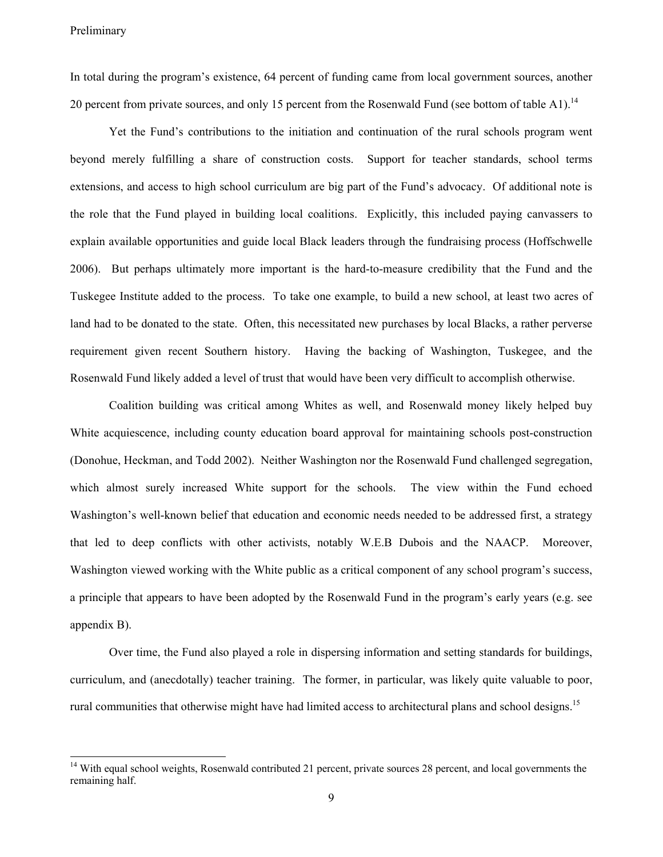In total during the program's existence, 64 percent of funding came from local government sources, another 20 percent from private sources, and only 15 percent from the Rosenwald Fund (see bottom of table A1).<sup>14</sup>

Yet the Fund's contributions to the initiation and continuation of the rural schools program went beyond merely fulfilling a share of construction costs. Support for teacher standards, school terms extensions, and access to high school curriculum are big part of the Fund's advocacy. Of additional note is the role that the Fund played in building local coalitions. Explicitly, this included paying canvassers to explain available opportunities and guide local Black leaders through the fundraising process (Hoffschwelle 2006). But perhaps ultimately more important is the hard-to-measure credibility that the Fund and the Tuskegee Institute added to the process. To take one example, to build a new school, at least two acres of land had to be donated to the state. Often, this necessitated new purchases by local Blacks, a rather perverse requirement given recent Southern history. Having the backing of Washington, Tuskegee, and the Rosenwald Fund likely added a level of trust that would have been very difficult to accomplish otherwise.

Coalition building was critical among Whites as well, and Rosenwald money likely helped buy White acquiescence, including county education board approval for maintaining schools post-construction (Donohue, Heckman, and Todd 2002). Neither Washington nor the Rosenwald Fund challenged segregation, which almost surely increased White support for the schools. The view within the Fund echoed Washington's well-known belief that education and economic needs needed to be addressed first, a strategy that led to deep conflicts with other activists, notably W.E.B Dubois and the NAACP. Moreover, Washington viewed working with the White public as a critical component of any school program's success, a principle that appears to have been adopted by the Rosenwald Fund in the program's early years (e.g. see appendix B).

Over time, the Fund also played a role in dispersing information and setting standards for buildings, curriculum, and (anecdotally) teacher training. The former, in particular, was likely quite valuable to poor, rural communities that otherwise might have had limited access to architectural plans and school designs.<sup>15</sup>

<sup>&</sup>lt;sup>14</sup> With equal school weights, Rosenwald contributed 21 percent, private sources 28 percent, and local governments the remaining half.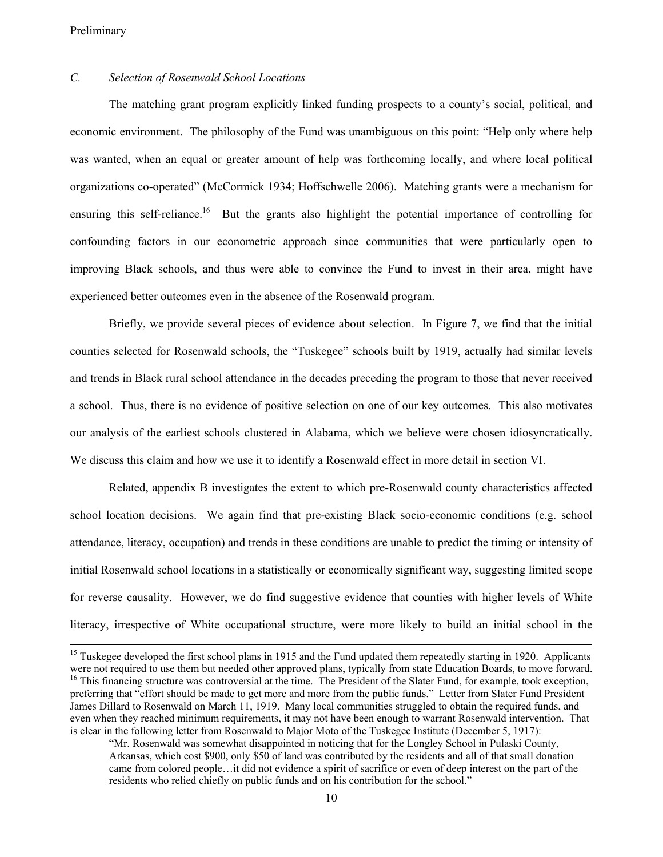## *C. Selection of Rosenwald School Locations*

The matching grant program explicitly linked funding prospects to a county's social, political, and economic environment. The philosophy of the Fund was unambiguous on this point: "Help only where help was wanted, when an equal or greater amount of help was forthcoming locally, and where local political organizations co-operated" (McCormick 1934; Hoffschwelle 2006). Matching grants were a mechanism for ensuring this self-reliance.<sup>16</sup> But the grants also highlight the potential importance of controlling for confounding factors in our econometric approach since communities that were particularly open to improving Black schools, and thus were able to convince the Fund to invest in their area, might have experienced better outcomes even in the absence of the Rosenwald program.

Briefly, we provide several pieces of evidence about selection. In Figure 7, we find that the initial counties selected for Rosenwald schools, the "Tuskegee" schools built by 1919, actually had similar levels and trends in Black rural school attendance in the decades preceding the program to those that never received a school. Thus, there is no evidence of positive selection on one of our key outcomes. This also motivates our analysis of the earliest schools clustered in Alabama, which we believe were chosen idiosyncratically. We discuss this claim and how we use it to identify a Rosenwald effect in more detail in section VI.

Related, appendix B investigates the extent to which pre-Rosenwald county characteristics affected school location decisions. We again find that pre-existing Black socio-economic conditions (e.g. school attendance, literacy, occupation) and trends in these conditions are unable to predict the timing or intensity of initial Rosenwald school locations in a statistically or economically significant way, suggesting limited scope for reverse causality. However, we do find suggestive evidence that counties with higher levels of White literacy, irrespective of White occupational structure, were more likely to build an initial school in the

<sup>&</sup>lt;sup>15</sup> Tuskegee developed the first school plans in 1915 and the Fund updated them repeatedly starting in 1920. Applicants were not required to use them but needed other approved plans, typically from state Education Boards, to move forward. <sup>16</sup> This financing structure was controversial at the time. The President of the Slater Fund, for example, took exception, preferring that "effort should be made to get more and more from the public funds." Letter from Slater Fund President James Dillard to Rosenwald on March 11, 1919. Many local communities struggled to obtain the required funds, and even when they reached minimum requirements, it may not have been enough to warrant Rosenwald intervention. That is clear in the following letter from Rosenwald to Major Moto of the Tuskegee Institute (December 5, 1917):

<sup>&</sup>quot;Mr. Rosenwald was somewhat disappointed in noticing that for the Longley School in Pulaski County, Arkansas, which cost \$900, only \$50 of land was contributed by the residents and all of that small donation came from colored people…it did not evidence a spirit of sacrifice or even of deep interest on the part of the residents who relied chiefly on public funds and on his contribution for the school."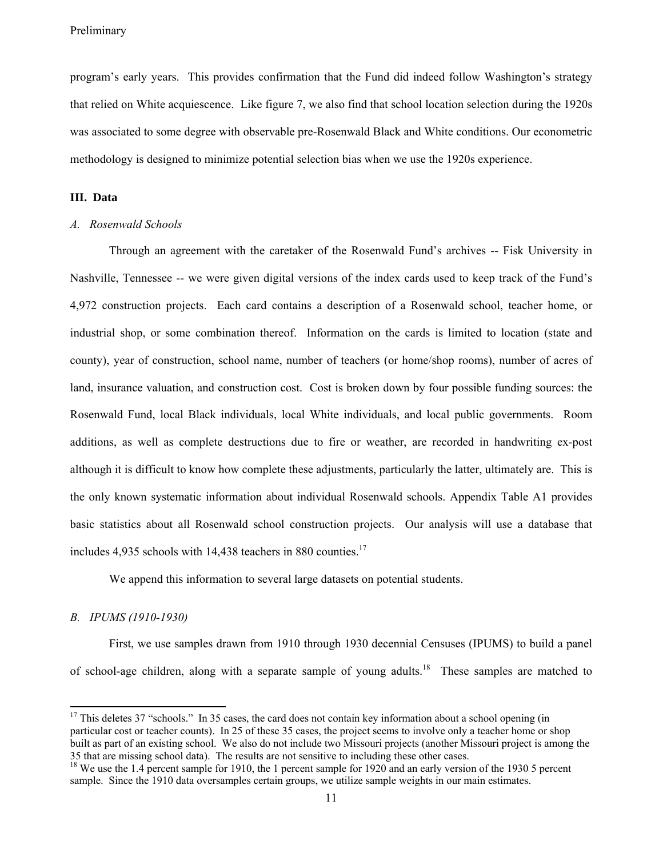program's early years. This provides confirmation that the Fund did indeed follow Washington's strategy that relied on White acquiescence. Like figure 7, we also find that school location selection during the 1920s was associated to some degree with observable pre-Rosenwald Black and White conditions. Our econometric methodology is designed to minimize potential selection bias when we use the 1920s experience.

## **III. Data**

#### *A. Rosenwald Schools*

Through an agreement with the caretaker of the Rosenwald Fund's archives -- Fisk University in Nashville, Tennessee -- we were given digital versions of the index cards used to keep track of the Fund's 4,972 construction projects. Each card contains a description of a Rosenwald school, teacher home, or industrial shop, or some combination thereof. Information on the cards is limited to location (state and county), year of construction, school name, number of teachers (or home/shop rooms), number of acres of land, insurance valuation, and construction cost. Cost is broken down by four possible funding sources: the Rosenwald Fund, local Black individuals, local White individuals, and local public governments. Room additions, as well as complete destructions due to fire or weather, are recorded in handwriting ex-post although it is difficult to know how complete these adjustments, particularly the latter, ultimately are. This is the only known systematic information about individual Rosenwald schools. Appendix Table A1 provides basic statistics about all Rosenwald school construction projects. Our analysis will use a database that includes 4,935 schools with 14,438 teachers in 880 counties.<sup>17</sup>

We append this information to several large datasets on potential students.

#### *B. IPUMS (1910-1930)*

 $\overline{a}$ 

First, we use samples drawn from 1910 through 1930 decennial Censuses (IPUMS) to build a panel of school-age children, along with a separate sample of young adults.<sup>18</sup> These samples are matched to

 $17$  This deletes 37 "schools." In 35 cases, the card does not contain key information about a school opening (in particular cost or teacher counts). In 25 of these 35 cases, the project seems to involve only a teacher home or shop built as part of an existing school. We also do not include two Missouri projects (another Missouri project is among the 35 that are missing school data). The results are not sensitive to including these other cases.

<sup>&</sup>lt;sup>18</sup> We use the 1.4 percent sample for 1910, the 1 percent sample for 1920 and an early version of the 1930 5 percent sample. Since the 1910 data oversamples certain groups, we utilize sample weights in our main estimates.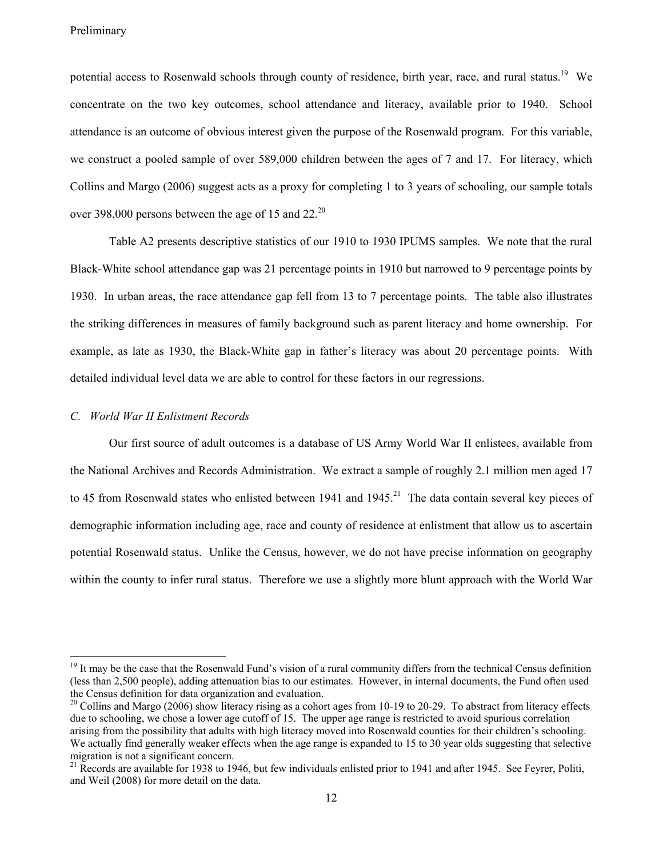potential access to Rosenwald schools through county of residence, birth year, race, and rural status.<sup>19</sup> We concentrate on the two key outcomes, school attendance and literacy, available prior to 1940. School attendance is an outcome of obvious interest given the purpose of the Rosenwald program. For this variable, we construct a pooled sample of over 589,000 children between the ages of 7 and 17. For literacy, which Collins and Margo (2006) suggest acts as a proxy for completing 1 to 3 years of schooling, our sample totals over 398,000 persons between the age of 15 and  $22^{20}$ 

Table A2 presents descriptive statistics of our 1910 to 1930 IPUMS samples. We note that the rural Black-White school attendance gap was 21 percentage points in 1910 but narrowed to 9 percentage points by 1930. In urban areas, the race attendance gap fell from 13 to 7 percentage points. The table also illustrates the striking differences in measures of family background such as parent literacy and home ownership. For example, as late as 1930, the Black-White gap in father's literacy was about 20 percentage points. With detailed individual level data we are able to control for these factors in our regressions.

## *C. World War II Enlistment Records*

Our first source of adult outcomes is a database of US Army World War II enlistees, available from the National Archives and Records Administration. We extract a sample of roughly 2.1 million men aged 17 to 45 from Rosenwald states who enlisted between 1941 and  $1945$ <sup>21</sup>. The data contain several key pieces of demographic information including age, race and county of residence at enlistment that allow us to ascertain potential Rosenwald status. Unlike the Census, however, we do not have precise information on geography within the county to infer rural status. Therefore we use a slightly more blunt approach with the World War

<sup>&</sup>lt;sup>19</sup> It may be the case that the Rosenwald Fund's vision of a rural community differs from the technical Census definition (less than 2,500 people), adding attenuation bias to our estimates. However, in internal documents, the Fund often used the Census definition for data organization and evaluation.

 $20$  Collins and Margo (2006) show literacy rising as a cohort ages from 10-19 to 20-29. To abstract from literacy effects due to schooling, we chose a lower age cutoff of 15. The upper age range is restricted to avoid spurious correlation arising from the possibility that adults with high literacy moved into Rosenwald counties for their children's schooling. We actually find generally weaker effects when the age range is expanded to 15 to 30 year olds suggesting that selective migration is not a significant concern.

 $^{21}$  Records are available for 1938 to 1946, but few individuals enlisted prior to 1941 and after 1945. See Feyrer, Politi, and Weil (2008) for more detail on the data.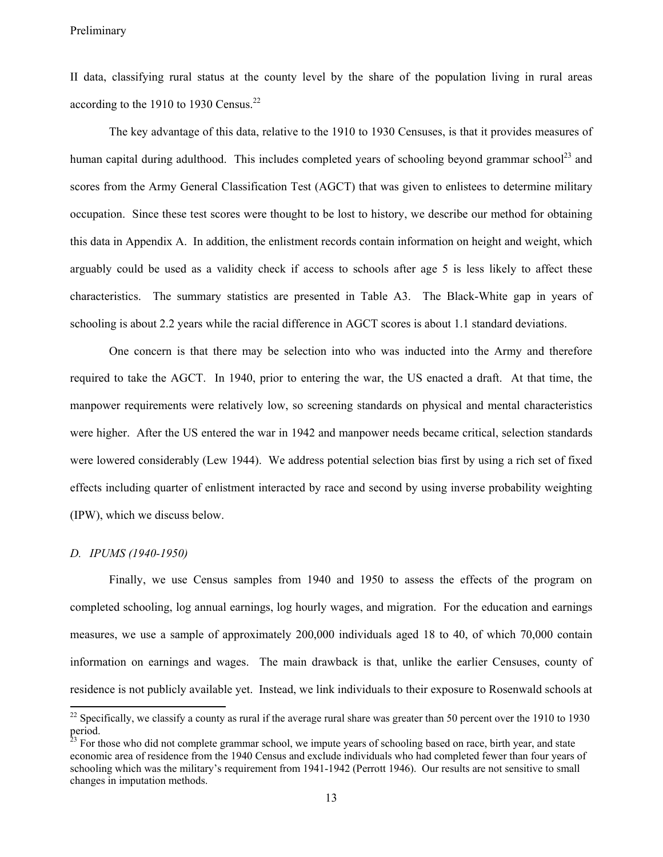II data, classifying rural status at the county level by the share of the population living in rural areas according to the 1910 to 1930 Census.<sup>22</sup>

The key advantage of this data, relative to the 1910 to 1930 Censuses, is that it provides measures of human capital during adulthood. This includes completed years of schooling beyond grammar school<sup>23</sup> and scores from the Army General Classification Test (AGCT) that was given to enlistees to determine military occupation. Since these test scores were thought to be lost to history, we describe our method for obtaining this data in Appendix A. In addition, the enlistment records contain information on height and weight, which arguably could be used as a validity check if access to schools after age 5 is less likely to affect these characteristics. The summary statistics are presented in Table A3. The Black-White gap in years of schooling is about 2.2 years while the racial difference in AGCT scores is about 1.1 standard deviations.

One concern is that there may be selection into who was inducted into the Army and therefore required to take the AGCT. In 1940, prior to entering the war, the US enacted a draft. At that time, the manpower requirements were relatively low, so screening standards on physical and mental characteristics were higher. After the US entered the war in 1942 and manpower needs became critical, selection standards were lowered considerably (Lew 1944). We address potential selection bias first by using a rich set of fixed effects including quarter of enlistment interacted by race and second by using inverse probability weighting (IPW), which we discuss below.

#### *D. IPUMS (1940-1950)*

 $\overline{a}$ 

Finally, we use Census samples from 1940 and 1950 to assess the effects of the program on completed schooling, log annual earnings, log hourly wages, and migration. For the education and earnings measures, we use a sample of approximately 200,000 individuals aged 18 to 40, of which 70,000 contain information on earnings and wages. The main drawback is that, unlike the earlier Censuses, county of residence is not publicly available yet. Instead, we link individuals to their exposure to Rosenwald schools at

<sup>&</sup>lt;sup>22</sup> Specifically, we classify a county as rural if the average rural share was greater than 50 percent over the 1910 to 1930 period.

 $23$  For those who did not complete grammar school, we impute years of schooling based on race, birth year, and state economic area of residence from the 1940 Census and exclude individuals who had completed fewer than four years of schooling which was the military's requirement from 1941-1942 (Perrott 1946). Our results are not sensitive to small changes in imputation methods.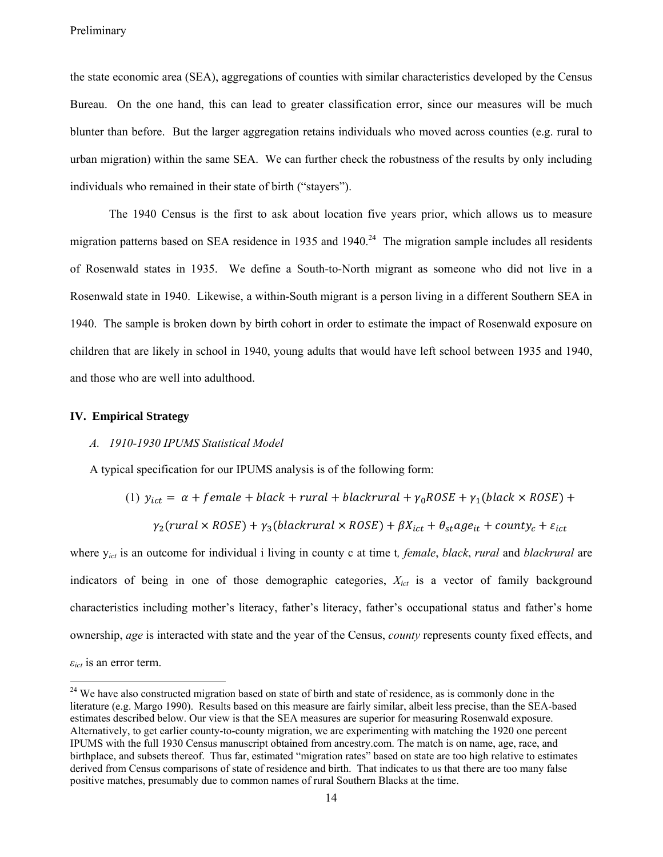the state economic area (SEA), aggregations of counties with similar characteristics developed by the Census Bureau. On the one hand, this can lead to greater classification error, since our measures will be much blunter than before. But the larger aggregation retains individuals who moved across counties (e.g. rural to urban migration) within the same SEA. We can further check the robustness of the results by only including individuals who remained in their state of birth ("stayers").

The 1940 Census is the first to ask about location five years prior, which allows us to measure migration patterns based on SEA residence in 1935 and  $1940.<sup>24</sup>$  The migration sample includes all residents of Rosenwald states in 1935. We define a South-to-North migrant as someone who did not live in a Rosenwald state in 1940. Likewise, a within-South migrant is a person living in a different Southern SEA in 1940. The sample is broken down by birth cohort in order to estimate the impact of Rosenwald exposure on children that are likely in school in 1940, young adults that would have left school between 1935 and 1940, and those who are well into adulthood.

## **IV. Empirical Strategy**

#### *A. 1910-1930 IPUMS Statistical Model*

A typical specification for our IPUMS analysis is of the following form:

(1)  $y_{ict} = \alpha + female + black + rural + black = r_{1} + \gamma_{0}ROSE + \gamma_{1} (black \times ROSE) +$  $\gamma_2$ (rural × ROSE) +  $\gamma_3$ (blackrural × ROSE) +  $\beta X_{ict} + \theta_{st} age_{it} + count y_c + \varepsilon_{ict}$ 

where y*ict* is an outcome for individual i living in county c at time t*, female*, *black*, *rural* and *blackrural* are indicators of being in one of those demographic categories, *Xict* is a vector of family background characteristics including mother's literacy, father's literacy, father's occupational status and father's home ownership, *age* is interacted with state and the year of the Census, *county* represents county fixed effects, and  $\varepsilon_{ict}$  is an error term.

<sup>&</sup>lt;sup>24</sup> We have also constructed migration based on state of birth and state of residence, as is commonly done in the literature (e.g. Margo 1990). Results based on this measure are fairly similar, albeit less precise, than the SEA-based estimates described below. Our view is that the SEA measures are superior for measuring Rosenwald exposure. Alternatively, to get earlier county-to-county migration, we are experimenting with matching the 1920 one percent IPUMS with the full 1930 Census manuscript obtained from ancestry.com. The match is on name, age, race, and birthplace, and subsets thereof. Thus far, estimated "migration rates" based on state are too high relative to estimates derived from Census comparisons of state of residence and birth. That indicates to us that there are too many false positive matches, presumably due to common names of rural Southern Blacks at the time.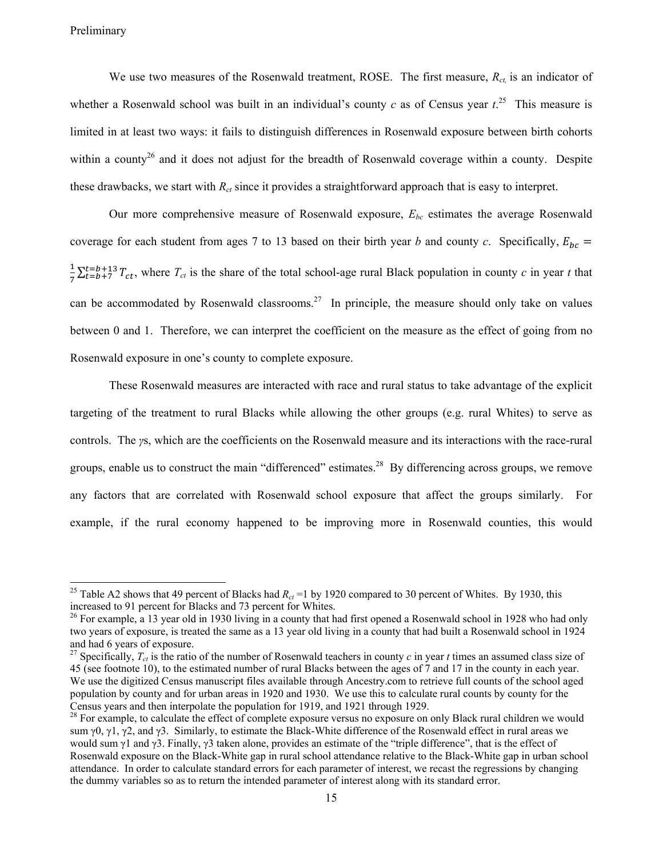We use two measures of the Rosenwald treatment, ROSE. The first measure,  $R_{ct}$  is an indicator of whether a Rosenwald school was built in an individual's county  $c$  as of Census year  $t$ <sup>25</sup>. This measure is limited in at least two ways: it fails to distinguish differences in Rosenwald exposure between birth cohorts within a county<sup>26</sup> and it does not adjust for the breadth of Rosenwald coverage within a county. Despite these drawbacks, we start with  $R_{ct}$  since it provides a straightforward approach that is easy to interpret.

Our more comprehensive measure of Rosenwald exposure, *Ebc* estimates the average Rosenwald coverage for each student from ages 7 to 13 based on their birth year *b* and county *c*. Specifically,  $E_{bc}$  =  $\frac{1}{7}\sum_{t=b+7}^{t=b+13}T_{ct}$ , where  $T_{ct}$  is the share of the total school-age rural Black population in county *c* in year *t* that can be accommodated by Rosenwald classrooms.<sup>27</sup> In principle, the measure should only take on values between 0 and 1. Therefore, we can interpret the coefficient on the measure as the effect of going from no Rosenwald exposure in one's county to complete exposure.

These Rosenwald measures are interacted with race and rural status to take advantage of the explicit targeting of the treatment to rural Blacks while allowing the other groups (e.g. rural Whites) to serve as controls. The *γ*s, which are the coefficients on the Rosenwald measure and its interactions with the race-rural groups, enable us to construct the main "differenced" estimates.<sup>28</sup> By differencing across groups, we remove any factors that are correlated with Rosenwald school exposure that affect the groups similarly. For example, if the rural economy happened to be improving more in Rosenwald counties, this would

<sup>&</sup>lt;sup>25</sup> Table A2 shows that 49 percent of Blacks had  $R_{ct}$  =1 by 1920 compared to 30 percent of Whites. By 1930, this increased to 91 percent for Blacks and 73 percent for Whites.<br><sup>26</sup> For example, a 13 year old in 1930 living in a county that had first opened a Rosenwald school in 1928 who had only

two years of exposure, is treated the same as a 13 year old living in a county that had built a Rosenwald school in 1924 and had 6 years of exposure.

<sup>&</sup>lt;sup>27</sup> Specifically,  $T_{ct}$  is the ratio of the number of Rosenwald teachers in county *c* in year *t* times an assumed class size of 45 (see footnote 10), to the estimated number of rural Blacks between the ages of 7 and 17 in the county in each year. We use the digitized Census manuscript files available through Ancestry.com to retrieve full counts of the school aged population by county and for urban areas in 1920 and 1930. We use this to calculate rural counts by county for the Census years and then interpolate the population for 1919, and 1921 through 1929.

 $28$  For example, to calculate the effect of complete exposure versus no exposure on only Black rural children we would sum γ0, γ1, γ2, and γ3. Similarly, to estimate the Black-White difference of the Rosenwald effect in rural areas we would sum γ1 and γ3. Finally, γ3 taken alone, provides an estimate of the "triple difference", that is the effect of Rosenwald exposure on the Black-White gap in rural school attendance relative to the Black-White gap in urban school attendance. In order to calculate standard errors for each parameter of interest, we recast the regressions by changing the dummy variables so as to return the intended parameter of interest along with its standard error.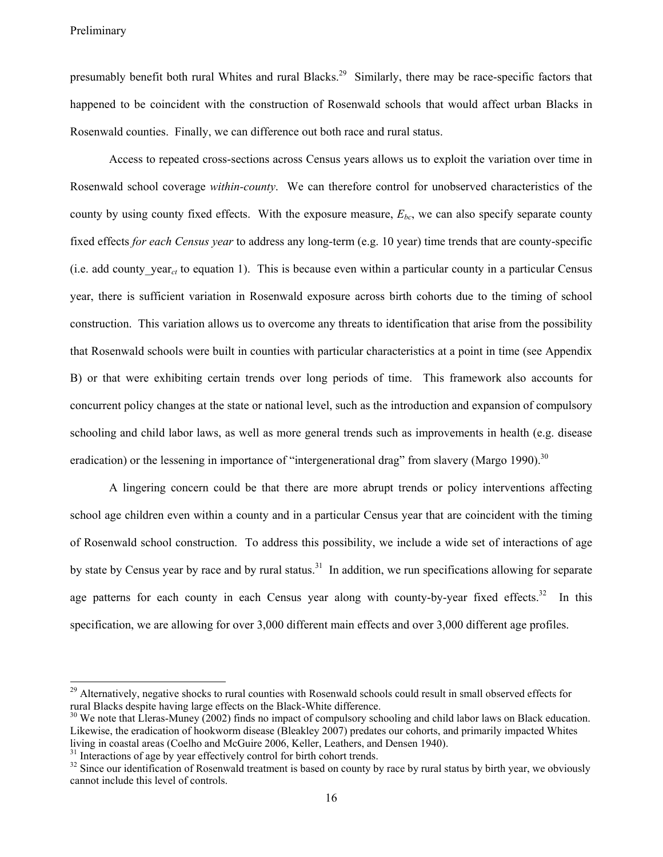presumably benefit both rural Whites and rural Blacks.<sup>29</sup> Similarly, there may be race-specific factors that happened to be coincident with the construction of Rosenwald schools that would affect urban Blacks in Rosenwald counties. Finally, we can difference out both race and rural status.

Access to repeated cross-sections across Census years allows us to exploit the variation over time in Rosenwald school coverage *within-county*. We can therefore control for unobserved characteristics of the county by using county fixed effects. With the exposure measure,  $E_{bc}$ , we can also specify separate county fixed effects *for each Census year* to address any long-term (e.g. 10 year) time trends that are county-specific (i.e. add county year<sub>ct</sub> to equation 1). This is because even within a particular county in a particular Census year, there is sufficient variation in Rosenwald exposure across birth cohorts due to the timing of school construction. This variation allows us to overcome any threats to identification that arise from the possibility that Rosenwald schools were built in counties with particular characteristics at a point in time (see Appendix B) or that were exhibiting certain trends over long periods of time. This framework also accounts for concurrent policy changes at the state or national level, such as the introduction and expansion of compulsory schooling and child labor laws, as well as more general trends such as improvements in health (e.g. disease eradication) or the lessening in importance of "intergenerational drag" from slavery (Margo 1990).<sup>30</sup>

A lingering concern could be that there are more abrupt trends or policy interventions affecting school age children even within a county and in a particular Census year that are coincident with the timing of Rosenwald school construction. To address this possibility, we include a wide set of interactions of age by state by Census year by race and by rural status.<sup>31</sup> In addition, we run specifications allowing for separate age patterns for each county in each Census year along with county-by-year fixed effects.<sup>32</sup> In this specification, we are allowing for over 3,000 different main effects and over 3,000 different age profiles.

<sup>&</sup>lt;sup>29</sup> Alternatively, negative shocks to rural counties with Rosenwald schools could result in small observed effects for rural Blacks despite having large effects on the Black-White difference.<br><sup>30</sup> We note that Lleras-Muney (2002) finds no impact of compulsory schooling and child labor laws on Black education.

Likewise, the eradication of hookworm disease (Bleakley 2007) predates our cohorts, and primarily impacted Whites living in coastal areas (Coelho and McGuire 2006, Keller, Leathers, and Densen 1940).<br><sup>31</sup> Interactions of age by year effectively control for birth cohort trends.

 $32$  Since our identification of Rosenwald treatment is based on county by race by rural status by birth year, we obviously cannot include this level of controls.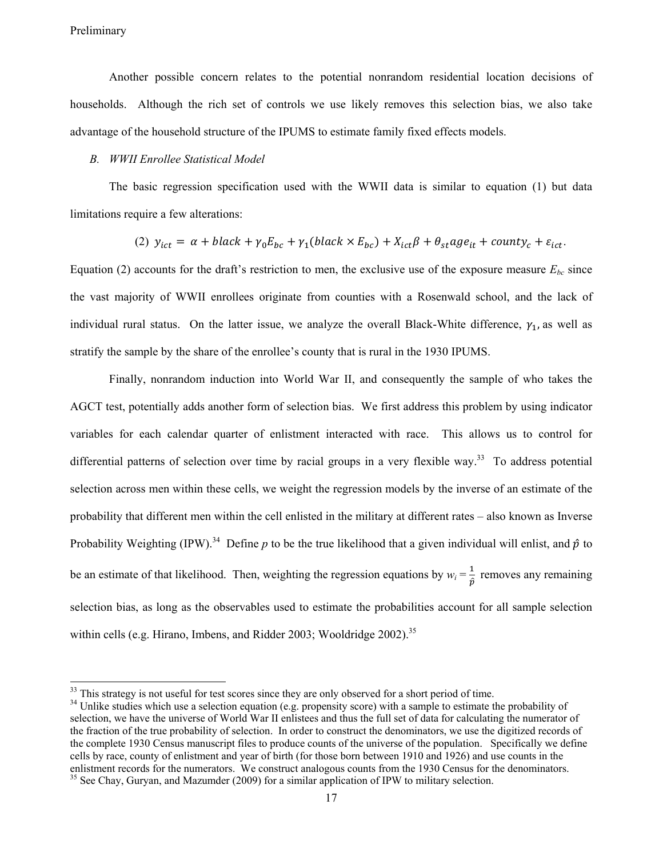Another possible concern relates to the potential nonrandom residential location decisions of households. Although the rich set of controls we use likely removes this selection bias, we also take advantage of the household structure of the IPUMS to estimate family fixed effects models.

#### *B. WWII Enrollee Statistical Model*

The basic regression specification used with the WWII data is similar to equation (1) but data limitations require a few alterations:

(2) 
$$
y_{ict} = \alpha + black + \gamma_0 E_{bc} + \gamma_1 (black \times E_{bc}) + X_{ict} \beta + \theta_{st} age_{it} + count y_c + \varepsilon_{ict}
$$
.

Equation (2) accounts for the draft's restriction to men, the exclusive use of the exposure measure  $E_{bc}$  since the vast majority of WWII enrollees originate from counties with a Rosenwald school, and the lack of individual rural status. On the latter issue, we analyze the overall Black-White difference,  $\gamma_1$ , as well as stratify the sample by the share of the enrollee's county that is rural in the 1930 IPUMS.

Finally, nonrandom induction into World War II, and consequently the sample of who takes the AGCT test, potentially adds another form of selection bias. We first address this problem by using indicator variables for each calendar quarter of enlistment interacted with race. This allows us to control for differential patterns of selection over time by racial groups in a very flexible way.<sup>33</sup> To address potential selection across men within these cells, we weight the regression models by the inverse of an estimate of the probability that different men within the cell enlisted in the military at different rates – also known as Inverse Probability Weighting (IPW).<sup>34</sup> Define *p* to be the true likelihood that a given individual will enlist, and  $\hat{p}$  to be an estimate of that likelihood. Then, weighting the regression equations by  $w_i = \frac{1}{\hat{p}}$  removes any remaining selection bias, as long as the observables used to estimate the probabilities account for all sample selection within cells (e.g. Hirano, Imbens, and Ridder 2003; Wooldridge  $2002$ )<sup>35</sup>

 $33$  This strategy is not useful for test scores since they are only observed for a short period of time.

<sup>&</sup>lt;sup>34</sup> Unlike studies which use a selection equation (e.g. propensity score) with a sample to estimate the probability of selection, we have the universe of World War II enlistees and thus the full set of data for calculating the numerator of the fraction of the true probability of selection. In order to construct the denominators, we use the digitized records of the complete 1930 Census manuscript files to produce counts of the universe of the population. Specifically we define cells by race, county of enlistment and year of birth (for those born between 1910 and 1926) and use counts in the enlistment records for the numerators. We construct analogous counts from the 1930 Census for the denominators. <sup>35</sup> See Chay, Guryan, and Mazumder (2009) for a similar application of IPW to military selection.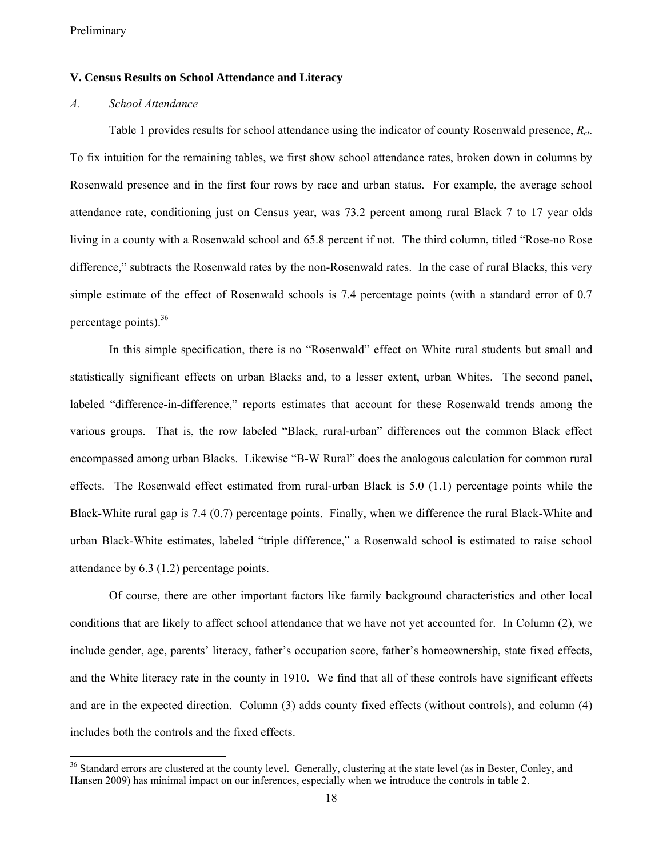## **V. Census Results on School Attendance and Literacy**

#### *A. School Attendance*

Table 1 provides results for school attendance using the indicator of county Rosenwald presence, *Rct*. To fix intuition for the remaining tables, we first show school attendance rates, broken down in columns by Rosenwald presence and in the first four rows by race and urban status. For example, the average school attendance rate, conditioning just on Census year, was 73.2 percent among rural Black 7 to 17 year olds living in a county with a Rosenwald school and 65.8 percent if not. The third column, titled "Rose-no Rose difference," subtracts the Rosenwald rates by the non-Rosenwald rates. In the case of rural Blacks, this very simple estimate of the effect of Rosenwald schools is 7.4 percentage points (with a standard error of 0.7 percentage points).<sup>36</sup>

In this simple specification, there is no "Rosenwald" effect on White rural students but small and statistically significant effects on urban Blacks and, to a lesser extent, urban Whites. The second panel, labeled "difference-in-difference," reports estimates that account for these Rosenwald trends among the various groups. That is, the row labeled "Black, rural-urban" differences out the common Black effect encompassed among urban Blacks. Likewise "B-W Rural" does the analogous calculation for common rural effects. The Rosenwald effect estimated from rural-urban Black is 5.0 (1.1) percentage points while the Black-White rural gap is 7.4 (0.7) percentage points. Finally, when we difference the rural Black-White and urban Black-White estimates, labeled "triple difference," a Rosenwald school is estimated to raise school attendance by 6.3 (1.2) percentage points.

Of course, there are other important factors like family background characteristics and other local conditions that are likely to affect school attendance that we have not yet accounted for. In Column (2), we include gender, age, parents' literacy, father's occupation score, father's homeownership, state fixed effects, and the White literacy rate in the county in 1910. We find that all of these controls have significant effects and are in the expected direction. Column (3) adds county fixed effects (without controls), and column (4) includes both the controls and the fixed effects.

<sup>&</sup>lt;sup>36</sup> Standard errors are clustered at the county level. Generally, clustering at the state level (as in Bester, Conley, and Hansen 2009) has minimal impact on our inferences, especially when we introduce the controls in table 2.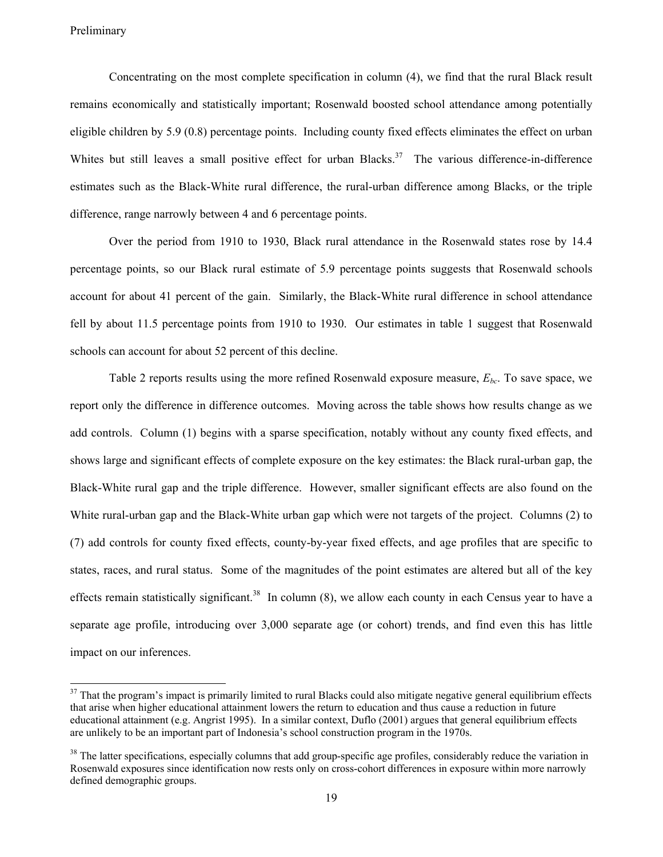Concentrating on the most complete specification in column (4), we find that the rural Black result remains economically and statistically important; Rosenwald boosted school attendance among potentially eligible children by 5.9 (0.8) percentage points. Including county fixed effects eliminates the effect on urban Whites but still leaves a small positive effect for urban Blacks.<sup>37</sup> The various difference-in-difference estimates such as the Black-White rural difference, the rural-urban difference among Blacks, or the triple difference, range narrowly between 4 and 6 percentage points.

Over the period from 1910 to 1930, Black rural attendance in the Rosenwald states rose by 14.4 percentage points, so our Black rural estimate of 5.9 percentage points suggests that Rosenwald schools account for about 41 percent of the gain. Similarly, the Black-White rural difference in school attendance fell by about 11.5 percentage points from 1910 to 1930. Our estimates in table 1 suggest that Rosenwald schools can account for about 52 percent of this decline.

Table 2 reports results using the more refined Rosenwald exposure measure, *Ebc*. To save space, we report only the difference in difference outcomes. Moving across the table shows how results change as we add controls. Column (1) begins with a sparse specification, notably without any county fixed effects, and shows large and significant effects of complete exposure on the key estimates: the Black rural-urban gap, the Black-White rural gap and the triple difference. However, smaller significant effects are also found on the White rural-urban gap and the Black-White urban gap which were not targets of the project. Columns (2) to (7) add controls for county fixed effects, county-by-year fixed effects, and age profiles that are specific to states, races, and rural status. Some of the magnitudes of the point estimates are altered but all of the key effects remain statistically significant.<sup>38</sup> In column (8), we allow each county in each Census year to have a separate age profile, introducing over 3,000 separate age (or cohort) trends, and find even this has little impact on our inferences.

<sup>&</sup>lt;sup>37</sup> That the program's impact is primarily limited to rural Blacks could also mitigate negative general equilibrium effects that arise when higher educational attainment lowers the return to education and thus cause a reduction in future educational attainment (e.g. Angrist 1995). In a similar context, Duflo (2001) argues that general equilibrium effects are unlikely to be an important part of Indonesia's school construction program in the 1970s.

<sup>&</sup>lt;sup>38</sup> The latter specifications, especially columns that add group-specific age profiles, considerably reduce the variation in Rosenwald exposures since identification now rests only on cross-cohort differences in exposure within more narrowly defined demographic groups.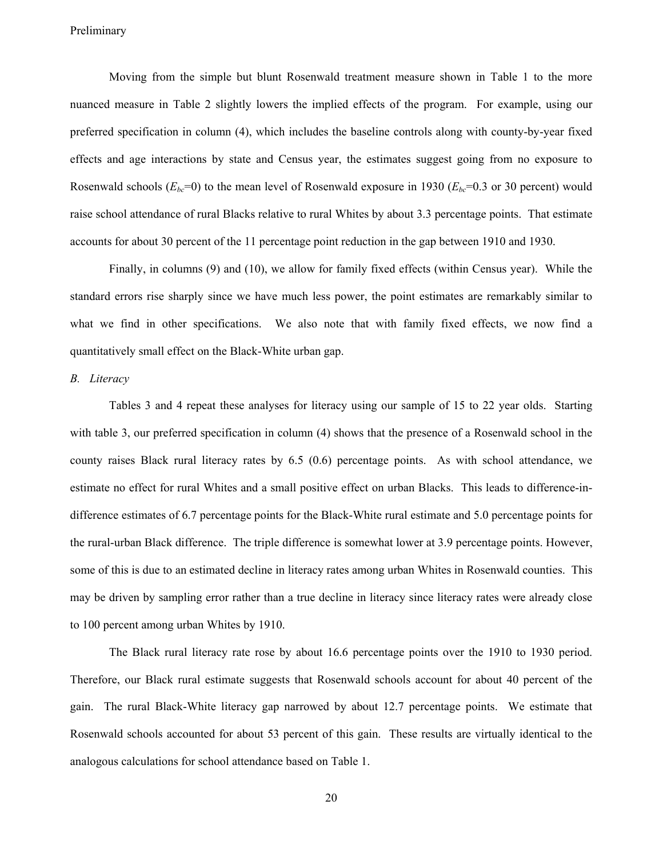Moving from the simple but blunt Rosenwald treatment measure shown in Table 1 to the more nuanced measure in Table 2 slightly lowers the implied effects of the program. For example, using our preferred specification in column (4), which includes the baseline controls along with county-by-year fixed effects and age interactions by state and Census year, the estimates suggest going from no exposure to Rosenwald schools  $(E_{bc}=0)$  to the mean level of Rosenwald exposure in 1930  $(E_{bc}=0.3$  or 30 percent) would raise school attendance of rural Blacks relative to rural Whites by about 3.3 percentage points. That estimate accounts for about 30 percent of the 11 percentage point reduction in the gap between 1910 and 1930.

Finally, in columns (9) and (10), we allow for family fixed effects (within Census year). While the standard errors rise sharply since we have much less power, the point estimates are remarkably similar to what we find in other specifications. We also note that with family fixed effects, we now find a quantitatively small effect on the Black-White urban gap.

#### *B. Literacy*

Tables 3 and 4 repeat these analyses for literacy using our sample of 15 to 22 year olds. Starting with table 3, our preferred specification in column (4) shows that the presence of a Rosenwald school in the county raises Black rural literacy rates by 6.5 (0.6) percentage points. As with school attendance, we estimate no effect for rural Whites and a small positive effect on urban Blacks. This leads to difference-indifference estimates of 6.7 percentage points for the Black-White rural estimate and 5.0 percentage points for the rural-urban Black difference. The triple difference is somewhat lower at 3.9 percentage points. However, some of this is due to an estimated decline in literacy rates among urban Whites in Rosenwald counties. This may be driven by sampling error rather than a true decline in literacy since literacy rates were already close to 100 percent among urban Whites by 1910.

The Black rural literacy rate rose by about 16.6 percentage points over the 1910 to 1930 period. Therefore, our Black rural estimate suggests that Rosenwald schools account for about 40 percent of the gain. The rural Black-White literacy gap narrowed by about 12.7 percentage points. We estimate that Rosenwald schools accounted for about 53 percent of this gain. These results are virtually identical to the analogous calculations for school attendance based on Table 1.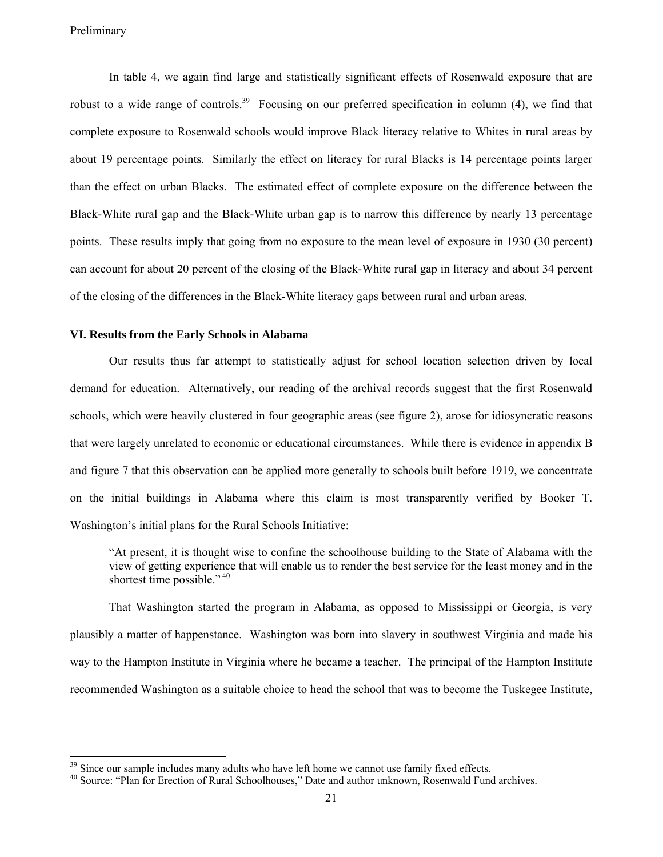In table 4, we again find large and statistically significant effects of Rosenwald exposure that are robust to a wide range of controls.<sup>39</sup> Focusing on our preferred specification in column (4), we find that complete exposure to Rosenwald schools would improve Black literacy relative to Whites in rural areas by about 19 percentage points. Similarly the effect on literacy for rural Blacks is 14 percentage points larger than the effect on urban Blacks. The estimated effect of complete exposure on the difference between the Black-White rural gap and the Black-White urban gap is to narrow this difference by nearly 13 percentage points. These results imply that going from no exposure to the mean level of exposure in 1930 (30 percent) can account for about 20 percent of the closing of the Black-White rural gap in literacy and about 34 percent of the closing of the differences in the Black-White literacy gaps between rural and urban areas.

#### **VI. Results from the Early Schools in Alabama**

Our results thus far attempt to statistically adjust for school location selection driven by local demand for education. Alternatively, our reading of the archival records suggest that the first Rosenwald schools, which were heavily clustered in four geographic areas (see figure 2), arose for idiosyncratic reasons that were largely unrelated to economic or educational circumstances. While there is evidence in appendix B and figure 7 that this observation can be applied more generally to schools built before 1919, we concentrate on the initial buildings in Alabama where this claim is most transparently verified by Booker T. Washington's initial plans for the Rural Schools Initiative:

"At present, it is thought wise to confine the schoolhouse building to the State of Alabama with the view of getting experience that will enable us to render the best service for the least money and in the shortest time possible."<sup>40</sup>

That Washington started the program in Alabama, as opposed to Mississippi or Georgia, is very plausibly a matter of happenstance. Washington was born into slavery in southwest Virginia and made his way to the Hampton Institute in Virginia where he became a teacher. The principal of the Hampton Institute recommended Washington as a suitable choice to head the school that was to become the Tuskegee Institute,

 $39$  Since our sample includes many adults who have left home we cannot use family fixed effects.<br> $40$  Source: "Plan for Erection of Rural Schoolhouses," Date and author unknown, Rosenwald Fund archives.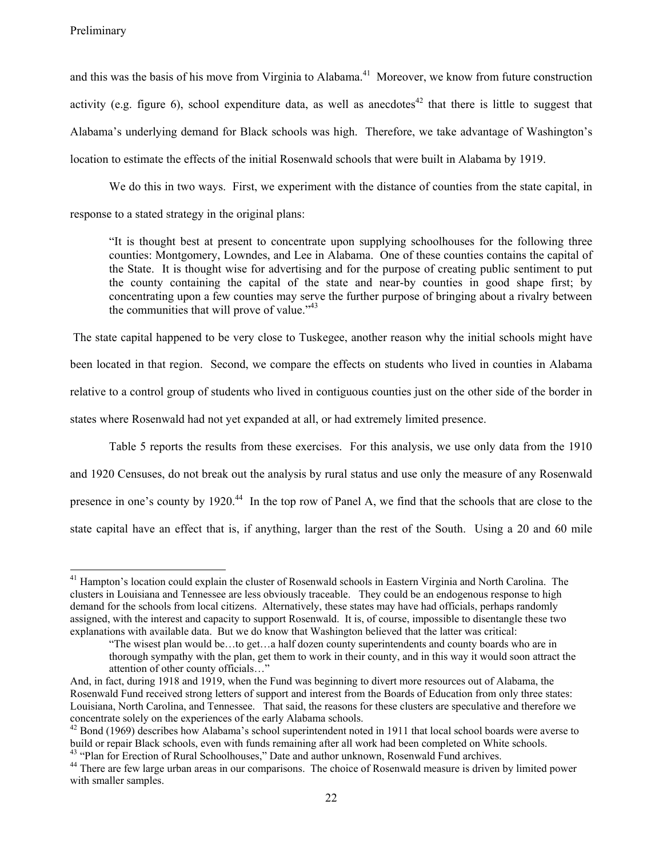and this was the basis of his move from Virginia to Alabama.<sup>41</sup> Moreover, we know from future construction activity (e.g. figure 6), school expenditure data, as well as anecdotes<sup>42</sup> that there is little to suggest that Alabama's underlying demand for Black schools was high. Therefore, we take advantage of Washington's location to estimate the effects of the initial Rosenwald schools that were built in Alabama by 1919.

We do this in two ways. First, we experiment with the distance of counties from the state capital, in response to a stated strategy in the original plans:

"It is thought best at present to concentrate upon supplying schoolhouses for the following three counties: Montgomery, Lowndes, and Lee in Alabama. One of these counties contains the capital of the State. It is thought wise for advertising and for the purpose of creating public sentiment to put the county containing the capital of the state and near-by counties in good shape first; by concentrating upon a few counties may serve the further purpose of bringing about a rivalry between the communities that will prove of value."<sup>43</sup>

 The state capital happened to be very close to Tuskegee, another reason why the initial schools might have been located in that region. Second, we compare the effects on students who lived in counties in Alabama relative to a control group of students who lived in contiguous counties just on the other side of the border in states where Rosenwald had not yet expanded at all, or had extremely limited presence.

Table 5 reports the results from these exercises. For this analysis, we use only data from the 1910 and 1920 Censuses, do not break out the analysis by rural status and use only the measure of any Rosenwald presence in one's county by 1920.<sup>44</sup> In the top row of Panel A, we find that the schools that are close to the state capital have an effect that is, if anything, larger than the rest of the South. Using a 20 and 60 mile

 $41$  Hampton's location could explain the cluster of Rosenwald schools in Eastern Virginia and North Carolina. The clusters in Louisiana and Tennessee are less obviously traceable. They could be an endogenous response to high demand for the schools from local citizens. Alternatively, these states may have had officials, perhaps randomly assigned, with the interest and capacity to support Rosenwald. It is, of course, impossible to disentangle these two explanations with available data. But we do know that Washington believed that the latter was critical:

<sup>&</sup>quot;The wisest plan would be…to get…a half dozen county superintendents and county boards who are in thorough sympathy with the plan, get them to work in their county, and in this way it would soon attract the attention of other county officials…"

And, in fact, during 1918 and 1919, when the Fund was beginning to divert more resources out of Alabama, the Rosenwald Fund received strong letters of support and interest from the Boards of Education from only three states: Louisiana, North Carolina, and Tennessee. That said, the reasons for these clusters are speculative and therefore we concentrate solely on the experiences of the early Alabama schools.<br><sup>42</sup> Bond (1969) describes how Alabama's school superintendent noted in 1911 that local school boards were averse to

build or repair Black schools, even with funds remaining after all work had been completed on White schools. <sup>43</sup> "Plan for Erection of Rural Schoolhouses," Date and author unknown, Rosenwald Fund archives.

<sup>&</sup>lt;sup>44</sup> There are few large urban areas in our comparisons. The choice of Rosenwald measure is driven by limited power with smaller samples.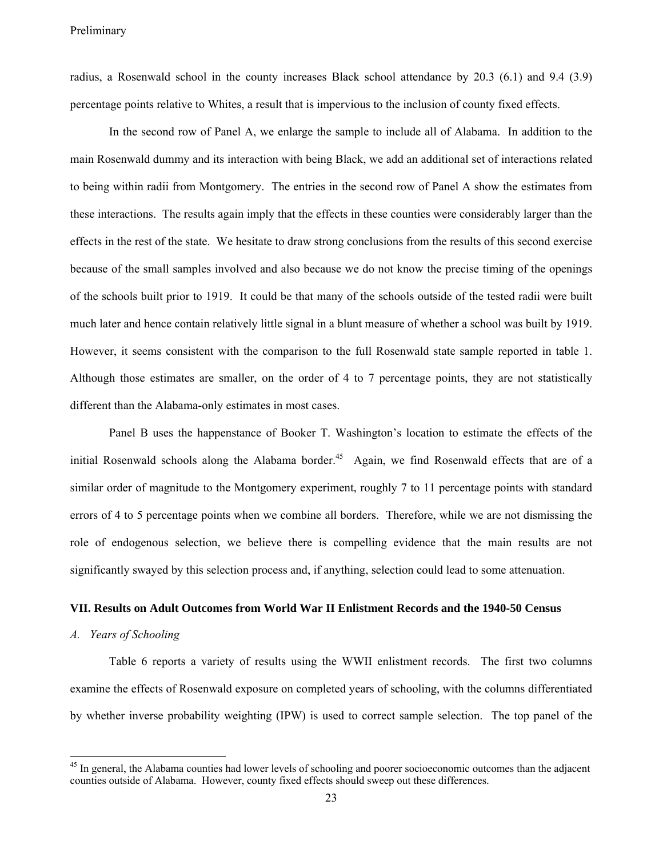radius, a Rosenwald school in the county increases Black school attendance by 20.3 (6.1) and 9.4 (3.9) percentage points relative to Whites, a result that is impervious to the inclusion of county fixed effects.

In the second row of Panel A, we enlarge the sample to include all of Alabama. In addition to the main Rosenwald dummy and its interaction with being Black, we add an additional set of interactions related to being within radii from Montgomery. The entries in the second row of Panel A show the estimates from these interactions. The results again imply that the effects in these counties were considerably larger than the effects in the rest of the state. We hesitate to draw strong conclusions from the results of this second exercise because of the small samples involved and also because we do not know the precise timing of the openings of the schools built prior to 1919. It could be that many of the schools outside of the tested radii were built much later and hence contain relatively little signal in a blunt measure of whether a school was built by 1919. However, it seems consistent with the comparison to the full Rosenwald state sample reported in table 1. Although those estimates are smaller, on the order of 4 to 7 percentage points, they are not statistically different than the Alabama-only estimates in most cases.

Panel B uses the happenstance of Booker T. Washington's location to estimate the effects of the initial Rosenwald schools along the Alabama border.<sup>45</sup> Again, we find Rosenwald effects that are of a similar order of magnitude to the Montgomery experiment, roughly 7 to 11 percentage points with standard errors of 4 to 5 percentage points when we combine all borders. Therefore, while we are not dismissing the role of endogenous selection, we believe there is compelling evidence that the main results are not significantly swayed by this selection process and, if anything, selection could lead to some attenuation.

#### **VII. Results on Adult Outcomes from World War II Enlistment Records and the 1940-50 Census**

#### *A. Years of Schooling*

Table 6 reports a variety of results using the WWII enlistment records. The first two columns examine the effects of Rosenwald exposure on completed years of schooling, with the columns differentiated by whether inverse probability weighting (IPW) is used to correct sample selection. The top panel of the

<sup>&</sup>lt;sup>45</sup> In general, the Alabama counties had lower levels of schooling and poorer socioeconomic outcomes than the adjacent counties outside of Alabama. However, county fixed effects should sweep out these differences.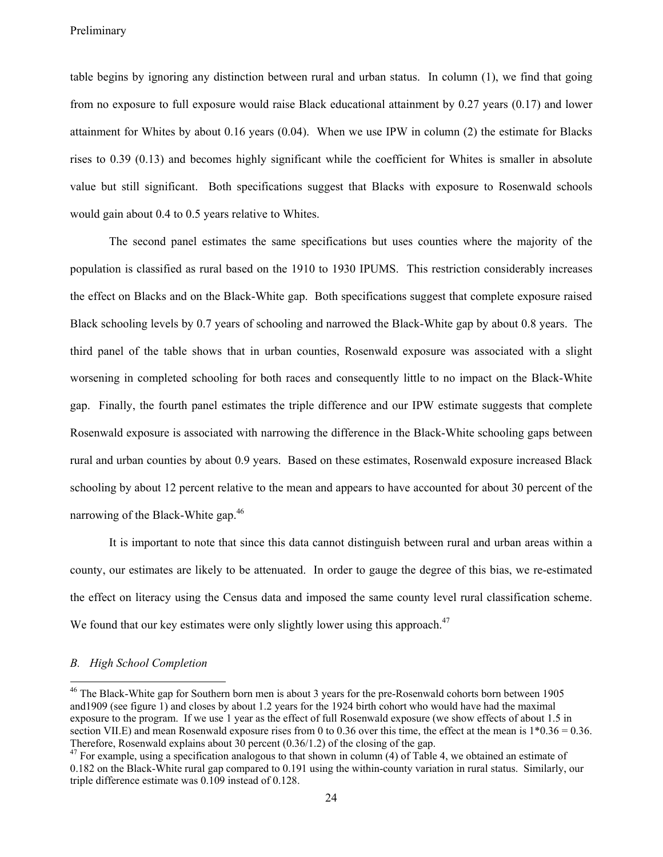table begins by ignoring any distinction between rural and urban status. In column (1), we find that going from no exposure to full exposure would raise Black educational attainment by 0.27 years (0.17) and lower attainment for Whites by about 0.16 years (0.04). When we use IPW in column (2) the estimate for Blacks rises to 0.39 (0.13) and becomes highly significant while the coefficient for Whites is smaller in absolute value but still significant. Both specifications suggest that Blacks with exposure to Rosenwald schools would gain about 0.4 to 0.5 years relative to Whites.

The second panel estimates the same specifications but uses counties where the majority of the population is classified as rural based on the 1910 to 1930 IPUMS. This restriction considerably increases the effect on Blacks and on the Black-White gap. Both specifications suggest that complete exposure raised Black schooling levels by 0.7 years of schooling and narrowed the Black-White gap by about 0.8 years. The third panel of the table shows that in urban counties, Rosenwald exposure was associated with a slight worsening in completed schooling for both races and consequently little to no impact on the Black-White gap. Finally, the fourth panel estimates the triple difference and our IPW estimate suggests that complete Rosenwald exposure is associated with narrowing the difference in the Black-White schooling gaps between rural and urban counties by about 0.9 years. Based on these estimates, Rosenwald exposure increased Black schooling by about 12 percent relative to the mean and appears to have accounted for about 30 percent of the narrowing of the Black-White gap.<sup>46</sup>

It is important to note that since this data cannot distinguish between rural and urban areas within a county, our estimates are likely to be attenuated. In order to gauge the degree of this bias, we re-estimated the effect on literacy using the Census data and imposed the same county level rural classification scheme. We found that our key estimates were only slightly lower using this approach.<sup>47</sup>

#### *B. High School Completion*

<sup>&</sup>lt;sup>46</sup> The Black-White gap for Southern born men is about 3 years for the pre-Rosenwald cohorts born between 1905 and1909 (see figure 1) and closes by about 1.2 years for the 1924 birth cohort who would have had the maximal exposure to the program. If we use 1 year as the effect of full Rosenwald exposure (we show effects of about 1.5 in section VII.E) and mean Rosenwald exposure rises from 0 to 0.36 over this time, the effect at the mean is  $1*0.36 = 0.36$ . Therefore, Rosenwald explains about 30 percent (0.36/1.2) of the closing of the gap.

 $47$  For example, using a specification analogous to that shown in column (4) of Table 4, we obtained an estimate of 0.182 on the Black-White rural gap compared to 0.191 using the within-county variation in rural status. Similarly, our triple difference estimate was 0.109 instead of 0.128.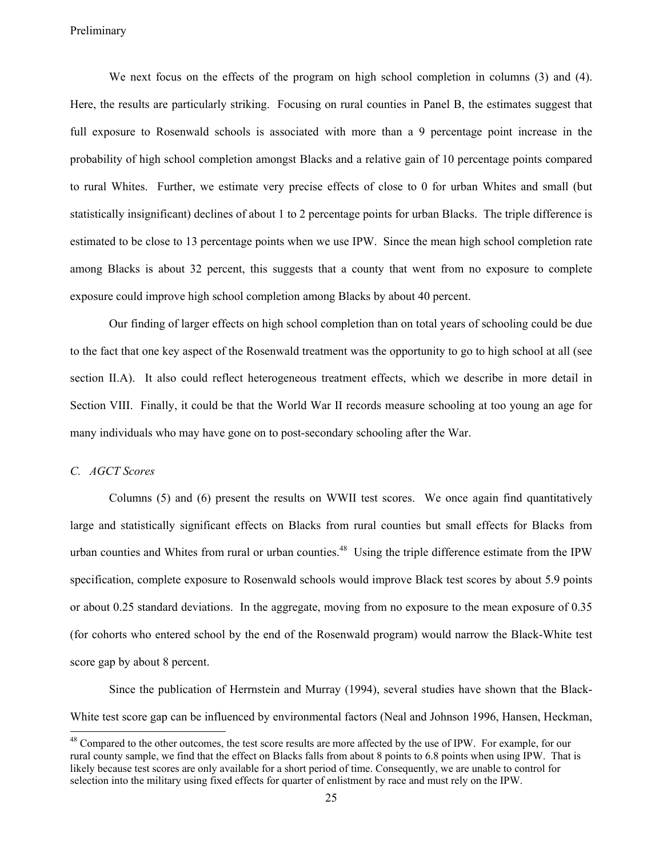We next focus on the effects of the program on high school completion in columns (3) and (4). Here, the results are particularly striking. Focusing on rural counties in Panel B, the estimates suggest that full exposure to Rosenwald schools is associated with more than a 9 percentage point increase in the probability of high school completion amongst Blacks and a relative gain of 10 percentage points compared to rural Whites. Further, we estimate very precise effects of close to 0 for urban Whites and small (but statistically insignificant) declines of about 1 to 2 percentage points for urban Blacks. The triple difference is estimated to be close to 13 percentage points when we use IPW. Since the mean high school completion rate among Blacks is about 32 percent, this suggests that a county that went from no exposure to complete exposure could improve high school completion among Blacks by about 40 percent.

Our finding of larger effects on high school completion than on total years of schooling could be due to the fact that one key aspect of the Rosenwald treatment was the opportunity to go to high school at all (see section II.A). It also could reflect heterogeneous treatment effects, which we describe in more detail in Section VIII. Finally, it could be that the World War II records measure schooling at too young an age for many individuals who may have gone on to post-secondary schooling after the War.

#### *C. AGCT Scores*

Columns (5) and (6) present the results on WWII test scores. We once again find quantitatively large and statistically significant effects on Blacks from rural counties but small effects for Blacks from urban counties and Whites from rural or urban counties.<sup>48</sup> Using the triple difference estimate from the IPW specification, complete exposure to Rosenwald schools would improve Black test scores by about 5.9 points or about 0.25 standard deviations. In the aggregate, moving from no exposure to the mean exposure of 0.35 (for cohorts who entered school by the end of the Rosenwald program) would narrow the Black-White test score gap by about 8 percent.

Since the publication of Herrnstein and Murray (1994), several studies have shown that the Black-White test score gap can be influenced by environmental factors (Neal and Johnson 1996, Hansen, Heckman,

<sup>&</sup>lt;sup>48</sup> Compared to the other outcomes, the test score results are more affected by the use of IPW. For example, for our rural county sample, we find that the effect on Blacks falls from about 8 points to 6.8 points when using IPW. That is likely because test scores are only available for a short period of time. Consequently, we are unable to control for selection into the military using fixed effects for quarter of enlistment by race and must rely on the IPW.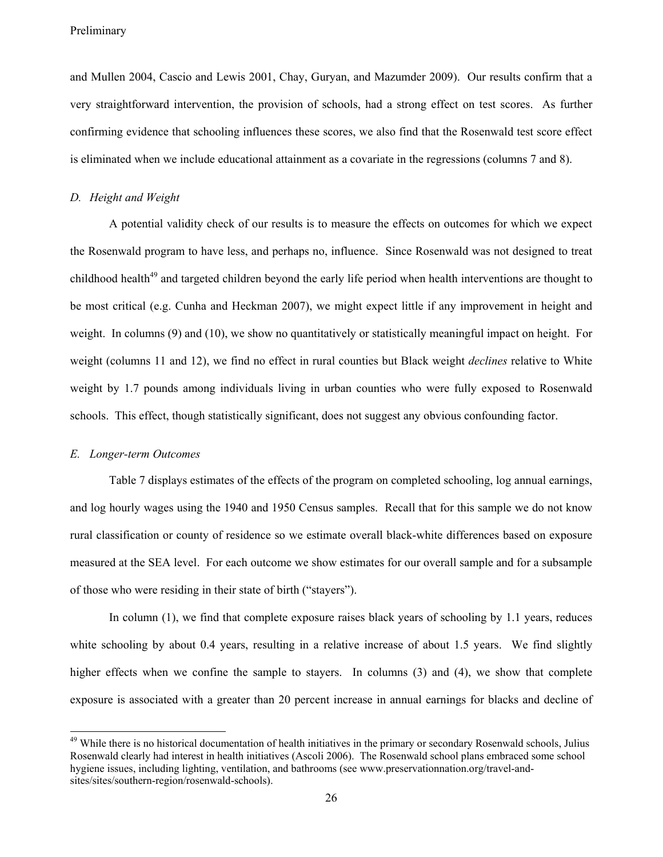and Mullen 2004, Cascio and Lewis 2001, Chay, Guryan, and Mazumder 2009). Our results confirm that a very straightforward intervention, the provision of schools, had a strong effect on test scores. As further confirming evidence that schooling influences these scores, we also find that the Rosenwald test score effect is eliminated when we include educational attainment as a covariate in the regressions (columns 7 and 8).

#### *D. Height and Weight*

A potential validity check of our results is to measure the effects on outcomes for which we expect the Rosenwald program to have less, and perhaps no, influence. Since Rosenwald was not designed to treat childhood health<sup>49</sup> and targeted children beyond the early life period when health interventions are thought to be most critical (e.g. Cunha and Heckman 2007), we might expect little if any improvement in height and weight. In columns (9) and (10), we show no quantitatively or statistically meaningful impact on height. For weight (columns 11 and 12), we find no effect in rural counties but Black weight *declines* relative to White weight by 1.7 pounds among individuals living in urban counties who were fully exposed to Rosenwald schools. This effect, though statistically significant, does not suggest any obvious confounding factor.

#### *E. Longer-term Outcomes*

Table 7 displays estimates of the effects of the program on completed schooling, log annual earnings, and log hourly wages using the 1940 and 1950 Census samples. Recall that for this sample we do not know rural classification or county of residence so we estimate overall black-white differences based on exposure measured at the SEA level. For each outcome we show estimates for our overall sample and for a subsample of those who were residing in their state of birth ("stayers").

In column (1), we find that complete exposure raises black years of schooling by 1.1 years, reduces white schooling by about 0.4 years, resulting in a relative increase of about 1.5 years. We find slightly higher effects when we confine the sample to stayers. In columns (3) and (4), we show that complete exposure is associated with a greater than 20 percent increase in annual earnings for blacks and decline of

<sup>&</sup>lt;sup>49</sup> While there is no historical documentation of health initiatives in the primary or secondary Rosenwald schools, Julius Rosenwald clearly had interest in health initiatives (Ascoli 2006). The Rosenwald school plans embraced some school hygiene issues, including lighting, ventilation, and bathrooms (see www.preservationnation.org/travel-andsites/sites/southern-region/rosenwald-schools).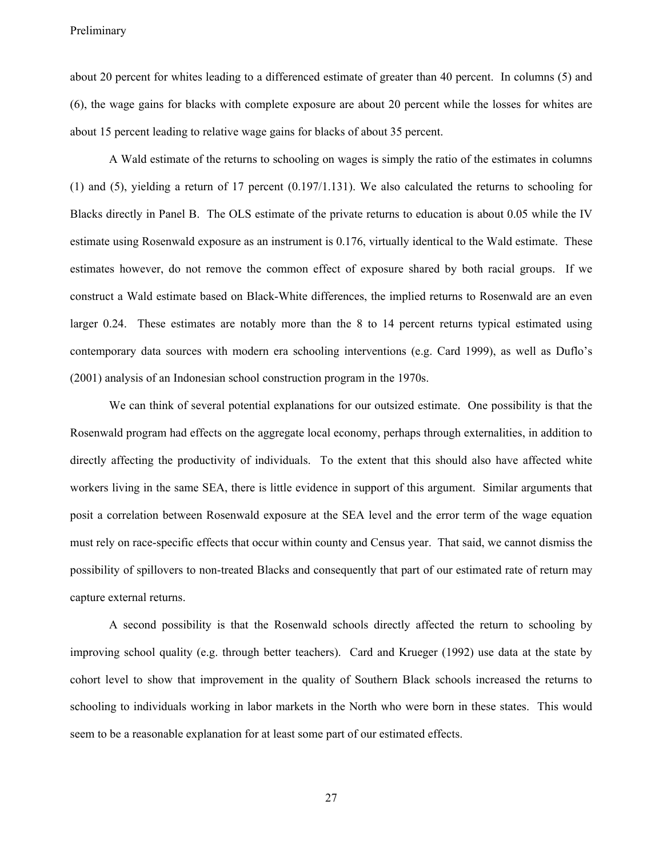about 20 percent for whites leading to a differenced estimate of greater than 40 percent. In columns (5) and (6), the wage gains for blacks with complete exposure are about 20 percent while the losses for whites are about 15 percent leading to relative wage gains for blacks of about 35 percent.

A Wald estimate of the returns to schooling on wages is simply the ratio of the estimates in columns (1) and (5), yielding a return of 17 percent (0.197/1.131). We also calculated the returns to schooling for Blacks directly in Panel B. The OLS estimate of the private returns to education is about 0.05 while the IV estimate using Rosenwald exposure as an instrument is 0.176, virtually identical to the Wald estimate. These estimates however, do not remove the common effect of exposure shared by both racial groups. If we construct a Wald estimate based on Black-White differences, the implied returns to Rosenwald are an even larger 0.24. These estimates are notably more than the 8 to 14 percent returns typical estimated using contemporary data sources with modern era schooling interventions (e.g. Card 1999), as well as Duflo's (2001) analysis of an Indonesian school construction program in the 1970s.

We can think of several potential explanations for our outsized estimate. One possibility is that the Rosenwald program had effects on the aggregate local economy, perhaps through externalities, in addition to directly affecting the productivity of individuals. To the extent that this should also have affected white workers living in the same SEA, there is little evidence in support of this argument. Similar arguments that posit a correlation between Rosenwald exposure at the SEA level and the error term of the wage equation must rely on race-specific effects that occur within county and Census year. That said, we cannot dismiss the possibility of spillovers to non-treated Blacks and consequently that part of our estimated rate of return may capture external returns.

A second possibility is that the Rosenwald schools directly affected the return to schooling by improving school quality (e.g. through better teachers). Card and Krueger (1992) use data at the state by cohort level to show that improvement in the quality of Southern Black schools increased the returns to schooling to individuals working in labor markets in the North who were born in these states. This would seem to be a reasonable explanation for at least some part of our estimated effects.

27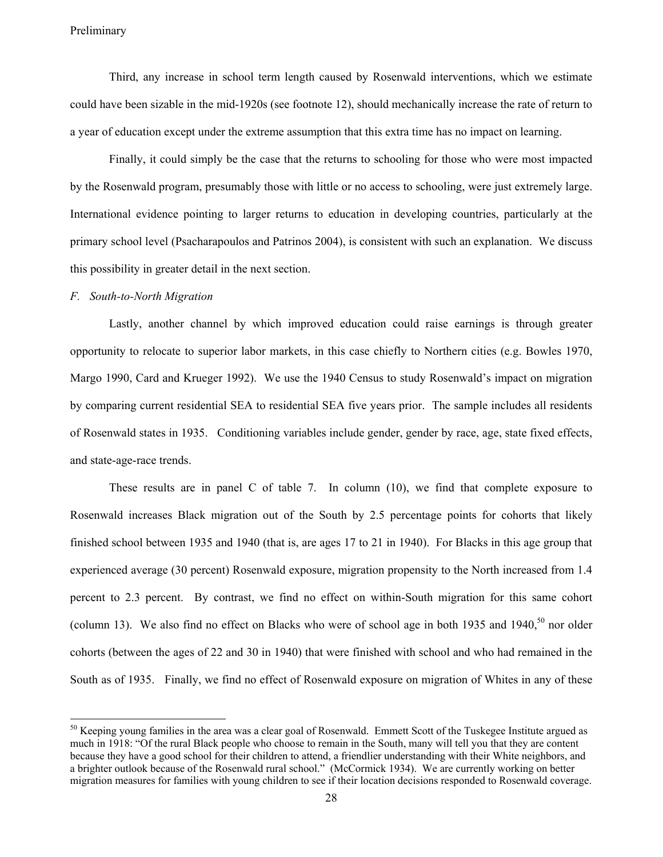Third, any increase in school term length caused by Rosenwald interventions, which we estimate could have been sizable in the mid-1920s (see footnote 12), should mechanically increase the rate of return to a year of education except under the extreme assumption that this extra time has no impact on learning.

Finally, it could simply be the case that the returns to schooling for those who were most impacted by the Rosenwald program, presumably those with little or no access to schooling, were just extremely large. International evidence pointing to larger returns to education in developing countries, particularly at the primary school level (Psacharapoulos and Patrinos 2004), is consistent with such an explanation. We discuss this possibility in greater detail in the next section.

#### *F. South-to-North Migration*

Lastly, another channel by which improved education could raise earnings is through greater opportunity to relocate to superior labor markets, in this case chiefly to Northern cities (e.g. Bowles 1970, Margo 1990, Card and Krueger 1992). We use the 1940 Census to study Rosenwald's impact on migration by comparing current residential SEA to residential SEA five years prior. The sample includes all residents of Rosenwald states in 1935. Conditioning variables include gender, gender by race, age, state fixed effects, and state-age-race trends.

These results are in panel C of table 7. In column (10), we find that complete exposure to Rosenwald increases Black migration out of the South by 2.5 percentage points for cohorts that likely finished school between 1935 and 1940 (that is, are ages 17 to 21 in 1940). For Blacks in this age group that experienced average (30 percent) Rosenwald exposure, migration propensity to the North increased from 1.4 percent to 2.3 percent. By contrast, we find no effect on within-South migration for this same cohort (column 13). We also find no effect on Blacks who were of school age in both 1935 and 1940,<sup>50</sup> nor older cohorts (between the ages of 22 and 30 in 1940) that were finished with school and who had remained in the South as of 1935. Finally, we find no effect of Rosenwald exposure on migration of Whites in any of these

 $50$  Keeping young families in the area was a clear goal of Rosenwald. Emmett Scott of the Tuskegee Institute argued as much in 1918: "Of the rural Black people who choose to remain in the South, many will tell you that they are content because they have a good school for their children to attend, a friendlier understanding with their White neighbors, and a brighter outlook because of the Rosenwald rural school." (McCormick 1934). We are currently working on better migration measures for families with young children to see if their location decisions responded to Rosenwald coverage.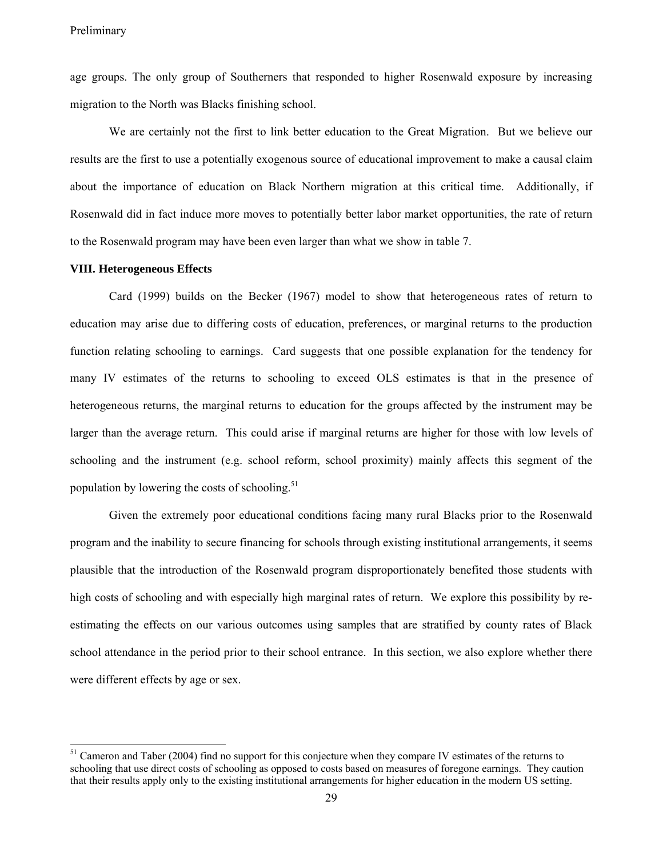age groups. The only group of Southerners that responded to higher Rosenwald exposure by increasing migration to the North was Blacks finishing school.

We are certainly not the first to link better education to the Great Migration. But we believe our results are the first to use a potentially exogenous source of educational improvement to make a causal claim about the importance of education on Black Northern migration at this critical time. Additionally, if Rosenwald did in fact induce more moves to potentially better labor market opportunities, the rate of return to the Rosenwald program may have been even larger than what we show in table 7.

#### **VIII. Heterogeneous Effects**

 $\overline{a}$ 

Card (1999) builds on the Becker (1967) model to show that heterogeneous rates of return to education may arise due to differing costs of education, preferences, or marginal returns to the production function relating schooling to earnings. Card suggests that one possible explanation for the tendency for many IV estimates of the returns to schooling to exceed OLS estimates is that in the presence of heterogeneous returns, the marginal returns to education for the groups affected by the instrument may be larger than the average return. This could arise if marginal returns are higher for those with low levels of schooling and the instrument (e.g. school reform, school proximity) mainly affects this segment of the population by lowering the costs of schooling. $51$ 

Given the extremely poor educational conditions facing many rural Blacks prior to the Rosenwald program and the inability to secure financing for schools through existing institutional arrangements, it seems plausible that the introduction of the Rosenwald program disproportionately benefited those students with high costs of schooling and with especially high marginal rates of return. We explore this possibility by reestimating the effects on our various outcomes using samples that are stratified by county rates of Black school attendance in the period prior to their school entrance. In this section, we also explore whether there were different effects by age or sex.

<sup>&</sup>lt;sup>51</sup> Cameron and Taber (2004) find no support for this conjecture when they compare IV estimates of the returns to schooling that use direct costs of schooling as opposed to costs based on measures of foregone earnings. They caution that their results apply only to the existing institutional arrangements for higher education in the modern US setting.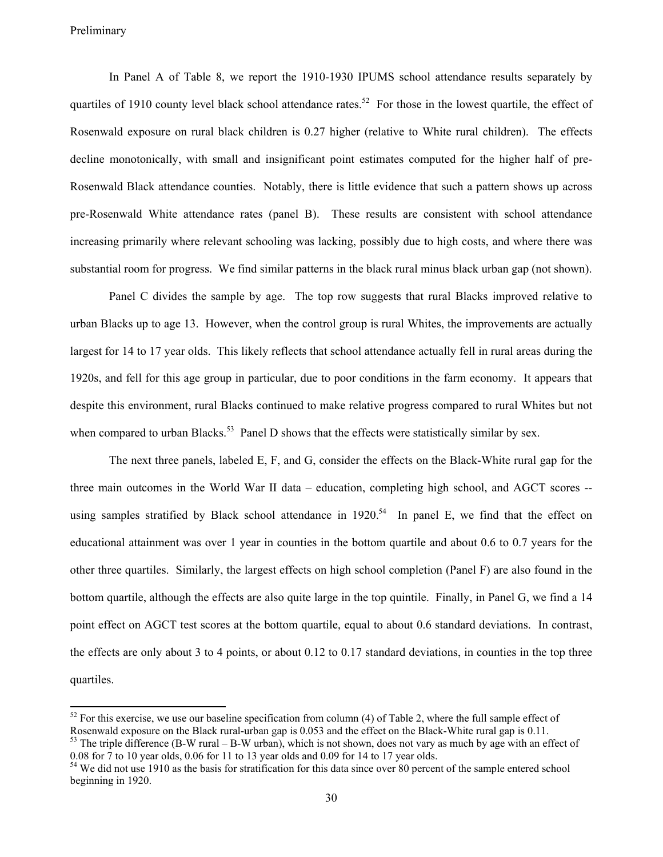$\overline{a}$ 

In Panel A of Table 8, we report the 1910-1930 IPUMS school attendance results separately by quartiles of 1910 county level black school attendance rates.<sup>52</sup> For those in the lowest quartile, the effect of Rosenwald exposure on rural black children is 0.27 higher (relative to White rural children). The effects decline monotonically, with small and insignificant point estimates computed for the higher half of pre-Rosenwald Black attendance counties. Notably, there is little evidence that such a pattern shows up across pre-Rosenwald White attendance rates (panel B). These results are consistent with school attendance increasing primarily where relevant schooling was lacking, possibly due to high costs, and where there was substantial room for progress. We find similar patterns in the black rural minus black urban gap (not shown).

Panel C divides the sample by age. The top row suggests that rural Blacks improved relative to urban Blacks up to age 13. However, when the control group is rural Whites, the improvements are actually largest for 14 to 17 year olds. This likely reflects that school attendance actually fell in rural areas during the 1920s, and fell for this age group in particular, due to poor conditions in the farm economy. It appears that despite this environment, rural Blacks continued to make relative progress compared to rural Whites but not when compared to urban Blacks.<sup>53</sup> Panel D shows that the effects were statistically similar by sex.

The next three panels, labeled E, F, and G, consider the effects on the Black-White rural gap for the three main outcomes in the World War II data – education, completing high school, and AGCT scores - using samples stratified by Black school attendance in  $1920$ .<sup>54</sup> In panel E, we find that the effect on educational attainment was over 1 year in counties in the bottom quartile and about 0.6 to 0.7 years for the other three quartiles. Similarly, the largest effects on high school completion (Panel F) are also found in the bottom quartile, although the effects are also quite large in the top quintile. Finally, in Panel G, we find a 14 point effect on AGCT test scores at the bottom quartile, equal to about 0.6 standard deviations. In contrast, the effects are only about 3 to 4 points, or about 0.12 to 0.17 standard deviations, in counties in the top three quartiles.

<sup>&</sup>lt;sup>52</sup> For this exercise, we use our baseline specification from column (4) of Table 2, where the full sample effect of Rosenwald exposure on the Black rural-urban gap is 0.053 and the effect on the Black-White rural gap is 0.11.  $<sup>53</sup>$  The triple difference (B-W rural – B-W urban), which is not shown, does not vary as much by age with an effect of</sup>

<sup>0.08</sup> for 7 to 10 year olds, 0.06 for 11 to 13 year olds and 0.09 for 14 to 17 year olds.

<sup>&</sup>lt;sup>54</sup> We did not use 1910 as the basis for stratification for this data since over 80 percent of the sample entered school beginning in 1920.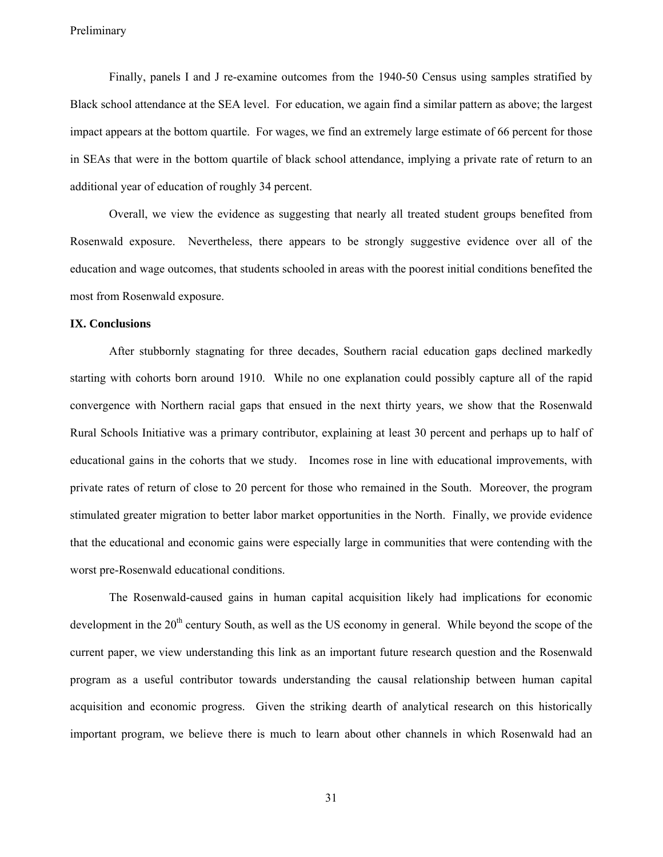Finally, panels I and J re-examine outcomes from the 1940-50 Census using samples stratified by Black school attendance at the SEA level. For education, we again find a similar pattern as above; the largest impact appears at the bottom quartile. For wages, we find an extremely large estimate of 66 percent for those in SEAs that were in the bottom quartile of black school attendance, implying a private rate of return to an additional year of education of roughly 34 percent.

Overall, we view the evidence as suggesting that nearly all treated student groups benefited from Rosenwald exposure. Nevertheless, there appears to be strongly suggestive evidence over all of the education and wage outcomes, that students schooled in areas with the poorest initial conditions benefited the most from Rosenwald exposure.

#### **IX. Conclusions**

After stubbornly stagnating for three decades, Southern racial education gaps declined markedly starting with cohorts born around 1910. While no one explanation could possibly capture all of the rapid convergence with Northern racial gaps that ensued in the next thirty years, we show that the Rosenwald Rural Schools Initiative was a primary contributor, explaining at least 30 percent and perhaps up to half of educational gains in the cohorts that we study. Incomes rose in line with educational improvements, with private rates of return of close to 20 percent for those who remained in the South. Moreover, the program stimulated greater migration to better labor market opportunities in the North. Finally, we provide evidence that the educational and economic gains were especially large in communities that were contending with the worst pre-Rosenwald educational conditions.

The Rosenwald-caused gains in human capital acquisition likely had implications for economic development in the  $20<sup>th</sup>$  century South, as well as the US economy in general. While beyond the scope of the current paper, we view understanding this link as an important future research question and the Rosenwald program as a useful contributor towards understanding the causal relationship between human capital acquisition and economic progress. Given the striking dearth of analytical research on this historically important program, we believe there is much to learn about other channels in which Rosenwald had an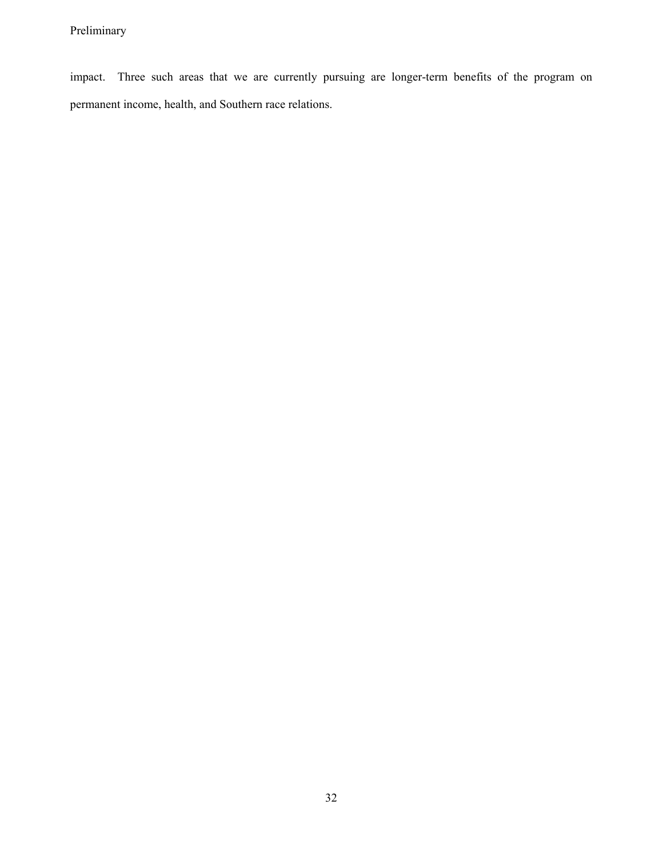impact. Three such areas that we are currently pursuing are longer-term benefits of the program on permanent income, health, and Southern race relations.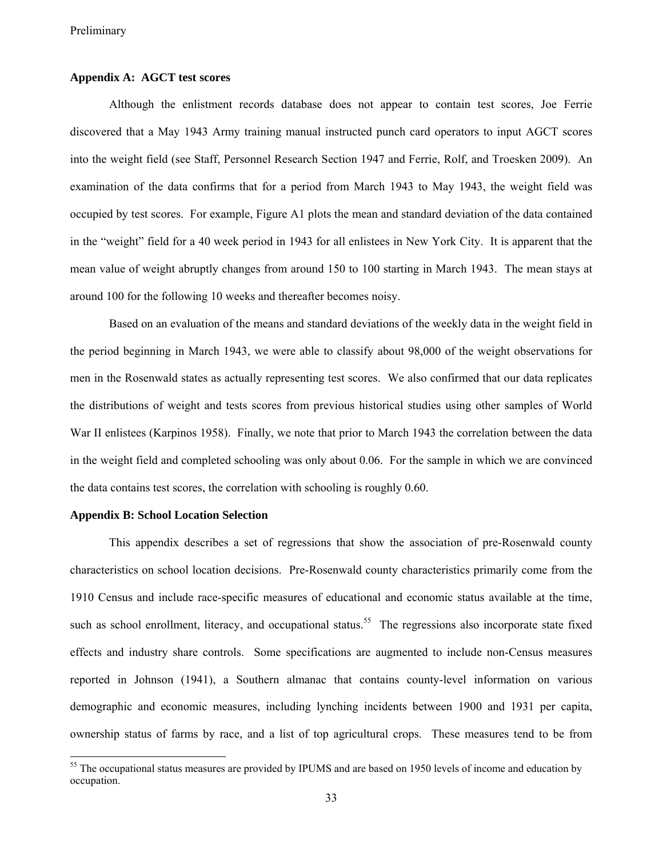## **Appendix A: AGCT test scores**

Although the enlistment records database does not appear to contain test scores, Joe Ferrie discovered that a May 1943 Army training manual instructed punch card operators to input AGCT scores into the weight field (see Staff, Personnel Research Section 1947 and Ferrie, Rolf, and Troesken 2009). An examination of the data confirms that for a period from March 1943 to May 1943, the weight field was occupied by test scores. For example, Figure A1 plots the mean and standard deviation of the data contained in the "weight" field for a 40 week period in 1943 for all enlistees in New York City. It is apparent that the mean value of weight abruptly changes from around 150 to 100 starting in March 1943. The mean stays at around 100 for the following 10 weeks and thereafter becomes noisy.

Based on an evaluation of the means and standard deviations of the weekly data in the weight field in the period beginning in March 1943, we were able to classify about 98,000 of the weight observations for men in the Rosenwald states as actually representing test scores. We also confirmed that our data replicates the distributions of weight and tests scores from previous historical studies using other samples of World War II enlistees (Karpinos 1958). Finally, we note that prior to March 1943 the correlation between the data in the weight field and completed schooling was only about 0.06. For the sample in which we are convinced the data contains test scores, the correlation with schooling is roughly 0.60.

#### **Appendix B: School Location Selection**

This appendix describes a set of regressions that show the association of pre-Rosenwald county characteristics on school location decisions. Pre-Rosenwald county characteristics primarily come from the 1910 Census and include race-specific measures of educational and economic status available at the time, such as school enrollment, literacy, and occupational status.<sup>55</sup> The regressions also incorporate state fixed effects and industry share controls. Some specifications are augmented to include non-Census measures reported in Johnson (1941), a Southern almanac that contains county-level information on various demographic and economic measures, including lynching incidents between 1900 and 1931 per capita, ownership status of farms by race, and a list of top agricultural crops. These measures tend to be from

<sup>&</sup>lt;sup>55</sup> The occupational status measures are provided by IPUMS and are based on 1950 levels of income and education by occupation.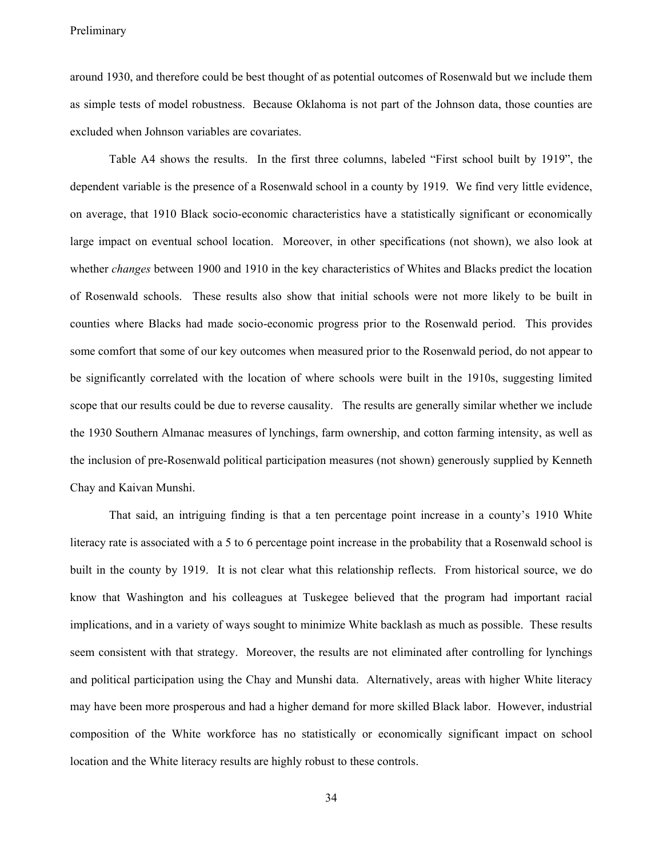around 1930, and therefore could be best thought of as potential outcomes of Rosenwald but we include them as simple tests of model robustness. Because Oklahoma is not part of the Johnson data, those counties are excluded when Johnson variables are covariates.

Table A4 shows the results. In the first three columns, labeled "First school built by 1919", the dependent variable is the presence of a Rosenwald school in a county by 1919. We find very little evidence, on average, that 1910 Black socio-economic characteristics have a statistically significant or economically large impact on eventual school location. Moreover, in other specifications (not shown), we also look at whether *changes* between 1900 and 1910 in the key characteristics of Whites and Blacks predict the location of Rosenwald schools. These results also show that initial schools were not more likely to be built in counties where Blacks had made socio-economic progress prior to the Rosenwald period. This provides some comfort that some of our key outcomes when measured prior to the Rosenwald period, do not appear to be significantly correlated with the location of where schools were built in the 1910s, suggesting limited scope that our results could be due to reverse causality. The results are generally similar whether we include the 1930 Southern Almanac measures of lynchings, farm ownership, and cotton farming intensity, as well as the inclusion of pre-Rosenwald political participation measures (not shown) generously supplied by Kenneth Chay and Kaivan Munshi.

That said, an intriguing finding is that a ten percentage point increase in a county's 1910 White literacy rate is associated with a 5 to 6 percentage point increase in the probability that a Rosenwald school is built in the county by 1919. It is not clear what this relationship reflects. From historical source, we do know that Washington and his colleagues at Tuskegee believed that the program had important racial implications, and in a variety of ways sought to minimize White backlash as much as possible. These results seem consistent with that strategy. Moreover, the results are not eliminated after controlling for lynchings and political participation using the Chay and Munshi data. Alternatively, areas with higher White literacy may have been more prosperous and had a higher demand for more skilled Black labor. However, industrial composition of the White workforce has no statistically or economically significant impact on school location and the White literacy results are highly robust to these controls.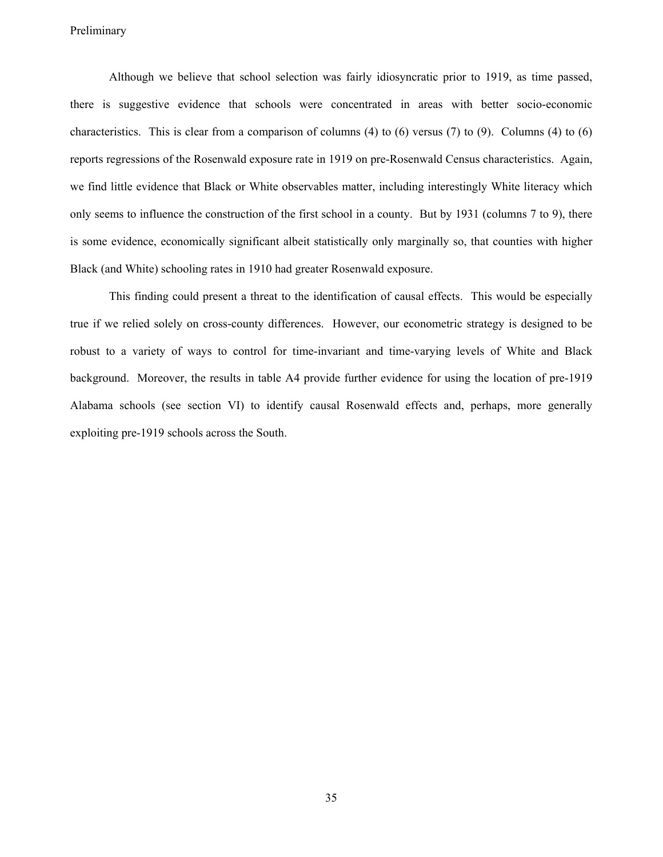Although we believe that school selection was fairly idiosyncratic prior to 1919, as time passed, there is suggestive evidence that schools were concentrated in areas with better socio-economic characteristics. This is clear from a comparison of columns (4) to (6) versus (7) to (9). Columns (4) to (6) reports regressions of the Rosenwald exposure rate in 1919 on pre-Rosenwald Census characteristics. Again, we find little evidence that Black or White observables matter, including interestingly White literacy which only seems to influence the construction of the first school in a county. But by 1931 (columns 7 to 9), there is some evidence, economically significant albeit statistically only marginally so, that counties with higher Black (and White) schooling rates in 1910 had greater Rosenwald exposure.

This finding could present a threat to the identification of causal effects. This would be especially true if we relied solely on cross-county differences. However, our econometric strategy is designed to be robust to a variety of ways to control for time-invariant and time-varying levels of White and Black background. Moreover, the results in table A4 provide further evidence for using the location of pre-1919 Alabama schools (see section VI) to identify causal Rosenwald effects and, perhaps, more generally exploiting pre-1919 schools across the South.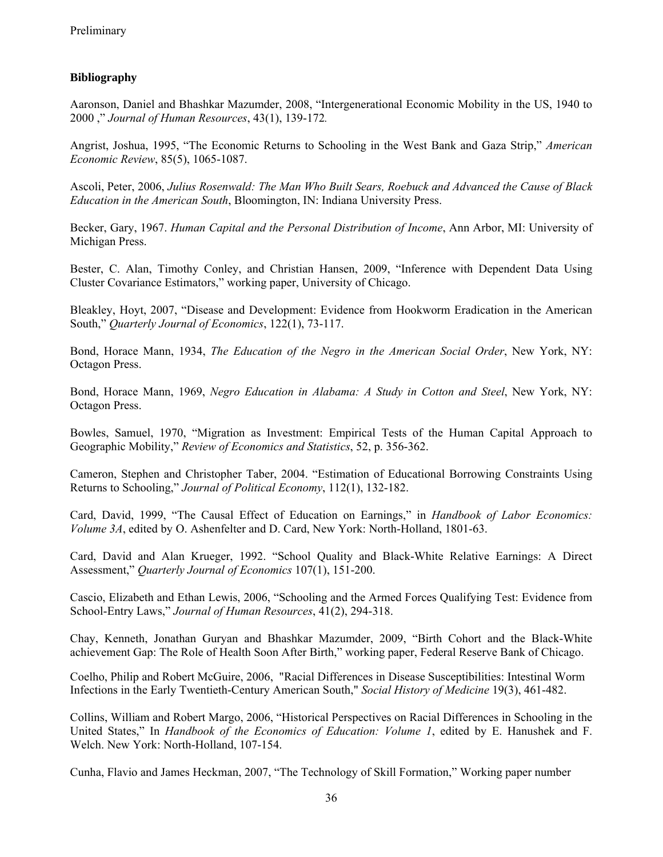# **Bibliography**

Aaronson, Daniel and Bhashkar Mazumder, 2008, "Intergenerational Economic Mobility in the US, 1940 to 2000 ," *Journal of Human Resources*, 43(1), 139-172*.* 

Angrist, Joshua, 1995, "The Economic Returns to Schooling in the West Bank and Gaza Strip," *American Economic Review*, 85(5), 1065-1087.

Ascoli, Peter, 2006, *Julius Rosenwald: The Man Who Built Sears, Roebuck and Advanced the Cause of Black Education in the American South*, Bloomington, IN: Indiana University Press.

Becker, Gary, 1967. *Human Capital and the Personal Distribution of Income*, Ann Arbor, MI: University of Michigan Press.

Bester, C. Alan, Timothy Conley, and Christian Hansen, 2009, "Inference with Dependent Data Using Cluster Covariance Estimators," working paper, University of Chicago.

Bleakley, Hoyt, 2007, "Disease and Development: Evidence from Hookworm Eradication in the American South," *Quarterly Journal of Economics*, 122(1), 73-117.

Bond, Horace Mann, 1934, *The Education of the Negro in the American Social Order*, New York, NY: Octagon Press.

Bond, Horace Mann, 1969, *Negro Education in Alabama: A Study in Cotton and Steel*, New York, NY: Octagon Press.

Bowles, Samuel, 1970, "Migration as Investment: Empirical Tests of the Human Capital Approach to Geographic Mobility," *Review of Economics and Statistics*, 52, p. 356-362.

Cameron, Stephen and Christopher Taber, 2004. "Estimation of Educational Borrowing Constraints Using Returns to Schooling," *Journal of Political Economy*, 112(1), 132-182.

Card, David, 1999, "The Causal Effect of Education on Earnings," in *Handbook of Labor Economics: Volume 3A*, edited by O. Ashenfelter and D. Card, New York: North-Holland, 1801-63.

Card, David and Alan Krueger, 1992. "School Quality and Black-White Relative Earnings: A Direct Assessment," *Quarterly Journal of Economics* 107(1), 151-200.

Cascio, Elizabeth and Ethan Lewis, 2006, "Schooling and the Armed Forces Qualifying Test: Evidence from School-Entry Laws," *Journal of Human Resources*, 41(2), 294-318.

Chay, Kenneth, Jonathan Guryan and Bhashkar Mazumder, 2009, "Birth Cohort and the Black-White achievement Gap: The Role of Health Soon After Birth," working paper, Federal Reserve Bank of Chicago.

Coelho, Philip and Robert McGuire, 2006, "Racial Differences in Disease Susceptibilities: Intestinal Worm Infections in the Early Twentieth-Century American South," *Social History of Medicine* 19(3), 461-482.

Collins, William and Robert Margo, 2006, "Historical Perspectives on Racial Differences in Schooling in the United States," In *Handbook of the Economics of Education: Volume 1*, edited by E. Hanushek and F. Welch. New York: North-Holland, 107-154.

Cunha, Flavio and James Heckman, 2007, "The Technology of Skill Formation," Working paper number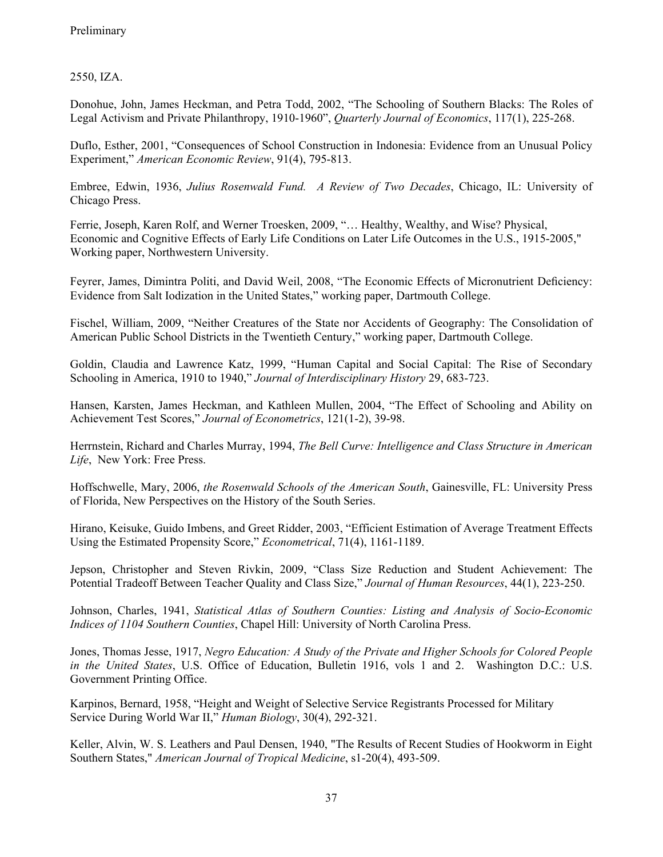2550, IZA.

Donohue, John, James Heckman, and Petra Todd, 2002, "The Schooling of Southern Blacks: The Roles of Legal Activism and Private Philanthropy, 1910-1960", *Quarterly Journal of Economics*, 117(1), 225-268.

Duflo, Esther, 2001, "Consequences of School Construction in Indonesia: Evidence from an Unusual Policy Experiment," *American Economic Review*, 91(4), 795-813.

Embree, Edwin, 1936, *Julius Rosenwald Fund. A Review of Two Decades*, Chicago, IL: University of Chicago Press.

Ferrie, Joseph, Karen Rolf, and Werner Troesken, 2009, "… Healthy, Wealthy, and Wise? Physical, Economic and Cognitive Effects of Early Life Conditions on Later Life Outcomes in the U.S., 1915-2005," Working paper, Northwestern University.

Feyrer, James, Dimintra Politi, and David Weil, 2008, "The Economic Effects of Micronutrient Deficiency: Evidence from Salt Iodization in the United States," working paper, Dartmouth College.

Fischel, William, 2009, "Neither Creatures of the State nor Accidents of Geography: The Consolidation of American Public School Districts in the Twentieth Century," working paper, Dartmouth College.

Goldin, Claudia and Lawrence Katz, 1999, "Human Capital and Social Capital: The Rise of Secondary Schooling in America, 1910 to 1940," *Journal of Interdisciplinary History* 29, 683-723.

Hansen, Karsten, James Heckman, and Kathleen Mullen, 2004, "The Effect of Schooling and Ability on Achievement Test Scores," *Journal of Econometrics*, 121(1-2), 39-98.

Herrnstein, Richard and Charles Murray, 1994, *The Bell Curve: Intelligence and Class Structure in American Life*, New York: Free Press.

Hoffschwelle, Mary, 2006, *the Rosenwald Schools of the American South*, Gainesville, FL: University Press of Florida, New Perspectives on the History of the South Series.

Hirano, Keisuke, Guido Imbens, and Greet Ridder, 2003, "Efficient Estimation of Average Treatment Effects Using the Estimated Propensity Score," *Econometrical*, 71(4), 1161-1189.

Jepson, Christopher and Steven Rivkin, 2009, "Class Size Reduction and Student Achievement: The Potential Tradeoff Between Teacher Quality and Class Size," *Journal of Human Resources*, 44(1), 223-250.

Johnson, Charles, 1941, *Statistical Atlas of Southern Counties: Listing and Analysis of Socio-Economic Indices of 1104 Southern Counties*, Chapel Hill: University of North Carolina Press.

Jones, Thomas Jesse, 1917, *Negro Education: A Study of the Private and Higher Schools for Colored People in the United States*, U.S. Office of Education, Bulletin 1916, vols 1 and 2. Washington D.C.: U.S. Government Printing Office.

Karpinos, Bernard, 1958, "Height and Weight of Selective Service Registrants Processed for Military Service During World War II," *Human Biology*, 30(4), 292-321.

Keller, Alvin, W. S. Leathers and Paul Densen, 1940, "The Results of Recent Studies of Hookworm in Eight Southern States," *American Journal of Tropical Medicine*, s1-20(4), 493-509.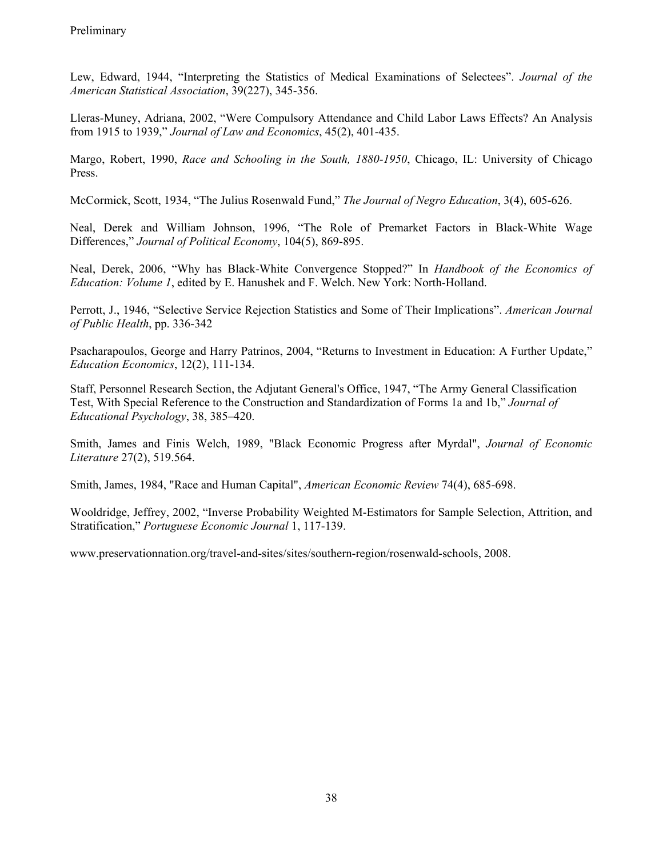Lew, Edward, 1944, "Interpreting the Statistics of Medical Examinations of Selectees". *Journal of the American Statistical Association*, 39(227), 345-356.

Lleras-Muney, Adriana, 2002, "Were Compulsory Attendance and Child Labor Laws Effects? An Analysis from 1915 to 1939," *Journal of Law and Economics*, 45(2), 401-435.

Margo, Robert, 1990, *Race and Schooling in the South, 1880-1950*, Chicago, IL: University of Chicago Press.

McCormick, Scott, 1934, "The Julius Rosenwald Fund," *The Journal of Negro Education*, 3(4), 605-626.

Neal, Derek and William Johnson, 1996, "The Role of Premarket Factors in Black-White Wage Differences," *Journal of Political Economy*, 104(5), 869-895.

Neal, Derek, 2006, "Why has Black-White Convergence Stopped?" In *Handbook of the Economics of Education: Volume 1*, edited by E. Hanushek and F. Welch. New York: North-Holland.

Perrott, J., 1946, "Selective Service Rejection Statistics and Some of Their Implications". *American Journal of Public Health*, pp. 336-342

Psacharapoulos, George and Harry Patrinos, 2004, "Returns to Investment in Education: A Further Update," *Education Economics*, 12(2), 111-134.

Staff, Personnel Research Section, the Adjutant General's Office, 1947, "The Army General Classification Test, With Special Reference to the Construction and Standardization of Forms 1a and 1b," *Journal of Educational Psychology*, 38, 385–420.

Smith, James and Finis Welch, 1989, "Black Economic Progress after Myrdal", *Journal of Economic Literature* 27(2), 519.564.

Smith, James, 1984, "Race and Human Capital", *American Economic Review* 74(4), 685-698.

Wooldridge, Jeffrey, 2002, "Inverse Probability Weighted M-Estimators for Sample Selection, Attrition, and Stratification," *Portuguese Economic Journal* 1, 117-139.

www.preservationnation.org/travel-and-sites/sites/southern-region/rosenwald-schools, 2008.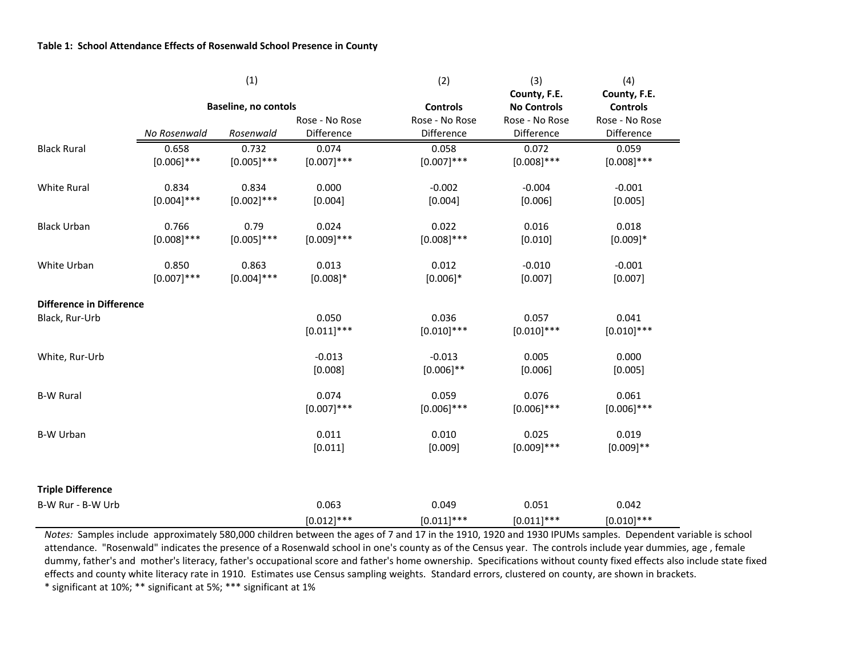|                                 |               | (1)                         |                        | (2)                    | (3)                                | (4)                             |
|---------------------------------|---------------|-----------------------------|------------------------|------------------------|------------------------------------|---------------------------------|
|                                 |               | <b>Baseline, no contols</b> |                        | <b>Controls</b>        | County, F.E.<br><b>No Controls</b> | County, F.E.<br><b>Controls</b> |
|                                 |               |                             | Rose - No Rose         | Rose - No Rose         | Rose - No Rose                     | Rose - No Rose                  |
|                                 | No Rosenwald  | Rosenwald                   | Difference             | Difference             | Difference                         | Difference                      |
| <b>Black Rural</b>              | 0.658         | 0.732                       | 0.074                  | 0.058                  | 0.072                              | 0.059                           |
|                                 | $[0.006]$ *** | $[0.005]$ ***               | $[0.007]$ ***          | $[0.007]$ ***          | $[0.008]$ ***                      | $[0.008]$ ***                   |
| White Rural                     | 0.834         | 0.834                       | 0.000                  | $-0.002$               | $-0.004$                           | $-0.001$                        |
|                                 | $[0.004]$ *** | $[0.002]$ ***               | [0.004]                | [0.004]                | [0.006]                            | [0.005]                         |
| <b>Black Urban</b>              | 0.766         | 0.79                        | 0.024                  | 0.022                  | 0.016                              | 0.018                           |
|                                 | $[0.008]$ *** | $[0.005]$ ***               | $[0.009]$ ***          | $[0.008]$ ***          | [0.010]                            | $[0.009]*$                      |
| White Urban                     | 0.850         | 0.863                       | 0.013                  | 0.012                  | $-0.010$                           | $-0.001$                        |
|                                 | $[0.007]$ *** | $[0.004]$ ***               | $[0.008]*$             | $[0.006]$ *            | [0.007]                            | [0.007]                         |
| <b>Difference in Difference</b> |               |                             |                        |                        |                                    |                                 |
| Black, Rur-Urb                  |               |                             | 0.050<br>$[0.011]$ *** | 0.036<br>$[0.010]$ *** | 0.057<br>$[0.010]$ ***             | 0.041<br>$[0.010]$ ***          |
|                                 |               |                             |                        |                        |                                    |                                 |
| White, Rur-Urb                  |               |                             | $-0.013$               | $-0.013$               | 0.005                              | 0.000                           |
|                                 |               |                             | [0.008]                | $[0.006]$ **           | [0.006]                            | [0.005]                         |
| <b>B-W Rural</b>                |               |                             | 0.074                  | 0.059                  | 0.076                              | 0.061                           |
|                                 |               |                             | $[0.007]$ ***          | $[0.006]$ ***          | $[0.006]$ ***                      | $[0.006]$ ***                   |
| <b>B-W Urban</b>                |               |                             | 0.011                  | 0.010                  | 0.025                              | 0.019                           |
|                                 |               |                             | [0.011]                | [0.009]                | $[0.009]$ ***                      | $[0.009]**$                     |
| <b>Triple Difference</b>        |               |                             |                        |                        |                                    |                                 |
|                                 |               |                             | 0.063                  |                        | 0.051                              | 0.042                           |
| B-W Rur - B-W Urb               |               |                             |                        | 0.049                  |                                    |                                 |
|                                 |               |                             | $[0.012]$ ***          | $[0.011]$ ***          | $[0.011]$ ***                      | $[0.010]$ ***                   |

*Notes:* Samples include approximately 580,000 children between the ages of 7 and 17 in the 1910, 1920 and 1930 IPUMs samples. Dependent variable is school attendance. "Rosenwald" indicates the presence of <sup>a</sup> Rosenwald school in one's county as of the Census year. The controls include year dummies, age , female dummy, father's and mother's literacy, father's occupational score and father's home ownership. Specifications without county fixed effects also include state fixed effects and county white literacy rate in 1910. Estimates use Census sampling weights. Standard errors, clustered on county, are shown in brackets.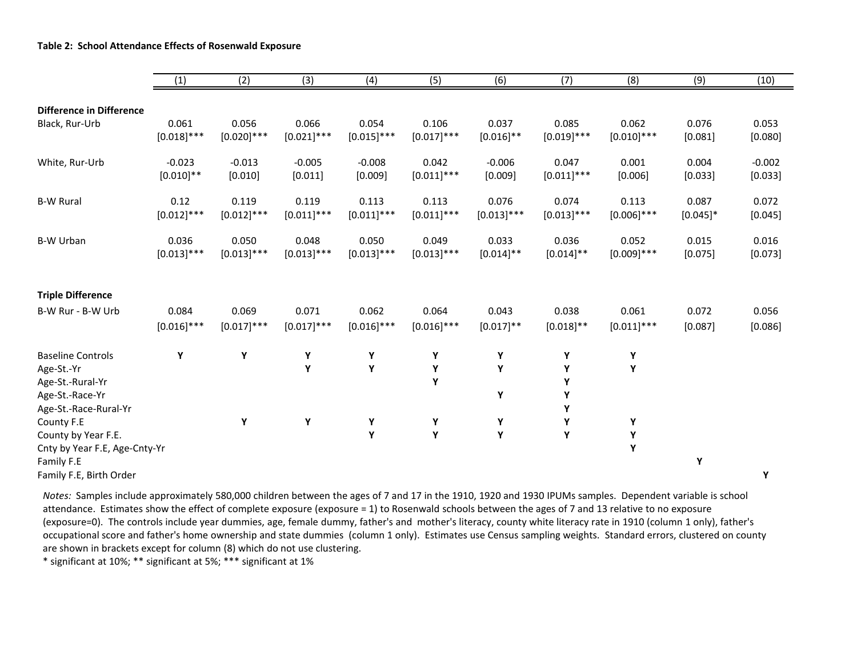|                                 | (1)           | (2)           | (3)           | (4)           | (5)           | (6)           | (7)           | (8)           | (9)         | (10)     |
|---------------------------------|---------------|---------------|---------------|---------------|---------------|---------------|---------------|---------------|-------------|----------|
|                                 |               |               |               |               |               |               |               |               |             |          |
| <b>Difference in Difference</b> |               |               |               |               |               |               |               |               |             |          |
| Black, Rur-Urb                  | 0.061         | 0.056         | 0.066         | 0.054         | 0.106         | 0.037         | 0.085         | 0.062         | 0.076       | 0.053    |
|                                 | $[0.018]$ *** | $[0.020]$ *** | $[0.021]$ *** | $[0.015]$ *** | $[0.017]$ *** | $[0.016]$ **  | $[0.019]$ *** | $[0.010]$ *** | [0.081]     | [0.080]  |
| White, Rur-Urb                  | $-0.023$      | $-0.013$      | $-0.005$      | $-0.008$      | 0.042         | $-0.006$      | 0.047         | 0.001         | 0.004       | $-0.002$ |
|                                 | $[0.010]$ **  | [0.010]       | [0.011]       | [0.009]       | $[0.011]$ *** | [0.009]       | $[0.011]$ *** | [0.006]       | [0.033]     | [0.033]  |
| <b>B-W Rural</b>                | 0.12          | 0.119         | 0.119         | 0.113         | 0.113         | 0.076         | 0.074         | 0.113         | 0.087       | 0.072    |
|                                 | $[0.012]$ *** | $[0.012]$ *** | $[0.011]$ *** | $[0.011]$ *** | $[0.011]$ *** | $[0.013]$ *** | $[0.013]$ *** | $[0.006]$ *** | $[0.045]$ * | [0.045]  |
| <b>B-W Urban</b>                | 0.036         | 0.050         | 0.048         | 0.050         | 0.049         | 0.033         | 0.036         | 0.052         | 0.015       | 0.016    |
|                                 | $[0.013]$ *** | $[0.013]$ *** | $[0.013]$ *** | $[0.013]$ *** | $[0.013]$ *** | $[0.014]$ **  | $[0.014]$ **  | $[0.009]$ *** | [0.075]     | [0.073]  |
|                                 |               |               |               |               |               |               |               |               |             |          |
| <b>Triple Difference</b>        |               |               |               |               |               |               |               |               |             |          |
| B-W Rur - B-W Urb               | 0.084         | 0.069         | 0.071         | 0.062         | 0.064         | 0.043         | 0.038         | 0.061         | 0.072       | 0.056    |
|                                 | $[0.016]$ *** | $[0.017]$ *** | $[0.017]$ *** | $[0.016]$ *** | $[0.016]$ *** | $[0.017]$ **  | $[0.018]$ **  | $[0.011]$ *** | [0.087]     | [0.086]  |
| <b>Baseline Controls</b>        | Υ             | Y             | Υ             | Υ             | Υ             | Υ             | Υ             | Υ             |             |          |
| Age-St.-Yr                      |               |               | Y             | Υ             | Y             | Υ             | Υ             | Υ             |             |          |
| Age-St.-Rural-Yr                |               |               |               |               | Y             |               | Υ             |               |             |          |
| Age-St.-Race-Yr                 |               |               |               |               |               | Υ             | Υ             |               |             |          |
| Age-St.-Race-Rural-Yr           |               |               |               |               |               |               | Υ             |               |             |          |
| County F.E                      |               | Υ             | Y             | Υ             | Y             | Υ             | Υ             | Y             |             |          |
| County by Year F.E.             |               |               |               | Y             | Y             | Υ             | Υ             | Υ             |             |          |
| Cnty by Year F.E, Age-Cnty-Yr   |               |               |               |               |               |               |               | Υ             |             |          |
| Family F.E                      |               |               |               |               |               |               |               |               | Υ           |          |
| Family F.E, Birth Order         |               |               |               |               |               |               |               |               |             | Υ        |

*Notes:* Samples include approximately 580,000 children between the ages of 7 and 17 in the 1910, 1920 and 1930 IPUMs samples. Dependent variable is school attendance. Estimates show the effect of complete exposure (exposure <sup>=</sup> 1) to Rosenwald schools between the ages of 7 and 13 relative to no exposure (exposure=0). The controls include year dummies, age, female dummy, father's and mother's literacy, county white literacy rate in 1910 (column 1 only), father's occupational score and father's home ownership and state dummies (column 1 only). Estimates use Census sampling weights. Standard errors, clustered on county are shown in brackets except for column (8) which do not use clustering.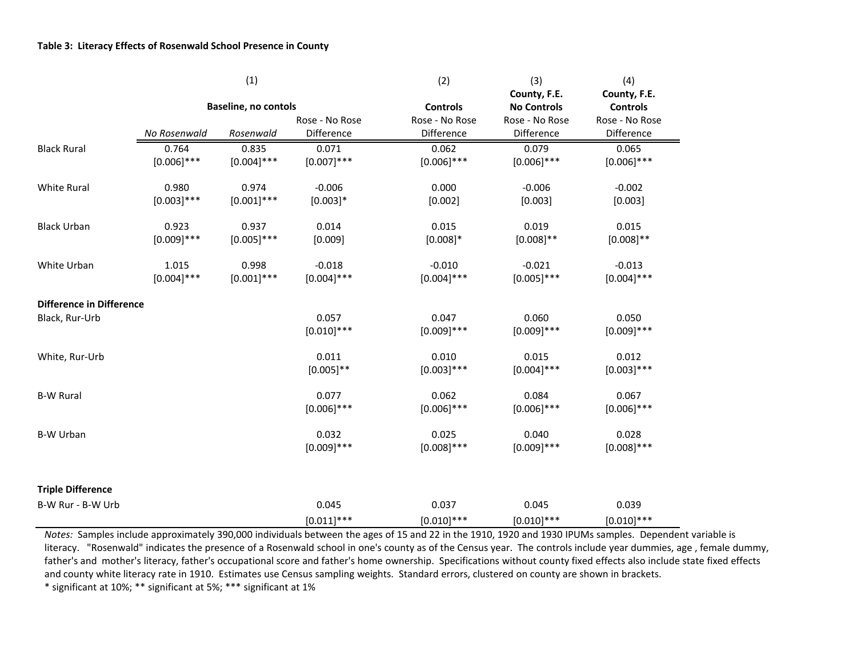|                                 |               | (1)                  |                | (2)             | (3)                | (4)             |
|---------------------------------|---------------|----------------------|----------------|-----------------|--------------------|-----------------|
|                                 |               |                      |                |                 | County, F.E.       | County, F.E.    |
|                                 |               | Baseline, no contols |                | <b>Controls</b> | <b>No Controls</b> | <b>Controls</b> |
|                                 |               |                      | Rose - No Rose | Rose - No Rose  | Rose - No Rose     | Rose - No Rose  |
|                                 | No Rosenwald  | Rosenwald            | Difference     | Difference      | Difference         | Difference      |
| <b>Black Rural</b>              | 0.764         | 0.835                | 0.071          | 0.062           | 0.079              | 0.065           |
|                                 | $[0.006]$ *** | $[0.004]$ ***        | $[0.007]$ ***  | $[0.006]$ ***   | $[0.006]$ ***      | $[0.006]$ ***   |
| White Rural                     | 0.980         | 0.974                | $-0.006$       | 0.000           | $-0.006$           | $-0.002$        |
|                                 | $[0.003]$ *** | $[0.001]$ ***        | $[0.003]*$     | [0.002]         | [0.003]            | [0.003]         |
| <b>Black Urban</b>              | 0.923         | 0.937                | 0.014          | 0.015           | 0.019              | 0.015           |
|                                 | $[0.009]$ *** | $[0.005]$ ***        | [0.009]        | $[0.008]*$      | $[0.008]$ **       | $[0.008]$ **    |
| White Urban                     | 1.015         | 0.998                | $-0.018$       | $-0.010$        | $-0.021$           | $-0.013$        |
|                                 | $[0.004]$ *** | $[0.001]***$         | $[0.004]$ ***  | $[0.004]$ ***   | $[0.005]$ ***      | $[0.004]$ ***   |
| <b>Difference in Difference</b> |               |                      |                |                 |                    |                 |
| Black, Rur-Urb                  |               |                      | 0.057          | 0.047           | 0.060              | 0.050           |
|                                 |               |                      | $[0.010]$ ***  | $[0.009]$ ***   | $[0.009]$ ***      | $[0.009]$ ***   |
| White, Rur-Urb                  |               |                      | 0.011          | 0.010           | 0.015              | 0.012           |
|                                 |               |                      | $[0.005]$ **   | $[0.003]$ ***   | $[0.004]$ ***      | $[0.003]$ ***   |
| <b>B-W Rural</b>                |               |                      | 0.077          | 0.062           | 0.084              | 0.067           |
|                                 |               |                      | $[0.006]$ ***  | $[0.006]$ ***   | $[0.006]$ ***      | $[0.006]$ ***   |
| <b>B-W Urban</b>                |               |                      | 0.032          | 0.025           | 0.040              | 0.028           |
|                                 |               |                      | $[0.009]$ ***  | $[0.008]$ ***   | $[0.009]$ ***      | $[0.008]$ ***   |
| <b>Triple Difference</b>        |               |                      |                |                 |                    |                 |
| B-W Rur - B-W Urb               |               |                      | 0.045          | 0.037           | 0.045              | 0.039           |
|                                 |               |                      | $[0.011]$ ***  | $[0.010]$ ***   | $[0.010]$ ***      | $[0.010]$ ***   |

*Notes:* Samples include approximately 390,000 individuals between the ages of 15 and 22 in the 1910, 1920 and 1930 IPUMs samples. Dependent variable is literacy. "Rosenwald" indicates the presence of <sup>a</sup> Rosenwald school in one's county as of the Census year. The controls include year dummies, age , female dummy, father's and mother's literacy, father's occupational score and father's home ownership. Specifications without county fixed effects also include state fixed effects and county white literacy rate in 1910. Estimates use Census sampling weights. Standard errors, clustered on county are shown in brackets.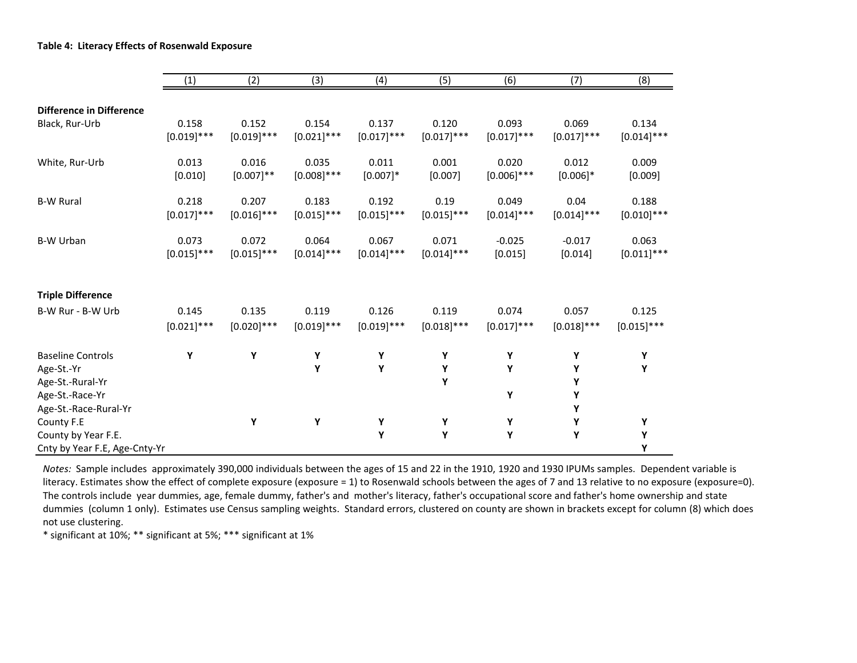|                                                                                                        | (1)           | (2)           | (3)           | (4)           | (5)           | (6)           | (7)                   | (8)           |
|--------------------------------------------------------------------------------------------------------|---------------|---------------|---------------|---------------|---------------|---------------|-----------------------|---------------|
|                                                                                                        |               |               |               |               |               |               |                       |               |
| <b>Difference in Difference</b>                                                                        | 0.158         | 0.152         | 0.154         | 0.137         | 0.120         | 0.093         | 0.069                 | 0.134         |
| Black, Rur-Urb                                                                                         | $[0.019]$ *** | $[0.019]$ *** | $[0.021]$ *** | $[0.017]$ *** | $[0.017]$ *** | $[0.017]$ *** | $[0.017]$ ***         | $[0.014]$ *** |
| White, Rur-Urb                                                                                         | 0.013         | 0.016         | 0.035         | 0.011         | 0.001         | 0.020         | 0.012                 | 0.009         |
|                                                                                                        | [0.010]       | $[0.007]$ **  | $[0.008]$ *** | $[0.007]$ *   | [0.007]       | $[0.006]$ *** | $[0.006]$ *           | [0.009]       |
| <b>B-W Rural</b>                                                                                       | 0.218         | 0.207         | 0.183         | 0.192         | 0.19          | 0.049         | 0.04                  | 0.188         |
|                                                                                                        | $[0.017]$ *** | $[0.016]$ *** | $[0.015]$ *** | $[0.015]$ *** | $[0.015]$ *** | $[0.014]$ *** | $[0.014]$ ***         | $[0.010]$ *** |
| <b>B-W Urban</b>                                                                                       | 0.073         | 0.072         | 0.064         | 0.067         | 0.071         | $-0.025$      | $-0.017$              | 0.063         |
|                                                                                                        | $[0.015]$ *** | $[0.015]$ *** | $[0.014]$ *** | $[0.014]$ *** | $[0.014]$ *** | [0.015]       | [0.014]               | $[0.011]$ *** |
| <b>Triple Difference</b>                                                                               |               |               |               |               |               |               |                       |               |
| B-W Rur - B-W Urb                                                                                      | 0.145         | 0.135         | 0.119         | 0.126         | 0.119         | 0.074         | 0.057                 | 0.125         |
|                                                                                                        | $[0.021]$ *** | $[0.020]$ *** | $[0.019]$ *** | $[0.019]$ *** | $[0.018]$ *** | $[0.017]$ *** | $[0.018]$ ***         | $[0.015]$ *** |
| <b>Baseline Controls</b><br>Age-St.-Yr<br>Age-St.-Rural-Yr<br>Age-St.-Race-Yr<br>Age-St.-Race-Rural-Yr | Υ             | Υ             | Υ<br>Υ        | Υ<br>Υ        | Υ<br>Υ<br>Υ   | Υ<br>Υ<br>Υ   | Υ<br>Y<br>Υ<br>Υ<br>Υ | Υ<br>Υ        |
| County F.E<br>County by Year F.E.<br>Cnty by Year F.E, Age-Cnty-Yr                                     |               | Υ             | Υ             | Υ<br>Υ        | Υ<br>Υ        | Υ<br>Υ        | Υ<br>Υ                | Υ<br>Υ<br>Υ   |

*Notes:* Sample includes approximately 390,000 individuals between the ages of 15 and 22 in the 1910, 1920 and 1930 IPUMs samples. Dependent variable is literacy. Estimates show the effect of complete exposure (exposure <sup>=</sup> 1) to Rosenwald schools between the ages of 7 and 13 relative to no exposure (exposure=0). The controls include year dummies, age, female dummy, father's and mother's literacy, father's occupational score and father's home ownership and state dummies (column 1 only). Estimates use Census sampling weights. Standard errors, clustered on county are shown in brackets except for column (8) which does not use clustering.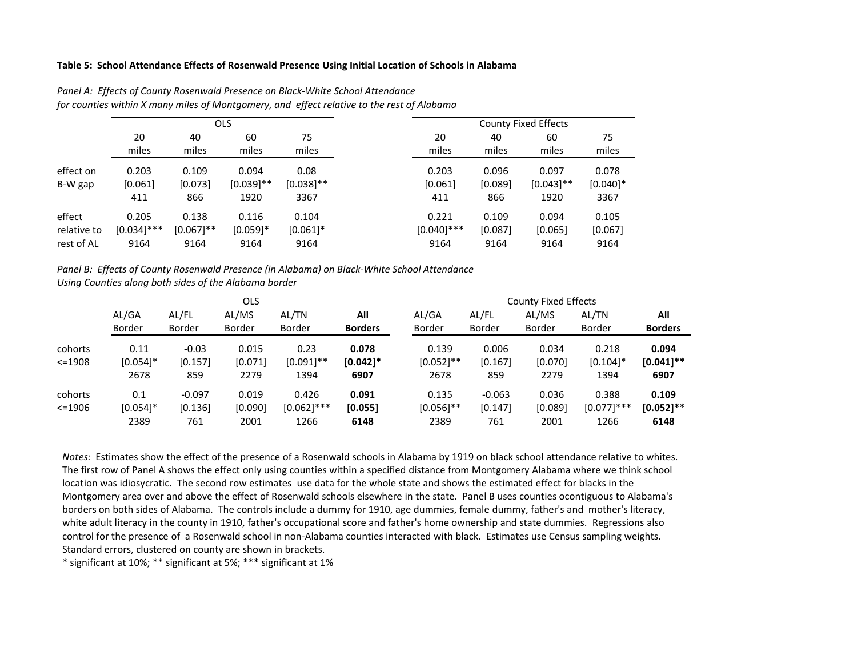#### **Table 5: School Attendance Effects of Rosenwald Presence Using Initial Location of Schools in Alabama**

|                      |                         |                         | <b>OLS</b>                    |                              |
|----------------------|-------------------------|-------------------------|-------------------------------|------------------------------|
|                      | 20                      | 40                      | 60                            | 75                           |
|                      | miles                   | miles                   | miles                         | miles                        |
| effect on<br>B-W gap | 0.203<br>[0.061]<br>411 | 0.109<br>[0.073]<br>866 | 0.094<br>$[0.039]$ **<br>1920 | 0.08<br>$[0.038]$ **<br>3367 |
| effect               | 0.205                   | 0.138                   | 0.116                         | 0.104                        |
| relative to          | $[0.034]$ ***           | $[0.067]$ **            | $[0.059]$ *                   | $[0.061]$ *                  |
| rest of AL           | 9164                    | 9164                    | 9164                          | 9164                         |

*Panel A: Effects of County Rosenwald Presence on Black‐White School Attendance for counties within X many miles of Montgomery, and effect relative to the rest of Alabama*

*Panel B: Effects of County Rosenwald Presence (in Alabama) on Black‐White School Attendance Using Counties along both sides of the Alabama border*

|            |               |               | <b>OLS</b>    |               |                |               |               | <b>County Fixed Effects</b> |               |                |
|------------|---------------|---------------|---------------|---------------|----------------|---------------|---------------|-----------------------------|---------------|----------------|
|            | AL/GA         | AL/FL         | AL/MS         | AL/TN         | All            | AL/GA         | AL/FL         | AL/MS                       | AL/TN         | All            |
|            | <b>Border</b> | <b>Border</b> | <b>Border</b> | <b>Border</b> | <b>Borders</b> | <b>Border</b> | <b>Border</b> | <b>Border</b>               | <b>Border</b> | <b>Borders</b> |
| cohorts    | 0.11          | $-0.03$       | 0.015         | 0.23          | 0.078          | 0.139         | 0.006         | 0.034                       | 0.218         | 0.094          |
| $<=1908$   | $[0.054]$ *   | [0.157]       | [0.071]       | $[0.091]$ **  | $[0.042]$ *    | $[0.052]$ **  | [0.167]       | [0.070]                     | $[0.104]$ *   | $[0.041]$ **   |
|            | 2678          | 859           | 2279          | 1394          | 6907           | 2678          | 859           | 2279                        | 1394          | 6907           |
| cohorts    | 0.1           | $-0.097$      | 0.019         | 0.426         | 0.091          | 0.135         | $-0.063$      | 0.036                       | 0.388         | 0.109          |
| $< = 1906$ | $[0.054]$ *   | [0.136]       | [0.090]       | $[0.062]$ *** | [0.055]        | $[0.056]$ **  | [0.147]       | [0.089]                     | $[0.077]$ *** | $[0.052]$ **   |
|            | 2389          | 761           | 2001          | 1266          | 6148           | 2389          | 761           | 2001                        | 1266          | 6148           |

*Notes:* Estimates show the effect of the presence of <sup>a</sup> Rosenwald schools in Alabama by 1919 on black school attendance relative to whites. The first row of Panel A shows the effect only using counties within <sup>a</sup> specified distance from Montgomery Alabama where we think school location was idiosycratic. The second row estimates use data for the whole state and shows the estimated effect for blacks in the Montgomery area over and above the effect of Rosenwald schools elsewhere in the state. Panel B uses counties ocontiguous to Alabama's borders on both sides of Alabama. The controls include <sup>a</sup> dummy for 1910, age dummies, female dummy, father's and mother's literacy, white adult literacy in the county in 1910, father's occupational score and father's home ownership and state dummies. Regressions also control for the presence of <sup>a</sup> Rosenwald school in non‐Alabama counties interacted with black. Estimates use Census sampling weights. Standard errors, clustered on county are shown in brackets.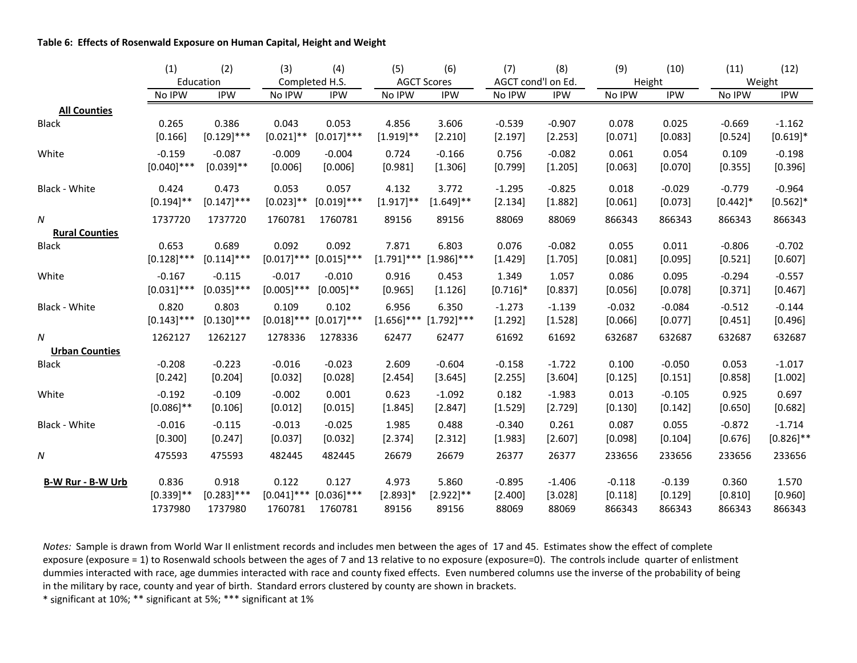#### **Table 6: Effects of Rosenwald Exposure on Human Capital, Height and Weight**

|                       | (1)           | (2)           | (3)           | (4)            | (5)           | (6)                         | (7)                | (8)        | (9)      | (10)       | (11)        | (12)         |
|-----------------------|---------------|---------------|---------------|----------------|---------------|-----------------------------|--------------------|------------|----------|------------|-------------|--------------|
|                       |               | Education     |               | Completed H.S. |               | <b>AGCT Scores</b>          | AGCT cond'l on Ed. |            | Height   |            |             | Weight       |
|                       | No IPW        | <b>IPW</b>    | No IPW        | <b>IPW</b>     | No IPW        | <b>IPW</b>                  | No IPW             | <b>IPW</b> | No IPW   | <b>IPW</b> | No IPW      | <b>IPW</b>   |
| <b>All Counties</b>   |               |               |               |                |               |                             |                    |            |          |            |             |              |
| <b>Black</b>          | 0.265         | 0.386         | 0.043         | 0.053          | 4.856         | 3.606                       | $-0.539$           | $-0.907$   | 0.078    | 0.025      | $-0.669$    | $-1.162$     |
|                       | [0.166]       | $[0.129]$ *** | $[0.021]$ **  | $[0.017]$ ***  | $[1.919]$ **  | [2.210]                     | [2.197]            | [2.253]    | [0.071]  | [0.083]    | [0.524]     | $[0.619]*$   |
| White                 | $-0.159$      | $-0.087$      | $-0.009$      | $-0.004$       | 0.724         | $-0.166$                    | 0.756              | $-0.082$   | 0.061    | 0.054      | 0.109       | $-0.198$     |
|                       | $[0.040]$ *** | $[0.039]$ **  | [0.006]       | [0.006]        | [0.981]       | [1.306]                     | [0.799]            | [1.205]    | [0.063]  | [0.070]    | [0.355]     | [0.396]      |
| Black - White         | 0.424         | 0.473         | 0.053         | 0.057          | 4.132         | 3.772                       | $-1.295$           | $-0.825$   | 0.018    | $-0.029$   | $-0.779$    | $-0.964$     |
|                       | $[0.194]$ **  | $[0.147]$ *** | $[0.023]$ **  | $[0.019]$ ***  | $[1.917]$ **  | $[1.649]$ **                | [2.134]            | [1.882]    | [0.061]  | [0.073]    | $[0.442]$ * | $[0.562]$ *  |
| Ν                     | 1737720       | 1737720       | 1760781       | 1760781        | 89156         | 89156                       | 88069              | 88069      | 866343   | 866343     | 866343      | 866343       |
| <b>Rural Counties</b> |               |               |               |                |               |                             |                    |            |          |            |             |              |
| <b>Black</b>          | 0.653         | 0.689         | 0.092         | 0.092          | 7.871         | 6.803                       | 0.076              | $-0.082$   | 0.055    | 0.011      | $-0.806$    | $-0.702$     |
|                       | $[0.128]$ *** | $[0.114]$ *** | $[0.017]$ *** | $[0.015]$ ***  | $[1.791]$ *** | $[1.986]$ ***               | [1.429]            | [1.705]    | [0.081]  | [0.095]    | [0.521]     | [0.607]      |
| White                 | $-0.167$      | $-0.115$      | $-0.017$      | $-0.010$       | 0.916         | 0.453                       | 1.349              | 1.057      | 0.086    | 0.095      | $-0.294$    | $-0.557$     |
|                       | $[0.031]$ *** | $[0.035]$ *** | $[0.005]$ *** | $[0.005]$ **   | [0.965]       | [1.126]                     | $[0.716]$ *        | [0.837]    | [0.056]  | [0.078]    | [0.371]     | [0.467]      |
| Black - White         | 0.820         | 0.803         | 0.109         | 0.102          | 6.956         | 6.350                       | $-1.273$           | $-1.139$   | $-0.032$ | $-0.084$   | $-0.512$    | $-0.144$     |
|                       | $[0.143]$ *** | $[0.130]$ *** | $[0.018]$ *** | $[0.017]$ ***  |               | $[1.656]$ *** $[1.792]$ *** | [1.292]            | [1.528]    | [0.066]  | [0.077]    | [0.451]     | [0.496]      |
| Ν                     | 1262127       | 1262127       | 1278336       | 1278336        | 62477         | 62477                       | 61692              | 61692      | 632687   | 632687     | 632687      | 632687       |
| <b>Urban Counties</b> |               |               |               |                |               |                             |                    |            |          |            |             |              |
| <b>Black</b>          | $-0.208$      | $-0.223$      | $-0.016$      | $-0.023$       | 2.609         | $-0.604$                    | $-0.158$           | $-1.722$   | 0.100    | $-0.050$   | 0.053       | $-1.017$     |
|                       | [0.242]       | [0.204]       | [0.032]       | [0.028]        | [2.454]       | [3.645]                     | [2.255]            | [3.604]    | [0.125]  | [0.151]    | [0.858]     | [1.002]      |
| White                 | $-0.192$      | $-0.109$      | $-0.002$      | 0.001          | 0.623         | $-1.092$                    | 0.182              | $-1.983$   | 0.013    | $-0.105$   | 0.925       | 0.697        |
|                       | $[0.086]$ **  | [0.106]       | [0.012]       | [0.015]        | [1.845]       | [2.847]                     | [1.529]            | [2.729]    | [0.130]  | [0.142]    | [0.650]     | [0.682]      |
| Black - White         | $-0.016$      | $-0.115$      | $-0.013$      | $-0.025$       | 1.985         | 0.488                       | $-0.340$           | 0.261      | 0.087    | 0.055      | $-0.872$    | $-1.714$     |
|                       | [0.300]       | [0.247]       | [0.037]       | [0.032]        | [2.374]       | [2.312]                     | [1.983]            | [2.607]    | [0.098]  | [0.104]    | [0.676]     | $[0.826]$ ** |
| Ν                     | 475593        | 475593        | 482445        | 482445         | 26679         | 26679                       | 26377              | 26377      | 233656   | 233656     | 233656      | 233656       |
| B-W Rur - B-W Urb     | 0.836         | 0.918         | 0.122         | 0.127          | 4.973         | 5.860                       | $-0.895$           | $-1.406$   | $-0.118$ | $-0.139$   | 0.360       | 1.570        |
|                       | $[0.339]$ **  | $[0.283]$ *** | $[0.041]$ *** | $[0.036]$ ***  | $[2.893]$ *   | $[2.922]$ **                | [2.400]            | [3.028]    | [0.118]  | [0.129]    | [0.810]     | [0.960]      |
|                       | 1737980       | 1737980       | 1760781       | 1760781        | 89156         | 89156                       | 88069              | 88069      | 866343   | 866343     | 866343      | 866343       |

*Notes:* Sample is drawn from World War II enlistment records and includes men between the ages of 17 and 45. Estimates show the effect of complete exposure (exposure <sup>=</sup> 1) to Rosenwald schools between the ages of 7 and 13 relative to no exposure (exposure=0). The controls include quarter of enlistment dummies interacted with race, age dummies interacted with race and county fixed effects. Even numbered columns use the inverse of the probability of being in the military by race, county and year of birth. Standard errors clustered by county are shown in brackets.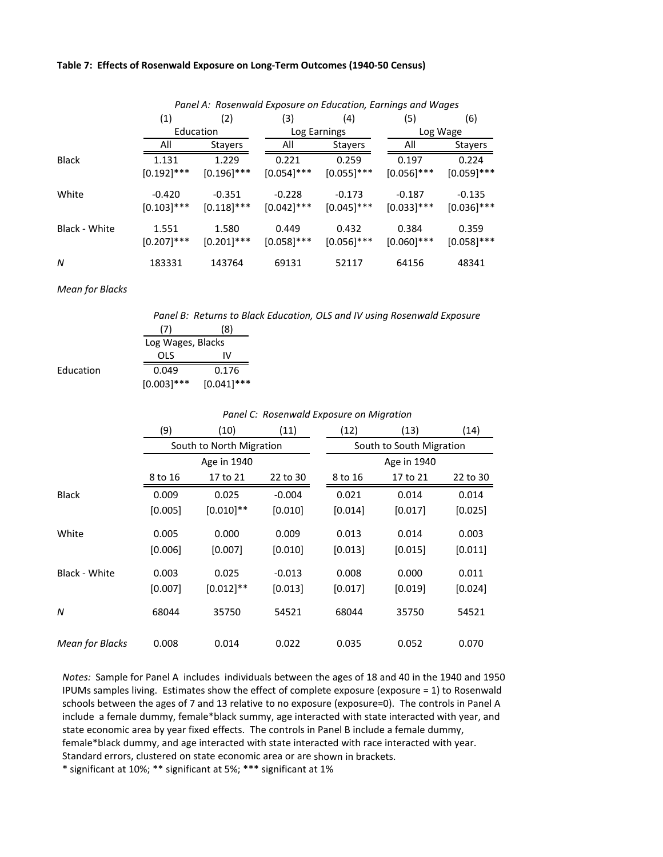#### **Table 7: Effects of Rosenwald Exposure on Long‐Term Outcomes (1940‐50 Census)**

|               |               |               | Panel A: Rosenwald Exposure on Education, Earnings and Wages |               |               |               |  |
|---------------|---------------|---------------|--------------------------------------------------------------|---------------|---------------|---------------|--|
|               | (1)           | (2)           | (3)                                                          | (4)           | (5)           | (6)           |  |
|               | Education     |               |                                                              | Log Earnings  | Log Wage      |               |  |
|               | All           | Stayers       | All                                                          | Stayers       | All           | Stayers       |  |
| Black         | 1.131         | 1.229         | 0.221                                                        | 0.259         | 0.197         | 0.224         |  |
|               | $[0.192]$ *** | $[0.196]$ *** | $[0.054]$ ***                                                | $[0.055]$ *** | $[0.056]$ *** | $[0.059]$ *** |  |
| White         | $-0.420$      | $-0.351$      | $-0.228$                                                     | $-0.173$      | $-0.187$      | $-0.135$      |  |
|               | $[0.103]$ *** | $[0.118]$ *** | $[0.042]$ ***                                                | $[0.045]$ *** | $[0.033]$ *** | $[0.036]$ *** |  |
| Black - White | 1.551         | 1.580         | 0.449                                                        | 0.432         | 0.384         | 0.359         |  |
|               | $[0.207]$ *** | $[0.201]$ *** | $[0.058]$ ***                                                | $[0.056]$ *** | $[0.060]$ *** | $[0.058]$ *** |  |
| N             | 183331        | 143764        | 69131                                                        | 52117         | 64156         | 48341         |  |

*Mean for Blacks*

**Education** 

*Panel B: Returns to Black Education, OLS and IV using Rosenwald Exposure*

| (7)               | (8)           |
|-------------------|---------------|
| Log Wages, Blacks |               |
| OLS               | IV            |
| 0.049             | 0.176         |
| $[0.003]$ ***     | $[0.041]$ *** |

#### *Panel C: Rosenwald Exposure on Migration*

|                        | (9)<br>(10)<br>(11) |                          | (12)     | (13)                     | (14)        |          |  |  |
|------------------------|---------------------|--------------------------|----------|--------------------------|-------------|----------|--|--|
|                        |                     | South to North Migration |          | South to South Migration |             |          |  |  |
|                        |                     | Age in 1940              |          |                          | Age in 1940 |          |  |  |
|                        | 8 to 16             | 17 to 21                 | 22 to 30 | 8 to 16                  | 17 to 21    | 22 to 30 |  |  |
| <b>Black</b>           | 0.009               | 0.025                    | $-0.004$ | 0.021                    | 0.014       | 0.014    |  |  |
|                        | [0.005]             | $[0.010]$ **             | [0.010]  | [0.014]                  | [0.017]     | [0.025]  |  |  |
| White                  | 0.005               | 0.000                    | 0.009    | 0.013                    | 0.014       | 0.003    |  |  |
|                        | [0.006]             | [0.007]                  | [0.010]  | [0.013]                  | [0.015]     | [0.011]  |  |  |
| Black - White          | 0.003               | 0.025                    | $-0.013$ | 0.008                    | 0.000       | 0.011    |  |  |
|                        | [0.007]             | $[0.012]$ **             | [0.013]  | [0.017]                  | [0.019]     | [0.024]  |  |  |
| N                      | 68044               | 35750                    | 54521    | 68044                    | 35750       | 54521    |  |  |
| <b>Mean for Blacks</b> | 0.008               | 0.014                    | 0.022    | 0.035                    | 0.052       | 0.070    |  |  |

*Notes:* Sample for Panel A includes individuals between the ages of 18 and 40 in the 1940 and 1950 IPUMs samples living. Estimates show the effect of complete exposure (exposure = 1) to Rosenwald schools between the ages of 7 and 13 relative to no exposure (exposure=0). The controls in Panel A include a female dummy, female\*black summy, age interacted with state interacted with year, and state economic area by year fixed effects. The controls in Panel B include a female dummy, female\*black dummy, and age interacted with state interacted with race interacted with year. Standard errors, clustered on state economic area or are shown in brackets.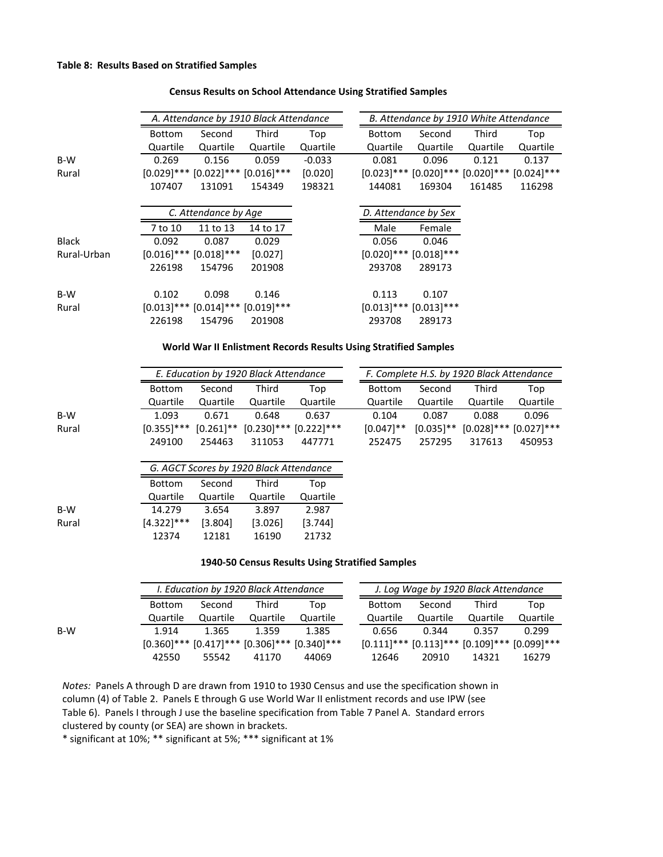#### **Census Results on School Attendance Using Stratified Samples**

|              |               |                                           | A. Attendance by 1910 Black Attendance |          |                                                                  |                                                         | B. Attendance by 1910 White Attendance |          |  |  |
|--------------|---------------|-------------------------------------------|----------------------------------------|----------|------------------------------------------------------------------|---------------------------------------------------------|----------------------------------------|----------|--|--|
|              | <b>Bottom</b> | Second                                    | Third                                  | Top      | Bottom                                                           | Second                                                  | Third                                  | Top      |  |  |
|              | Quartile      | Quartile                                  | Quartile                               | Quartile | Quartile                                                         | Quartile                                                | Quartile                               | Quartile |  |  |
| B-W          | 0.269         | 0.156                                     | 0.059                                  | $-0.033$ | 0.081                                                            | 0.096                                                   | 0.121                                  | 0.137    |  |  |
| Rural        |               | $[0.029]$ *** $[0.022]$ *** $[0.016]$ *** |                                        | [0.020]  |                                                                  | $[0.023]$ *** $[0.020]$ *** $[0.020]$ *** $[0.024]$ *** |                                        |          |  |  |
|              | 107407        | 131091                                    | 154349                                 | 198321   | 144081                                                           | 169304                                                  | 161485                                 | 116298   |  |  |
|              |               | C. Attendance by Age                      |                                        |          |                                                                  | D. Attendance by Sex                                    |                                        |          |  |  |
|              | 7 to 10       | 11 to 13                                  | 14 to 17                               |          | Male                                                             | Female                                                  |                                        |          |  |  |
| <b>Black</b> | 0.092         | 0.087                                     | 0.029                                  |          | 0.056                                                            | 0.046                                                   |                                        |          |  |  |
| Rural-Urban  |               | $[0.016]$ *** $[0.018]$ ***               | [0.027]                                |          |                                                                  | $[0.020]$ *** $[0.018]$ ***                             |                                        |          |  |  |
|              | 226198        | 154796                                    | 201908                                 |          | 293708                                                           | 289173                                                  |                                        |          |  |  |
| B-W          | 0.102         | 0.098                                     | 0.146                                  |          | 0.113                                                            | 0.107                                                   |                                        |          |  |  |
| Rural        |               | $[0.013]$ *** $[0.014]$ *** $[0.019]$ *** |                                        |          |                                                                  | $[0.013]$ *** $[0.013]$ ***                             |                                        |          |  |  |
|              | 226198        | 154796                                    | 201908                                 |          | 293708                                                           | 289173                                                  |                                        |          |  |  |
|              |               |                                           |                                        |          | World War II Enlistment Records Results Using Stratified Samples |                                                         |                                        |          |  |  |
|              |               |                                           | E. Education by 1920 Black Attendance  |          |                                                                  | F. Complete H.S. by 1920 Black Attendance               |                                        |          |  |  |
|              | <b>Bottom</b> | Second                                    | Third                                  | Top      | <b>Bottom</b>                                                    | Second                                                  | Third                                  | Top      |  |  |

|       |               |          | L. Lautution by 1920 Bluth Attenuante   |                                                        |               |          | T. Complete <i>Hist by 1920 Black Hitchgance</i> |          |
|-------|---------------|----------|-----------------------------------------|--------------------------------------------------------|---------------|----------|--------------------------------------------------|----------|
|       | <b>Bottom</b> | Second   | Third                                   | Top                                                    | <b>Bottom</b> | Second   | Third                                            | Top      |
|       | Quartile      | Quartile | Quartile                                | Quartile                                               | Quartile      | Quartile | Quartile                                         | Quartile |
| B-W   | 1.093         | 0.671    | 0.648                                   | 0.637                                                  | 0.104         | 0.087    | 0.088                                            | 0.096    |
| Rural |               |          |                                         | $[0.355]$ *** $[0.261]$ ** $[0.230]$ *** $[0.222]$ *** | $[0.047]$ **  |          | $[0.035]$ ** $[0.028]$ *** $[0.027]$ ***         |          |
|       | 249100        | 254463   | 311053                                  | 447771                                                 | 252475        | 257295   | 317613                                           | 450953   |
|       |               |          | G. AGCT Scores by 1920 Black Attendance |                                                        |               |          |                                                  |          |
|       |               |          |                                         |                                                        |               |          |                                                  |          |

|       | <b>Bottom</b> | Second   | Third    | Top      |
|-------|---------------|----------|----------|----------|
|       | Quartile      | Quartile | Quartile | Quartile |
| B-W   | 14.279        | 3.654    | 3.897    | 2.987    |
| Rural | $[4.322]$ *** | [3.804]  | [3.026]  | [3.744]  |
|       | 12374         | 12181    | 16190    | 21732    |

#### **1940‐50 Census Results Using Stratified Samples**

|     |               | I. Education by 1920 Black Attendance |          |                                                         | J. Log Wage by 1920 Black Attendance |          |                                                         |          |  |
|-----|---------------|---------------------------------------|----------|---------------------------------------------------------|--------------------------------------|----------|---------------------------------------------------------|----------|--|
|     | <b>Bottom</b> | Second                                | Third    | Top                                                     | <b>Bottom</b>                        | Second   | Third                                                   | Top      |  |
|     | Quartile      | Quartile                              | Quartile | Quartile                                                | Quartile                             | Quartile | Quartile                                                | Quartile |  |
| B-W | 1.914         | 1.365                                 | 1.359    | 1.385                                                   | 0.656                                | 0.344    | 0.357                                                   | 0.299    |  |
|     |               |                                       |          | $[0.360]$ *** $[0.417]$ *** $[0.306]$ *** $[0.340]$ *** |                                      |          | $[0.111]$ *** $[0.113]$ *** $[0.109]$ *** $[0.099]$ *** |          |  |
|     | 42550         | 55542                                 | 41170    | 44069                                                   | 12646                                | 20910    | 14321                                                   | 16279    |  |

*Notes:* Panels A through D are drawn from 1910 to 1930 Census and use the specification shown in column (4) of Table 2. Panels E through G use World War II enlistment records and use IPW (see Table 6). Panels I through J use the baseline specification from Table 7 Panel A. Standard errors clustered by county (or SEA) are shown in brackets.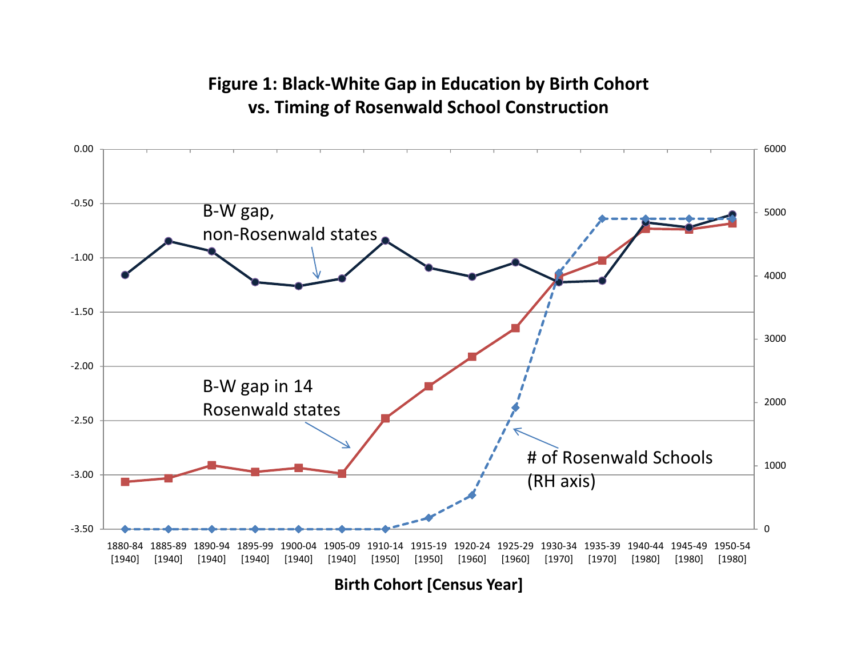# **Figure 1: Black‐White Gap in Education by Birth Cohort vs. Timing of Rosenwald School Construction**

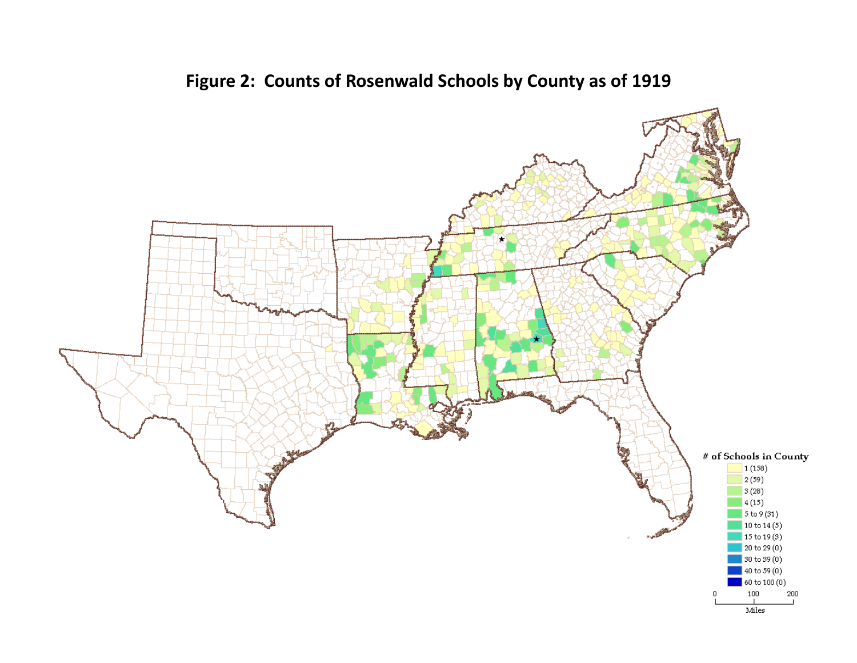

**Figure 2: Counts of Rosenwald Schools by County as of 1919**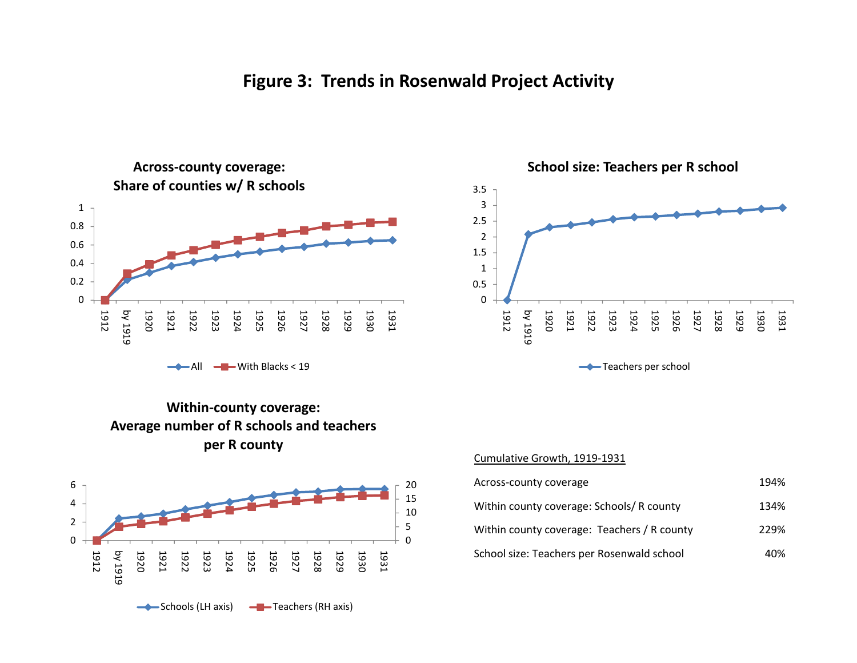





**School size: Teachers per R school**





#### <u>Cumulative Growth, 1919-1931</u>

| Across-county coverage                      | 194% |
|---------------------------------------------|------|
| Within county coverage: Schools/R county    | 134% |
| Within county coverage: Teachers / R county | 229% |
| School size: Teachers per Rosenwald school  | 40%  |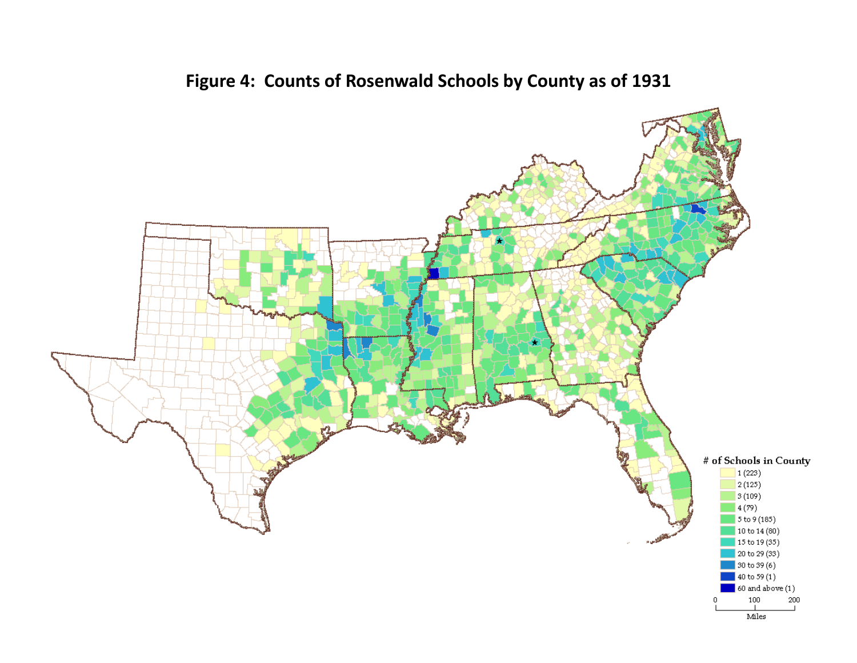

**Figure 4: Counts of Rosenwald Schools by County as of 1931**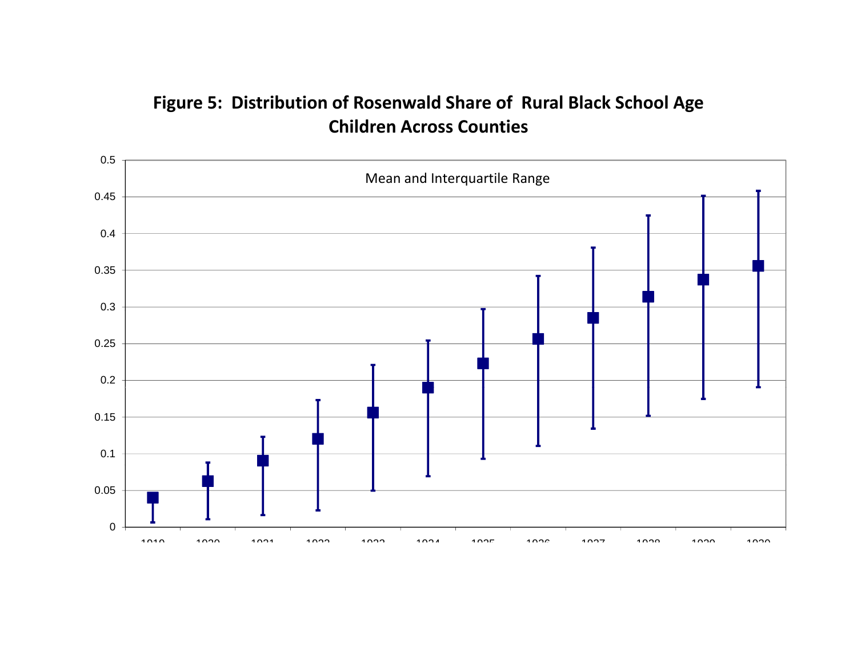# **Figure 5: Distribution of Rosenwald Share of Rural Black School Age Children Across Counties**

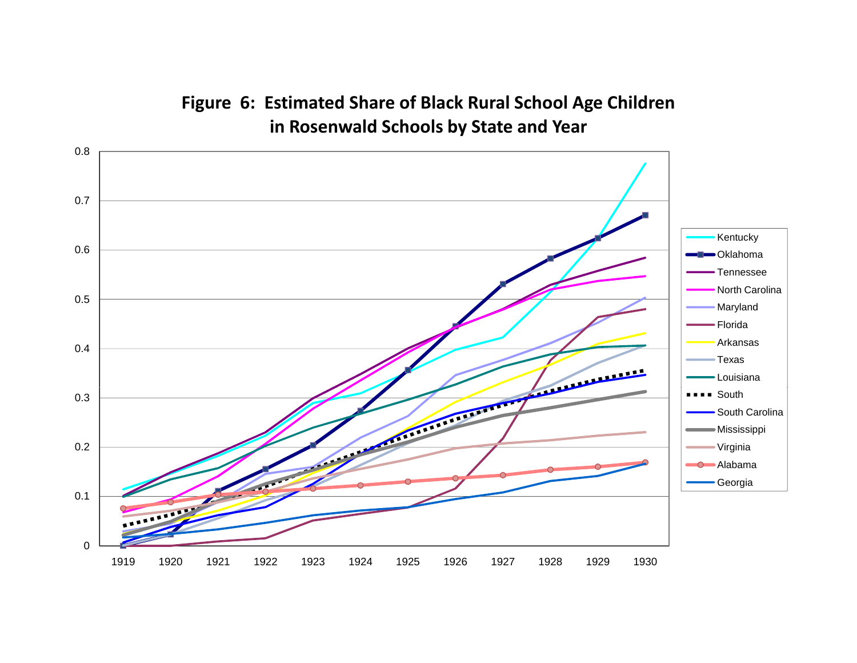**Figure 6: Estimated Share of Black Rural School Age Children in Rosenwald Schools by State and Year**

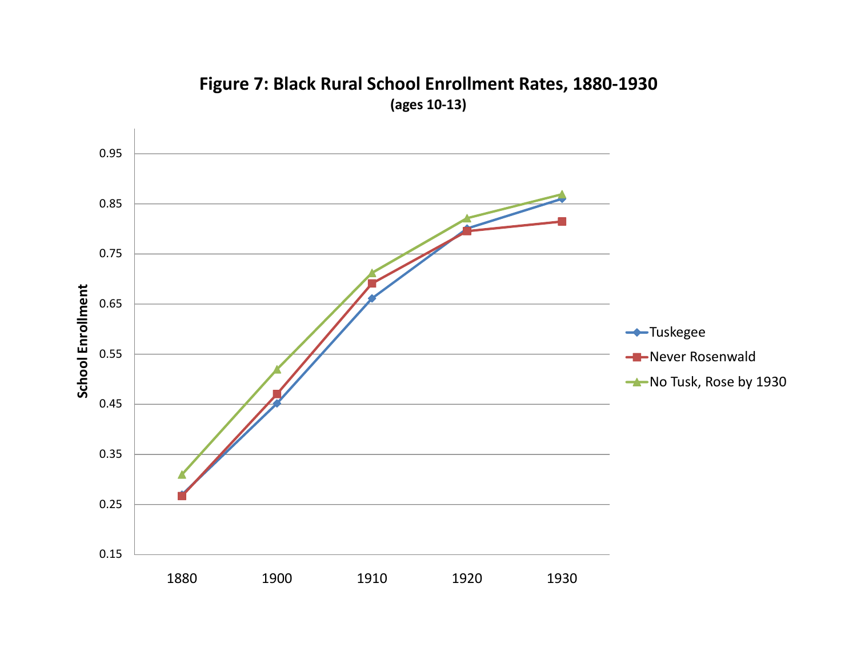

**Figure 7: Black Rural School Enrollment Rates, 1880‐1930 (ages 10‐13)**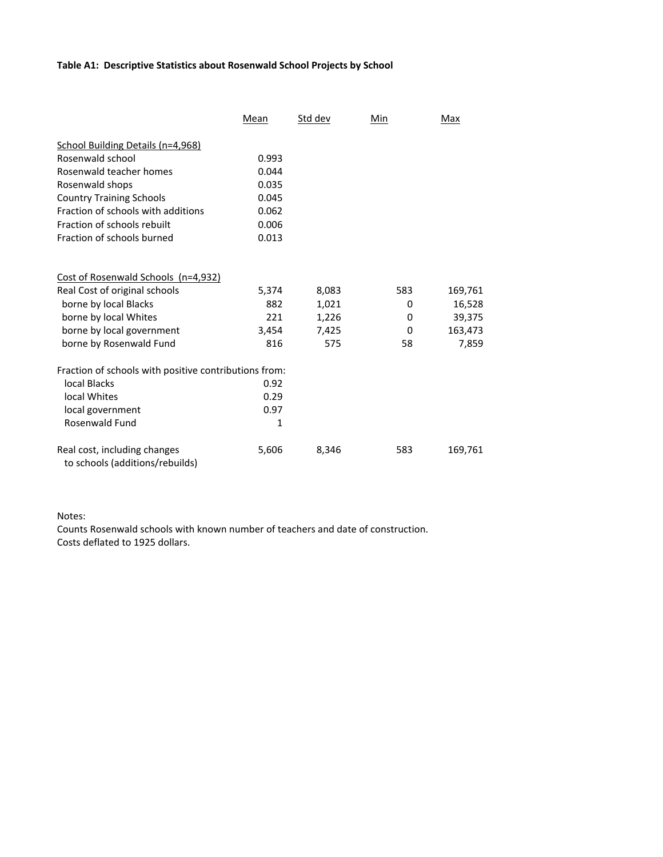#### **Table A1: Descriptive Statistics about Rosenwald School Projects by School**

|                                                                 | Mean  | Std dev | Min | Max     |
|-----------------------------------------------------------------|-------|---------|-----|---------|
| School Building Details (n=4,968)                               |       |         |     |         |
| Rosenwald school                                                | 0.993 |         |     |         |
| Rosenwald teacher homes                                         | 0.044 |         |     |         |
| Rosenwald shops                                                 | 0.035 |         |     |         |
| <b>Country Training Schools</b>                                 | 0.045 |         |     |         |
| Fraction of schools with additions                              | 0.062 |         |     |         |
| Fraction of schools rebuilt                                     | 0.006 |         |     |         |
| Fraction of schools burned                                      | 0.013 |         |     |         |
| Cost of Rosenwald Schools (n=4,932)                             |       |         |     |         |
| Real Cost of original schools                                   | 5,374 | 8,083   | 583 | 169,761 |
| borne by local Blacks                                           | 882   | 1,021   | 0   | 16,528  |
| borne by local Whites                                           | 221   | 1,226   | 0   | 39,375  |
| borne by local government                                       | 3,454 | 7,425   | 0   | 163,473 |
| borne by Rosenwald Fund                                         | 816   | 575     | 58  | 7,859   |
| Fraction of schools with positive contributions from:           |       |         |     |         |
| local Blacks                                                    | 0.92  |         |     |         |
| local Whites                                                    | 0.29  |         |     |         |
| local government                                                | 0.97  |         |     |         |
| Rosenwald Fund                                                  | 1     |         |     |         |
| Real cost, including changes<br>to schools (additions/rebuilds) | 5,606 | 8,346   | 583 | 169,761 |

Notes:

Counts Rosenwald schools with known number of teachers and date of construction. Costs deflated to 1925 dollars.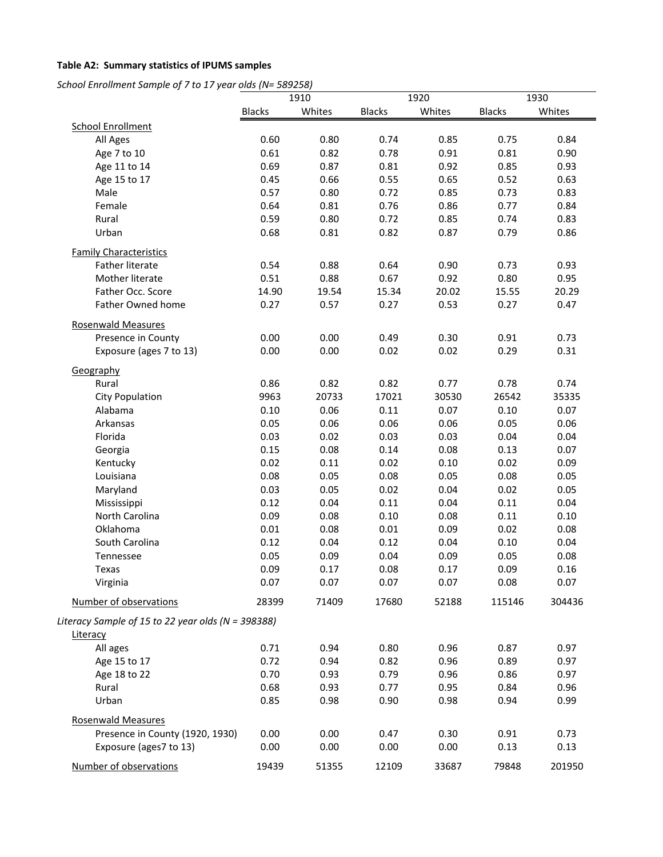# **Table A2: Summary statistics of IPUMS samples**

*School Enrollment Sample of 7 to 17 year olds (N= 589258)*

|                                                    |               | 1910   | 1920          |        | 1930          |        |
|----------------------------------------------------|---------------|--------|---------------|--------|---------------|--------|
|                                                    | <b>Blacks</b> | Whites | <b>Blacks</b> | Whites | <b>Blacks</b> | Whites |
| <b>School Enrollment</b>                           |               |        |               |        |               |        |
| All Ages                                           | 0.60          | 0.80   | 0.74          | 0.85   | 0.75          | 0.84   |
| Age 7 to 10                                        | 0.61          | 0.82   | 0.78          | 0.91   | 0.81          | 0.90   |
| Age 11 to 14                                       | 0.69          | 0.87   | 0.81          | 0.92   | 0.85          | 0.93   |
| Age 15 to 17                                       | 0.45          | 0.66   | 0.55          | 0.65   | 0.52          | 0.63   |
| Male                                               | 0.57          | 0.80   | 0.72          | 0.85   | 0.73          | 0.83   |
| Female                                             | 0.64          | 0.81   | 0.76          | 0.86   | 0.77          | 0.84   |
| Rural                                              | 0.59          | 0.80   | 0.72          | 0.85   | 0.74          | 0.83   |
| Urban                                              | 0.68          | 0.81   | 0.82          | 0.87   | 0.79          | 0.86   |
| <b>Family Characteristics</b>                      |               |        |               |        |               |        |
| <b>Father literate</b>                             | 0.54          | 0.88   | 0.64          | 0.90   | 0.73          | 0.93   |
| Mother literate                                    | 0.51          | 0.88   | 0.67          | 0.92   | 0.80          | 0.95   |
| Father Occ. Score                                  | 14.90         | 19.54  | 15.34         | 20.02  | 15.55         | 20.29  |
| Father Owned home                                  | 0.27          | 0.57   | 0.27          | 0.53   | 0.27          | 0.47   |
| <b>Rosenwald Measures</b>                          |               |        |               |        |               |        |
| Presence in County                                 | 0.00          | 0.00   | 0.49          | 0.30   | 0.91          | 0.73   |
| Exposure (ages 7 to 13)                            | 0.00          | 0.00   | 0.02          | 0.02   | 0.29          | 0.31   |
| Geography                                          |               |        |               |        |               |        |
| Rural                                              | 0.86          | 0.82   | 0.82          | 0.77   | 0.78          | 0.74   |
| <b>City Population</b>                             | 9963          | 20733  | 17021         | 30530  | 26542         | 35335  |
| Alabama                                            | 0.10          | 0.06   | 0.11          | 0.07   | 0.10          | 0.07   |
| Arkansas                                           | 0.05          | 0.06   | 0.06          | 0.06   | 0.05          | 0.06   |
| Florida                                            | 0.03          | 0.02   | 0.03          | 0.03   | 0.04          | 0.04   |
| Georgia                                            | 0.15          | 0.08   | 0.14          | 0.08   | 0.13          | 0.07   |
| Kentucky                                           | 0.02          | 0.11   | 0.02          | 0.10   | 0.02          | 0.09   |
| Louisiana                                          | 0.08          | 0.05   | 0.08          | 0.05   | 0.08          | 0.05   |
| Maryland                                           | 0.03          | 0.05   | 0.02          | 0.04   | 0.02          | 0.05   |
| Mississippi                                        | 0.12          | 0.04   | 0.11          | 0.04   | 0.11          | 0.04   |
| North Carolina                                     | 0.09          | 0.08   | 0.10          | 0.08   | 0.11          | 0.10   |
| Oklahoma                                           | 0.01          | 0.08   | 0.01          | 0.09   | 0.02          | 0.08   |
| South Carolina                                     | 0.12          | 0.04   | 0.12          | 0.04   | 0.10          | 0.04   |
| Tennessee                                          | 0.05          | 0.09   | 0.04          | 0.09   | 0.05          | 0.08   |
| Texas                                              | 0.09          | 0.17   | 0.08          | 0.17   | 0.09          | 0.16   |
| Virginia                                           | 0.07          | 0.07   | 0.07          | 0.07   | 0.08          | 0.07   |
| Number of observations                             | 28399         | 71409  | 17680         | 52188  | 115146        | 304436 |
| Literacy Sample of 15 to 22 year olds (N = 398388) |               |        |               |        |               |        |
| Literacy                                           |               |        |               |        |               |        |
| All ages                                           | 0.71          | 0.94   | 0.80          | 0.96   | 0.87          | 0.97   |
| Age 15 to 17                                       | 0.72          | 0.94   | 0.82          | 0.96   | 0.89          | 0.97   |
| Age 18 to 22                                       | 0.70          | 0.93   | 0.79          | 0.96   | 0.86          | 0.97   |
| Rural                                              | 0.68          | 0.93   | 0.77          | 0.95   | 0.84          | 0.96   |
| Urban                                              | 0.85          | 0.98   | 0.90          | 0.98   | 0.94          | 0.99   |
| <b>Rosenwald Measures</b>                          |               |        |               |        |               |        |
| Presence in County (1920, 1930)                    | 0.00          | 0.00   | 0.47          | 0.30   | 0.91          | 0.73   |
| Exposure (ages7 to 13)                             | 0.00          | 0.00   | 0.00          | 0.00   | 0.13          | 0.13   |
| Number of observations                             | 19439         | 51355  | 12109         | 33687  | 79848         | 201950 |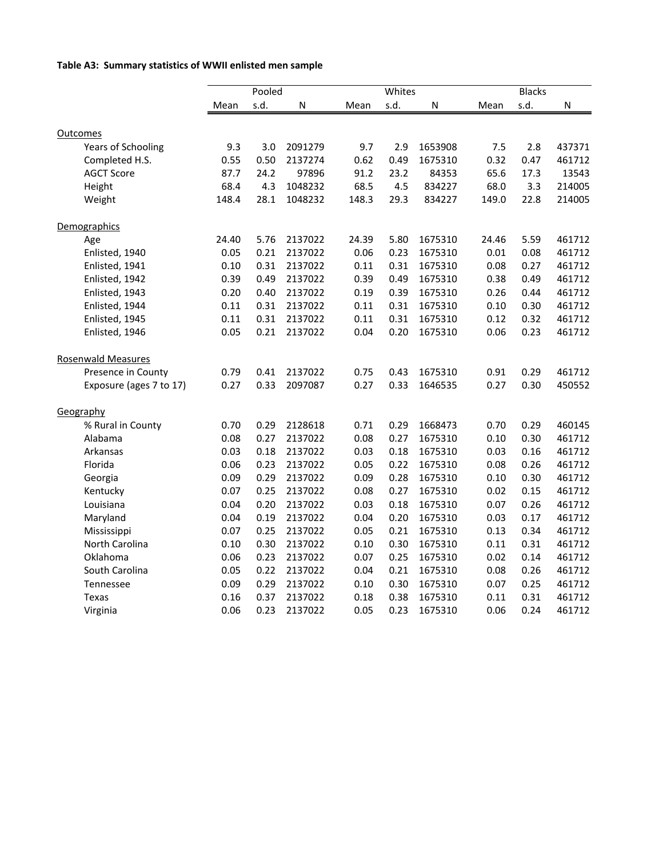# **Table A3: Summary statistics of WWII enlisted men sample**

|                           | Pooled |      |         | Whites |      |         | <b>Blacks</b> |      |        |
|---------------------------|--------|------|---------|--------|------|---------|---------------|------|--------|
|                           | Mean   | s.d. | N       | Mean   | s.d. | N       | Mean          | s.d. | N      |
| Outcomes                  |        |      |         |        |      |         |               |      |        |
| <b>Years of Schooling</b> | 9.3    | 3.0  | 2091279 | 9.7    | 2.9  | 1653908 | 7.5           | 2.8  | 437371 |
| Completed H.S.            | 0.55   | 0.50 | 2137274 | 0.62   | 0.49 | 1675310 | 0.32          | 0.47 | 461712 |
| <b>AGCT Score</b>         | 87.7   | 24.2 | 97896   | 91.2   | 23.2 | 84353   | 65.6          | 17.3 | 13543  |
| Height                    | 68.4   | 4.3  | 1048232 | 68.5   | 4.5  | 834227  | 68.0          | 3.3  | 214005 |
| Weight                    | 148.4  | 28.1 | 1048232 | 148.3  | 29.3 | 834227  | 149.0         | 22.8 | 214005 |
|                           |        |      |         |        |      |         |               |      |        |
| Demographics              |        |      |         |        |      |         |               |      |        |
| Age                       | 24.40  | 5.76 | 2137022 | 24.39  | 5.80 | 1675310 | 24.46         | 5.59 | 461712 |
| Enlisted, 1940            | 0.05   | 0.21 | 2137022 | 0.06   | 0.23 | 1675310 | 0.01          | 0.08 | 461712 |
| Enlisted, 1941            | 0.10   | 0.31 | 2137022 | 0.11   | 0.31 | 1675310 | 0.08          | 0.27 | 461712 |
| Enlisted, 1942            | 0.39   | 0.49 | 2137022 | 0.39   | 0.49 | 1675310 | 0.38          | 0.49 | 461712 |
| Enlisted, 1943            | 0.20   | 0.40 | 2137022 | 0.19   | 0.39 | 1675310 | 0.26          | 0.44 | 461712 |
| Enlisted, 1944            | 0.11   | 0.31 | 2137022 | 0.11   | 0.31 | 1675310 | 0.10          | 0.30 | 461712 |
| Enlisted, 1945            | 0.11   | 0.31 | 2137022 | 0.11   | 0.31 | 1675310 | 0.12          | 0.32 | 461712 |
| Enlisted, 1946            | 0.05   | 0.21 | 2137022 | 0.04   | 0.20 | 1675310 | 0.06          | 0.23 | 461712 |
| <b>Rosenwald Measures</b> |        |      |         |        |      |         |               |      |        |
| Presence in County        | 0.79   | 0.41 | 2137022 | 0.75   | 0.43 | 1675310 | 0.91          | 0.29 | 461712 |
| Exposure (ages 7 to 17)   | 0.27   | 0.33 | 2097087 | 0.27   | 0.33 | 1646535 | 0.27          | 0.30 | 450552 |
| Geography                 |        |      |         |        |      |         |               |      |        |
| % Rural in County         | 0.70   | 0.29 | 2128618 | 0.71   | 0.29 | 1668473 | 0.70          | 0.29 | 460145 |
| Alabama                   | 0.08   | 0.27 | 2137022 | 0.08   | 0.27 | 1675310 | 0.10          | 0.30 | 461712 |
| Arkansas                  | 0.03   | 0.18 | 2137022 | 0.03   | 0.18 | 1675310 | 0.03          | 0.16 | 461712 |
| Florida                   | 0.06   | 0.23 | 2137022 | 0.05   | 0.22 | 1675310 | 0.08          | 0.26 | 461712 |
| Georgia                   | 0.09   | 0.29 | 2137022 | 0.09   | 0.28 | 1675310 | 0.10          | 0.30 | 461712 |
| Kentucky                  | 0.07   | 0.25 | 2137022 | 0.08   | 0.27 | 1675310 | 0.02          | 0.15 | 461712 |
| Louisiana                 | 0.04   | 0.20 | 2137022 | 0.03   | 0.18 | 1675310 | 0.07          | 0.26 | 461712 |
| Maryland                  | 0.04   | 0.19 | 2137022 | 0.04   | 0.20 | 1675310 | 0.03          | 0.17 | 461712 |
| Mississippi               | 0.07   | 0.25 | 2137022 | 0.05   | 0.21 | 1675310 | 0.13          | 0.34 | 461712 |
| North Carolina            | 0.10   | 0.30 | 2137022 | 0.10   | 0.30 | 1675310 | 0.11          | 0.31 | 461712 |
| Oklahoma                  | 0.06   | 0.23 | 2137022 | 0.07   | 0.25 | 1675310 | 0.02          | 0.14 | 461712 |
| South Carolina            | 0.05   | 0.22 | 2137022 | 0.04   | 0.21 | 1675310 | 0.08          | 0.26 | 461712 |
| Tennessee                 | 0.09   | 0.29 | 2137022 | 0.10   | 0.30 | 1675310 | 0.07          | 0.25 | 461712 |
| Texas                     | 0.16   | 0.37 | 2137022 | 0.18   | 0.38 | 1675310 | 0.11          | 0.31 | 461712 |
| Virginia                  | 0.06   | 0.23 | 2137022 | 0.05   | 0.23 | 1675310 | 0.06          | 0.24 | 461712 |